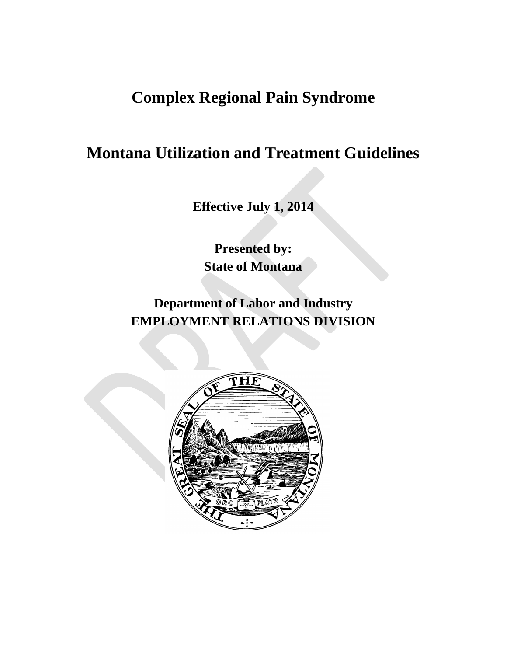# **Complex Regional Pain Syndrome**

# **Montana Utilization and Treatment Guidelines**

**Effective July 1, 2014**

**Presented by: State of Montana**

**Department of Labor and Industry EMPLOYMENT RELATIONS DIVISION**

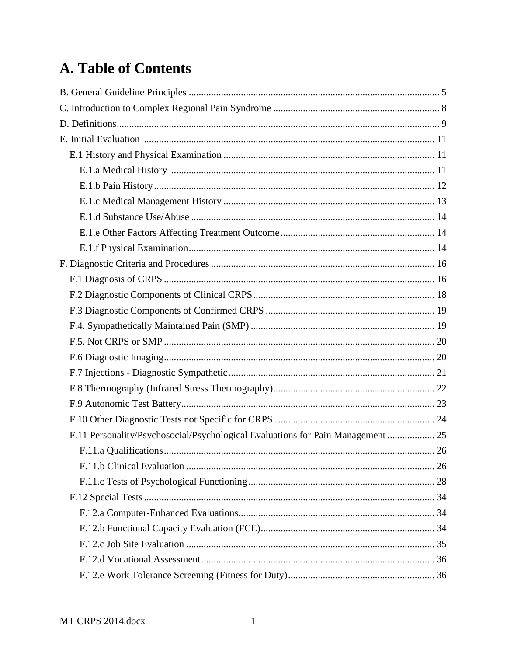# A. Table of Contents

| F.11 Personality/Psychosocial/Psychological Evaluations for Pain Management  25 |  |
|---------------------------------------------------------------------------------|--|
|                                                                                 |  |
|                                                                                 |  |
|                                                                                 |  |
|                                                                                 |  |
|                                                                                 |  |
|                                                                                 |  |
|                                                                                 |  |
|                                                                                 |  |
|                                                                                 |  |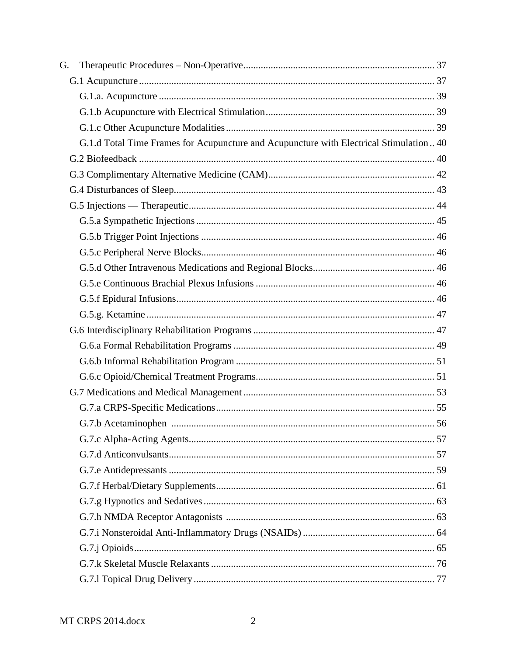| G. |                                                                                        |  |
|----|----------------------------------------------------------------------------------------|--|
|    |                                                                                        |  |
|    |                                                                                        |  |
|    |                                                                                        |  |
|    |                                                                                        |  |
|    | G.1.d Total Time Frames for Acupuncture and Acupuncture with Electrical Stimulation 40 |  |
|    |                                                                                        |  |
|    |                                                                                        |  |
|    |                                                                                        |  |
|    |                                                                                        |  |
|    |                                                                                        |  |
|    |                                                                                        |  |
|    |                                                                                        |  |
|    |                                                                                        |  |
|    |                                                                                        |  |
|    |                                                                                        |  |
|    |                                                                                        |  |
|    |                                                                                        |  |
|    |                                                                                        |  |
|    |                                                                                        |  |
|    |                                                                                        |  |
|    |                                                                                        |  |
|    |                                                                                        |  |
|    |                                                                                        |  |
|    |                                                                                        |  |
|    |                                                                                        |  |
|    |                                                                                        |  |
|    |                                                                                        |  |
|    |                                                                                        |  |
|    |                                                                                        |  |
|    |                                                                                        |  |
|    |                                                                                        |  |
|    |                                                                                        |  |
|    |                                                                                        |  |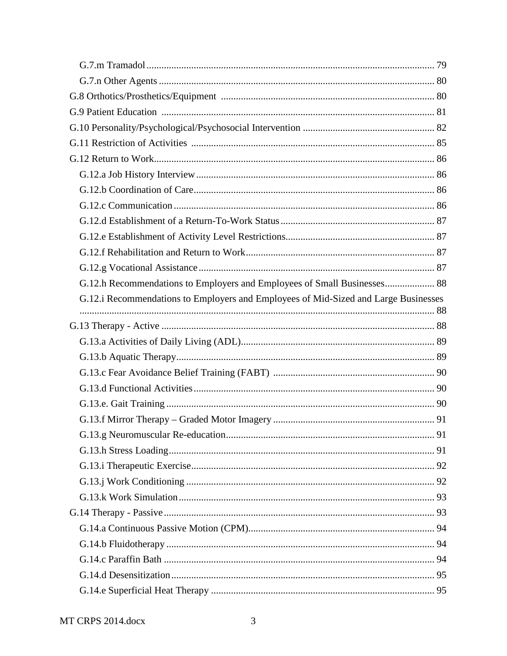| G.12.h Recommendations to Employers and Employees of Small Businesses 88            |  |
|-------------------------------------------------------------------------------------|--|
| G.12.i Recommendations to Employers and Employees of Mid-Sized and Large Businesses |  |
|                                                                                     |  |
|                                                                                     |  |
|                                                                                     |  |
|                                                                                     |  |
|                                                                                     |  |
|                                                                                     |  |
|                                                                                     |  |
|                                                                                     |  |
|                                                                                     |  |
|                                                                                     |  |
|                                                                                     |  |
|                                                                                     |  |
|                                                                                     |  |
|                                                                                     |  |
|                                                                                     |  |
|                                                                                     |  |
|                                                                                     |  |
|                                                                                     |  |
|                                                                                     |  |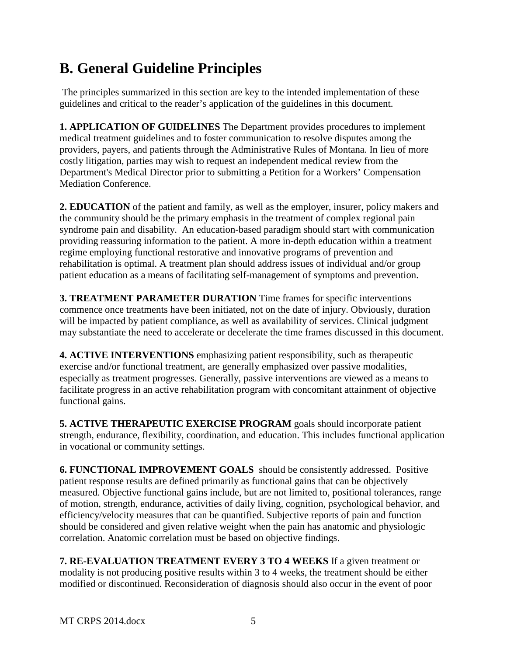# <span id="page-5-0"></span>**B. General Guideline Principles**

The principles summarized in this section are key to the intended implementation of these guidelines and critical to the reader's application of the guidelines in this document.

**1. APPLICATION OF GUIDELINES** The Department provides procedures to implement medical treatment guidelines and to foster communication to resolve disputes among the providers, payers, and patients through the Administrative Rules of Montana. In lieu of more costly litigation, parties may wish to request an independent medical review from the Department's Medical Director prior to submitting a Petition for a Workers' Compensation Mediation Conference.

**2. EDUCATION** of the patient and family, as well as the employer, insurer, policy makers and the community should be the primary emphasis in the treatment of complex regional pain syndrome pain and disability. An education-based paradigm should start with communication providing reassuring information to the patient. A more in-depth education within a treatment regime employing functional restorative and innovative programs of prevention and rehabilitation is optimal. A treatment plan should address issues of individual and/or group patient education as a means of facilitating self-management of symptoms and prevention.

**3. TREATMENT PARAMETER DURATION** Time frames for specific interventions commence once treatments have been initiated, not on the date of injury. Obviously, duration will be impacted by patient compliance, as well as availability of services. Clinical judgment may substantiate the need to accelerate or decelerate the time frames discussed in this document.

**4. ACTIVE INTERVENTIONS** emphasizing patient responsibility, such as therapeutic exercise and/or functional treatment, are generally emphasized over passive modalities, especially as treatment progresses. Generally, passive interventions are viewed as a means to facilitate progress in an active rehabilitation program with concomitant attainment of objective functional gains.

**5. ACTIVE THERAPEUTIC EXERCISE PROGRAM** goals should incorporate patient strength, endurance, flexibility, coordination, and education. This includes functional application in vocational or community settings.

**6. FUNCTIONAL IMPROVEMENT GOALS** should be consistently addressed. Positive patient response results are defined primarily as functional gains that can be objectively measured. Objective functional gains include, but are not limited to, positional tolerances, range of motion, strength, endurance, activities of daily living, cognition, psychological behavior, and efficiency/velocity measures that can be quantified. Subjective reports of pain and function should be considered and given relative weight when the pain has anatomic and physiologic correlation. Anatomic correlation must be based on objective findings.

**7. RE-EVALUATION TREATMENT EVERY 3 TO 4 WEEKS** If a given treatment or modality is not producing positive results within 3 to 4 weeks, the treatment should be either modified or discontinued. Reconsideration of diagnosis should also occur in the event of poor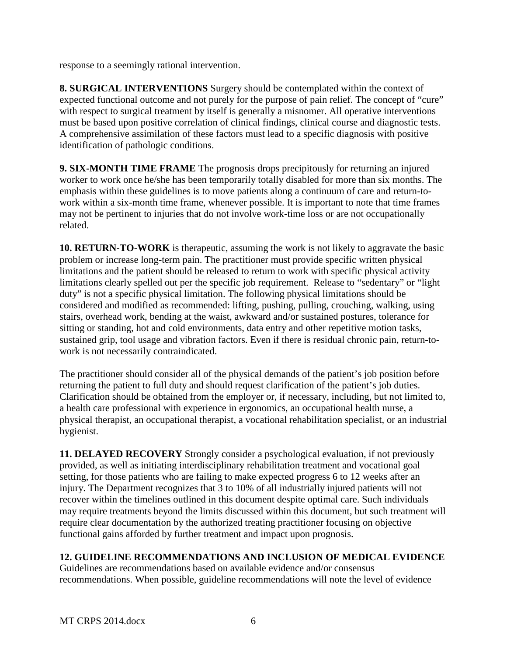response to a seemingly rational intervention.

**8. SURGICAL INTERVENTIONS** Surgery should be contemplated within the context of expected functional outcome and not purely for the purpose of pain relief. The concept of "cure" with respect to surgical treatment by itself is generally a misnomer. All operative interventions must be based upon positive correlation of clinical findings, clinical course and diagnostic tests. A comprehensive assimilation of these factors must lead to a specific diagnosis with positive identification of pathologic conditions.

**9. SIX-MONTH TIME FRAME** The prognosis drops precipitously for returning an injured worker to work once he/she has been temporarily totally disabled for more than six months. The emphasis within these guidelines is to move patients along a continuum of care and return-towork within a six-month time frame, whenever possible. It is important to note that time frames may not be pertinent to injuries that do not involve work-time loss or are not occupationally related.

**10. RETURN-TO-WORK** is therapeutic, assuming the work is not likely to aggravate the basic problem or increase long-term pain. The practitioner must provide specific written physical limitations and the patient should be released to return to work with specific physical activity limitations clearly spelled out per the specific job requirement. Release to "sedentary" or "light duty" is not a specific physical limitation. The following physical limitations should be considered and modified as recommended: lifting, pushing, pulling, crouching, walking, using stairs, overhead work, bending at the waist, awkward and/or sustained postures, tolerance for sitting or standing, hot and cold environments, data entry and other repetitive motion tasks, sustained grip, tool usage and vibration factors. Even if there is residual chronic pain, return-towork is not necessarily contraindicated.

The practitioner should consider all of the physical demands of the patient's job position before returning the patient to full duty and should request clarification of the patient's job duties. Clarification should be obtained from the employer or, if necessary, including, but not limited to, a health care professional with experience in ergonomics, an occupational health nurse, a physical therapist, an occupational therapist, a vocational rehabilitation specialist, or an industrial hygienist.

**11. DELAYED RECOVERY** Strongly consider a psychological evaluation, if not previously provided, as well as initiating interdisciplinary rehabilitation treatment and vocational goal setting, for those patients who are failing to make expected progress 6 to 12 weeks after an injury. The Department recognizes that 3 to 10% of all industrially injured patients will not recover within the timelines outlined in this document despite optimal care. Such individuals may require treatments beyond the limits discussed within this document, but such treatment will require clear documentation by the authorized treating practitioner focusing on objective functional gains afforded by further treatment and impact upon prognosis.

### **12. GUIDELINE RECOMMENDATIONS AND INCLUSION OF MEDICAL EVIDENCE**

Guidelines are recommendations based on available evidence and/or consensus recommendations. When possible, guideline recommendations will note the level of evidence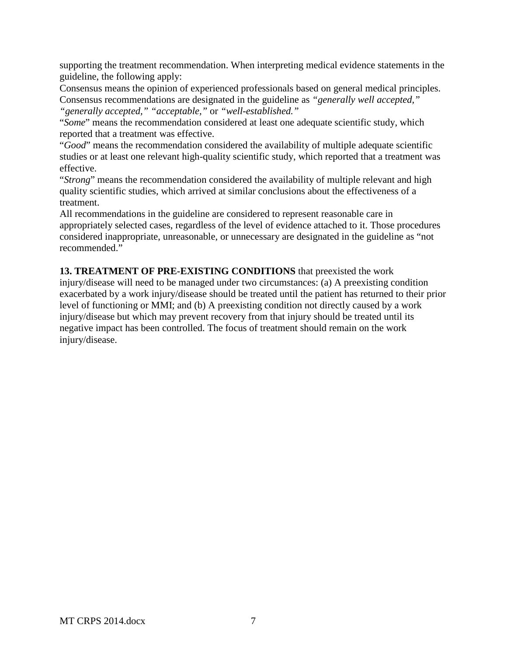supporting the treatment recommendation. When interpreting medical evidence statements in the guideline, the following apply:

Consensus means the opinion of experienced professionals based on general medical principles. Consensus recommendations are designated in the guideline as *"generally well accepted," "generally accepted," "acceptable,"* or *"well-established."*

"*Some*" means the recommendation considered at least one adequate scientific study, which reported that a treatment was effective.

"*Good*" means the recommendation considered the availability of multiple adequate scientific studies or at least one relevant high-quality scientific study, which reported that a treatment was effective.

"*Strong*" means the recommendation considered the availability of multiple relevant and high quality scientific studies, which arrived at similar conclusions about the effectiveness of a treatment.

All recommendations in the guideline are considered to represent reasonable care in appropriately selected cases, regardless of the level of evidence attached to it. Those procedures considered inappropriate, unreasonable, or unnecessary are designated in the guideline as "not recommended."

**13. TREATMENT OF PRE-EXISTING CONDITIONS** that preexisted the work injury/disease will need to be managed under two circumstances: (a) A preexisting condition exacerbated by a work injury/disease should be treated until the patient has returned to their prior level of functioning or MMI; and (b) A preexisting condition not directly caused by a work injury/disease but which may prevent recovery from that injury should be treated until its negative impact has been controlled. The focus of treatment should remain on the work injury/disease.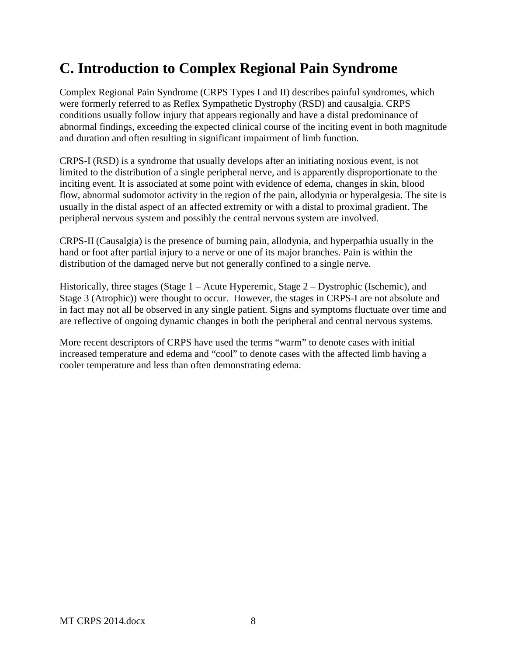# <span id="page-8-0"></span>**C. Introduction to Complex Regional Pain Syndrome**

Complex Regional Pain Syndrome (CRPS Types I and II) describes painful syndromes, which were formerly referred to as Reflex Sympathetic Dystrophy (RSD) and causalgia. CRPS conditions usually follow injury that appears regionally and have a distal predominance of abnormal findings, exceeding the expected clinical course of the inciting event in both magnitude and duration and often resulting in significant impairment of limb function.

CRPS-I (RSD) is a syndrome that usually develops after an initiating noxious event, is not limited to the distribution of a single peripheral nerve, and is apparently disproportionate to the inciting event. It is associated at some point with evidence of edema, changes in skin, blood flow, abnormal sudomotor activity in the region of the pain, allodynia or hyperalgesia. The site is usually in the distal aspect of an affected extremity or with a distal to proximal gradient. The peripheral nervous system and possibly the central nervous system are involved.

CRPS-II (Causalgia) is the presence of burning pain, allodynia, and hyperpathia usually in the hand or foot after partial injury to a nerve or one of its major branches. Pain is within the distribution of the damaged nerve but not generally confined to a single nerve.

Historically, three stages (Stage 1 – Acute Hyperemic, Stage 2 – Dystrophic (Ischemic), and Stage 3 (Atrophic)) were thought to occur. However, the stages in CRPS-I are not absolute and in fact may not all be observed in any single patient. Signs and symptoms fluctuate over time and are reflective of ongoing dynamic changes in both the peripheral and central nervous systems.

More recent descriptors of CRPS have used the terms "warm" to denote cases with initial increased temperature and edema and "cool" to denote cases with the affected limb having a cooler temperature and less than often demonstrating edema.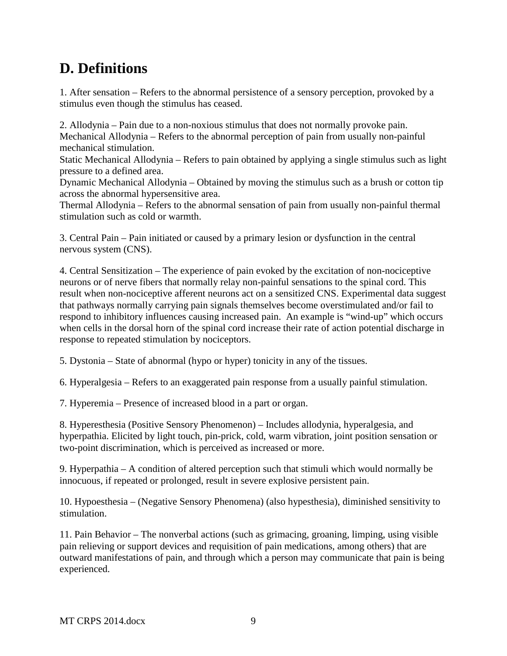# <span id="page-9-0"></span>**D. Definitions**

1. After sensation – Refers to the abnormal persistence of a sensory perception, provoked by a stimulus even though the stimulus has ceased.

2. Allodynia – Pain due to a non-noxious stimulus that does not normally provoke pain. Mechanical Allodynia – Refers to the abnormal perception of pain from usually non-painful mechanical stimulation.

Static Mechanical Allodynia – Refers to pain obtained by applying a single stimulus such as light pressure to a defined area.

Dynamic Mechanical Allodynia – Obtained by moving the stimulus such as a brush or cotton tip across the abnormal hypersensitive area.

Thermal Allodynia – Refers to the abnormal sensation of pain from usually non-painful thermal stimulation such as cold or warmth.

3. Central Pain – Pain initiated or caused by a primary lesion or dysfunction in the central nervous system (CNS).

4. Central Sensitization – The experience of pain evoked by the excitation of non-nociceptive neurons or of nerve fibers that normally relay non-painful sensations to the spinal cord. This result when non-nociceptive afferent neurons act on a sensitized CNS. Experimental data suggest that pathways normally carrying pain signals themselves become overstimulated and/or fail to respond to inhibitory influences causing increased pain. An example is "wind-up" which occurs when cells in the dorsal horn of the spinal cord increase their rate of action potential discharge in response to repeated stimulation by nociceptors.

5. Dystonia – State of abnormal (hypo or hyper) tonicity in any of the tissues.

6. Hyperalgesia – Refers to an exaggerated pain response from a usually painful stimulation.

7. Hyperemia – Presence of increased blood in a part or organ.

8. Hyperesthesia (Positive Sensory Phenomenon) – Includes allodynia, hyperalgesia, and hyperpathia. Elicited by light touch, pin-prick, cold, warm vibration, joint position sensation or two-point discrimination, which is perceived as increased or more.

9. Hyperpathia – A condition of altered perception such that stimuli which would normally be innocuous, if repeated or prolonged, result in severe explosive persistent pain.

10. Hypoesthesia – (Negative Sensory Phenomena) (also hypesthesia), diminished sensitivity to stimulation.

11. Pain Behavior – The nonverbal actions (such as grimacing, groaning, limping, using visible pain relieving or support devices and requisition of pain medications, among others) that are outward manifestations of pain, and through which a person may communicate that pain is being experienced.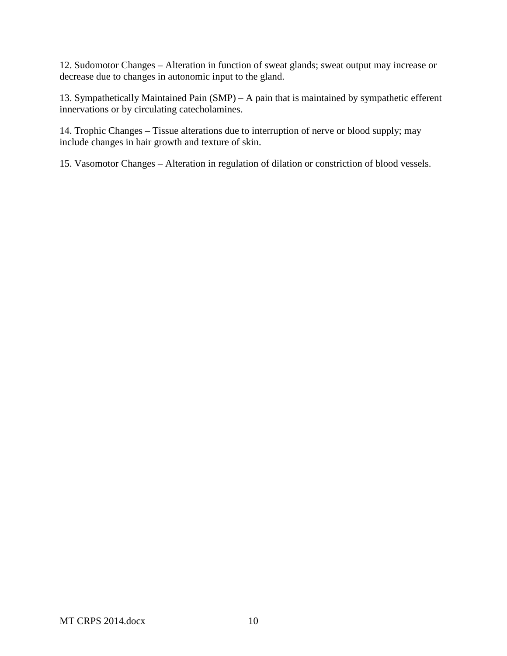12. Sudomotor Changes – Alteration in function of sweat glands; sweat output may increase or decrease due to changes in autonomic input to the gland.

13. Sympathetically Maintained Pain (SMP) – A pain that is maintained by sympathetic efferent innervations or by circulating catecholamines.

14. Trophic Changes – Tissue alterations due to interruption of nerve or blood supply; may include changes in hair growth and texture of skin.

15. Vasomotor Changes – Alteration in regulation of dilation or constriction of blood vessels.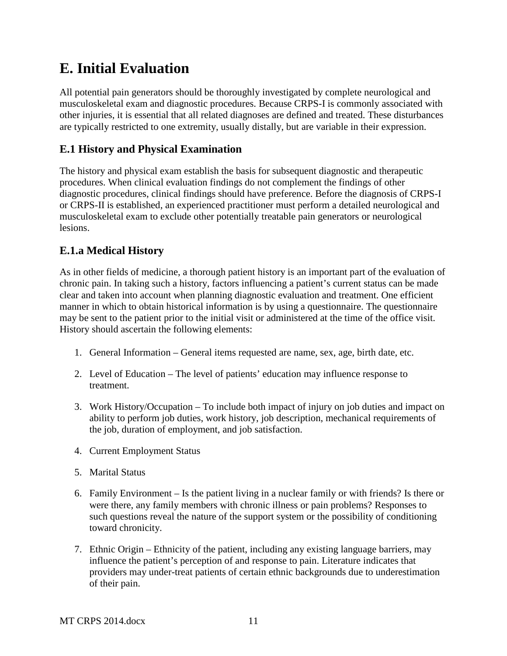# <span id="page-11-0"></span>**E. Initial Evaluation**

All potential pain generators should be thoroughly investigated by complete neurological and musculoskeletal exam and diagnostic procedures. Because CRPS-I is commonly associated with other injuries, it is essential that all related diagnoses are defined and treated. These disturbances are typically restricted to one extremity, usually distally, but are variable in their expression.

## <span id="page-11-1"></span>**E.1 History and Physical Examination**

The history and physical exam establish the basis for subsequent diagnostic and therapeutic procedures. When clinical evaluation findings do not complement the findings of other diagnostic procedures, clinical findings should have preference. Before the diagnosis of CRPS-I or CRPS-II is established, an experienced practitioner must perform a detailed neurological and musculoskeletal exam to exclude other potentially treatable pain generators or neurological lesions.

## <span id="page-11-2"></span>**E.1.a Medical History**

As in other fields of medicine, a thorough patient history is an important part of the evaluation of chronic pain. In taking such a history, factors influencing a patient's current status can be made clear and taken into account when planning diagnostic evaluation and treatment. One efficient manner in which to obtain historical information is by using a questionnaire. The questionnaire may be sent to the patient prior to the initial visit or administered at the time of the office visit. History should ascertain the following elements:

- 1. General Information General items requested are name, sex, age, birth date, etc.
- 2. Level of Education The level of patients' education may influence response to treatment.
- 3. Work History/Occupation To include both impact of injury on job duties and impact on ability to perform job duties, work history, job description, mechanical requirements of the job, duration of employment, and job satisfaction.
- 4. Current Employment Status
- 5. Marital Status
- 6. Family Environment Is the patient living in a nuclear family or with friends? Is there or were there, any family members with chronic illness or pain problems? Responses to such questions reveal the nature of the support system or the possibility of conditioning toward chronicity.
- 7. Ethnic Origin Ethnicity of the patient, including any existing language barriers, may influence the patient's perception of and response to pain. Literature indicates that providers may under-treat patients of certain ethnic backgrounds due to underestimation of their pain.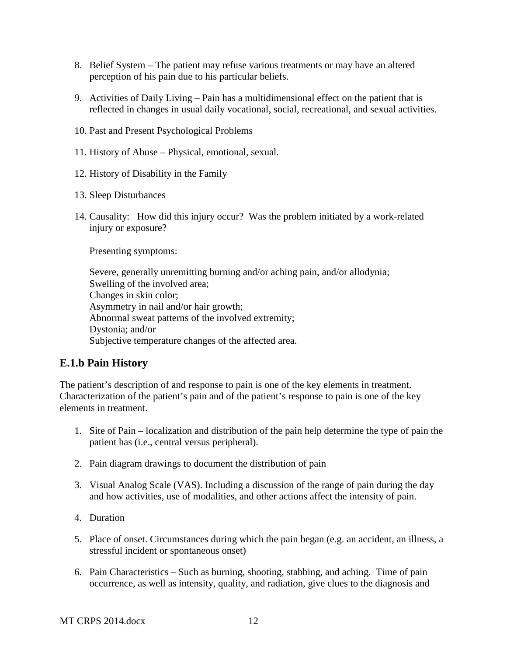- 8. Belief System The patient may refuse various treatments or may have an altered perception of his pain due to his particular beliefs.
- 9. Activities of Daily Living Pain has a multidimensional effect on the patient that is reflected in changes in usual daily vocational, social, recreational, and sexual activities.
- 10. Past and Present Psychological Problems
- 11. History of Abuse Physical, emotional, sexual.
- 12. History of Disability in the Family
- 13. Sleep Disturbances
- 14. Causality: How did this injury occur? Was the problem initiated by a work-related injury or exposure?

Presenting symptoms:

Severe, generally unremitting burning and/or aching pain, and/or allodynia; Swelling of the involved area; Changes in skin color; Asymmetry in nail and/or hair growth; Abnormal sweat patterns of the involved extremity; Dystonia; and/or Subjective temperature changes of the affected area.

### <span id="page-12-0"></span>**E.1.b Pain History**

The patient's description of and response to pain is one of the key elements in treatment. Characterization of the patient's pain and of the patient's response to pain is one of the key elements in treatment.

- 1. Site of Pain localization and distribution of the pain help determine the type of pain the patient has (i.e., central versus peripheral).
- 2. Pain diagram drawings to document the distribution of pain
- 3. Visual Analog Scale (VAS). Including a discussion of the range of pain during the day and how activities, use of modalities, and other actions affect the intensity of pain.
- 4. Duration
- 5. Place of onset. Circumstances during which the pain began (e.g. an accident, an illness, a stressful incident or spontaneous onset)
- 6. Pain Characteristics Such as burning, shooting, stabbing, and aching. Time of pain occurrence, as well as intensity, quality, and radiation, give clues to the diagnosis and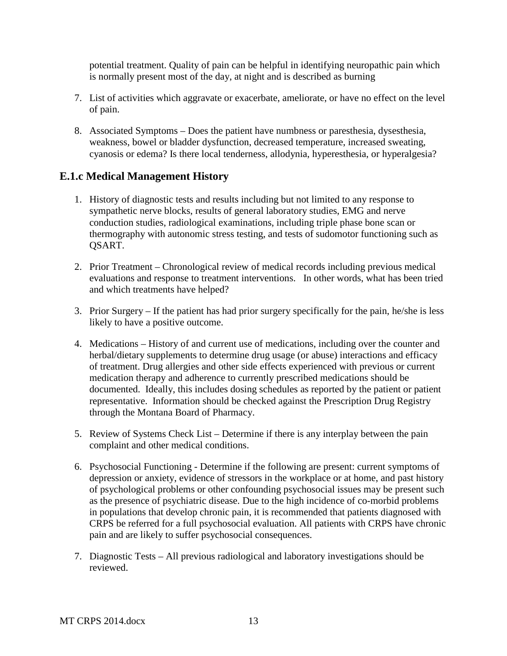potential treatment. Quality of pain can be helpful in identifying neuropathic pain which is normally present most of the day, at night and is described as burning

- 7. List of activities which aggravate or exacerbate, ameliorate, or have no effect on the level of pain.
- 8. Associated Symptoms Does the patient have numbness or paresthesia, dysesthesia, weakness, bowel or bladder dysfunction, decreased temperature, increased sweating, cyanosis or edema? Is there local tenderness, allodynia, hyperesthesia, or hyperalgesia?

## <span id="page-13-0"></span>**E.1.c Medical Management History**

- 1. History of diagnostic tests and results including but not limited to any response to sympathetic nerve blocks, results of general laboratory studies, EMG and nerve conduction studies, radiological examinations, including triple phase bone scan or thermography with autonomic stress testing, and tests of sudomotor functioning such as QSART.
- 2. Prior Treatment Chronological review of medical records including previous medical evaluations and response to treatment interventions. In other words, what has been tried and which treatments have helped?
- 3. Prior Surgery If the patient has had prior surgery specifically for the pain, he/she is less likely to have a positive outcome.
- 4. Medications History of and current use of medications, including over the counter and herbal/dietary supplements to determine drug usage (or abuse) interactions and efficacy of treatment. Drug allergies and other side effects experienced with previous or current medication therapy and adherence to currently prescribed medications should be documented. Ideally, this includes dosing schedules as reported by the patient or patient representative. Information should be checked against the Prescription Drug Registry through the Montana Board of Pharmacy.
- 5. Review of Systems Check List Determine if there is any interplay between the pain complaint and other medical conditions.
- 6. Psychosocial Functioning Determine if the following are present: current symptoms of depression or anxiety, evidence of stressors in the workplace or at home, and past history of psychological problems or other confounding psychosocial issues may be present such as the presence of psychiatric disease. Due to the high incidence of co-morbid problems in populations that develop chronic pain, it is recommended that patients diagnosed with CRPS be referred for a full psychosocial evaluation. All patients with CRPS have chronic pain and are likely to suffer psychosocial consequences.
- 7. Diagnostic Tests All previous radiological and laboratory investigations should be reviewed.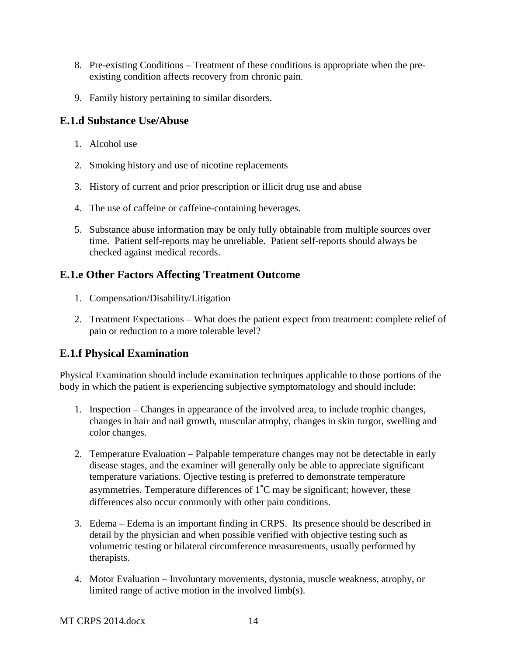- 8. Pre-existing Conditions Treatment of these conditions is appropriate when the preexisting condition affects recovery from chronic pain.
- 9. Family history pertaining to similar disorders.

## <span id="page-14-0"></span>**E.1.d Substance Use/Abuse**

- 1. Alcohol use
- 2. Smoking history and use of nicotine replacements
- 3. History of current and prior prescription or illicit drug use and abuse
- 4. The use of caffeine or caffeine-containing beverages.
- 5. Substance abuse information may be only fully obtainable from multiple sources over time. Patient self-reports may be unreliable. Patient self-reports should always be checked against medical records.

# <span id="page-14-1"></span>**E.1.e Other Factors Affecting Treatment Outcome**

- 1. Compensation/Disability/Litigation
- 2. Treatment Expectations What does the patient expect from treatment: complete relief of pain or reduction to a more tolerable level?

# <span id="page-14-2"></span>**E.1.f Physical Examination**

Physical Examination should include examination techniques applicable to those portions of the body in which the patient is experiencing subjective symptomatology and should include:

- 1. Inspection Changes in appearance of the involved area, to include trophic changes, changes in hair and nail growth, muscular atrophy, changes in skin turgor, swelling and color changes.
- 2. Temperature Evaluation Palpable temperature changes may not be detectable in early disease stages, and the examiner will generally only be able to appreciate significant temperature variations. Ojective testing is preferred to demonstrate temperature asymmetries. Temperature differences of 1˚C may be significant; however, these differences also occur commonly with other pain conditions.
- 3. Edema Edema is an important finding in CRPS. Its presence should be described in detail by the physician and when possible verified with objective testing such as volumetric testing or bilateral circumference measurements, usually performed by therapists.
- 4. Motor Evaluation Involuntary movements, dystonia, muscle weakness, atrophy, or limited range of active motion in the involved limb(s).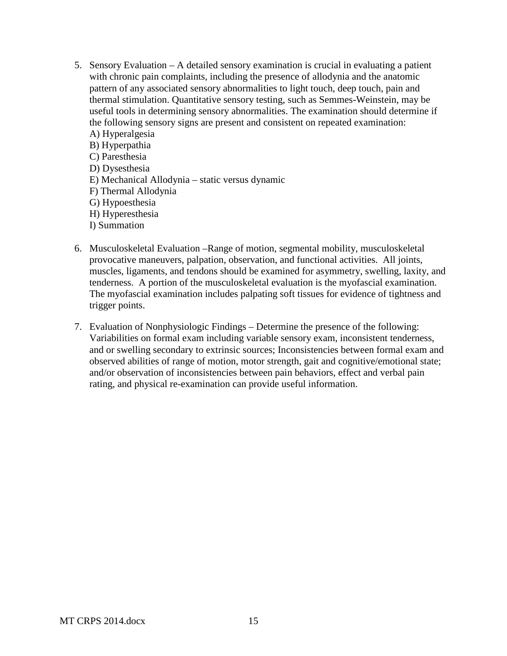- 5. Sensory Evaluation A detailed sensory examination is crucial in evaluating a patient with chronic pain complaints, including the presence of allodynia and the anatomic pattern of any associated sensory abnormalities to light touch, deep touch, pain and thermal stimulation. Quantitative sensory testing, such as Semmes-Weinstein, may be useful tools in determining sensory abnormalities. The examination should determine if the following sensory signs are present and consistent on repeated examination: A) Hyperalgesia
	- B) Hyperpathia C) Paresthesia D) Dysesthesia E) Mechanical Allodynia – static versus dynamic F) Thermal Allodynia G) Hypoesthesia H) Hyperesthesia I) Summation
- 6. Musculoskeletal Evaluation –Range of motion, segmental mobility, musculoskeletal provocative maneuvers, palpation, observation, and functional activities. All joints, muscles, ligaments, and tendons should be examined for asymmetry, swelling, laxity, and tenderness. A portion of the musculoskeletal evaluation is the myofascial examination. The myofascial examination includes palpating soft tissues for evidence of tightness and trigger points.
- 7. Evaluation of Nonphysiologic Findings Determine the presence of the following: Variabilities on formal exam including variable sensory exam, inconsistent tenderness, and or swelling secondary to extrinsic sources; Inconsistencies between formal exam and observed abilities of range of motion, motor strength, gait and cognitive/emotional state; and/or observation of inconsistencies between pain behaviors, effect and verbal pain rating, and physical re-examination can provide useful information.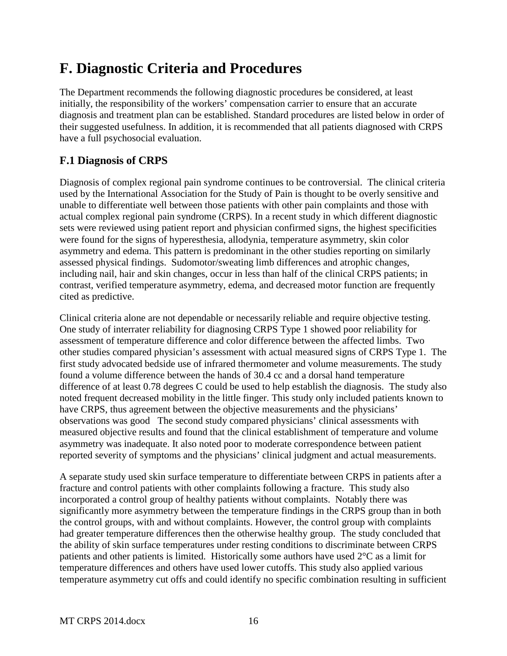# <span id="page-16-0"></span>**F. Diagnostic Criteria and Procedures**

The Department recommends the following diagnostic procedures be considered, at least initially, the responsibility of the workers' compensation carrier to ensure that an accurate diagnosis and treatment plan can be established. Standard procedures are listed below in order of their suggested usefulness. In addition, it is recommended that all patients diagnosed with CRPS have a full psychosocial evaluation.

# <span id="page-16-1"></span>**F.1 Diagnosis of CRPS**

Diagnosis of complex regional pain syndrome continues to be controversial. The clinical criteria used by the International Association for the Study of Pain is thought to be overly sensitive and unable to differentiate well between those patients with other pain complaints and those with actual complex regional pain syndrome (CRPS). In a recent study in which different diagnostic sets were reviewed using patient report and physician confirmed signs, the highest specificities were found for the signs of hyperesthesia, allodynia, temperature asymmetry, skin color asymmetry and edema. This pattern is predominant in the other studies reporting on similarly assessed physical findings. Sudomotor/sweating limb differences and atrophic changes, including nail, hair and skin changes, occur in less than half of the clinical CRPS patients; in contrast, verified temperature asymmetry, edema, and decreased motor function are frequently cited as predictive.

Clinical criteria alone are not dependable or necessarily reliable and require objective testing. One study of interrater reliability for diagnosing CRPS Type 1 showed poor reliability for assessment of temperature difference and color difference between the affected limbs. Two other studies compared physician's assessment with actual measured signs of CRPS Type 1. The first study advocated bedside use of infrared thermometer and volume measurements. The study found a volume difference between the hands of 30.4 cc and a dorsal hand temperature difference of at least 0.78 degrees C could be used to help establish the diagnosis. The study also noted frequent decreased mobility in the little finger. This study only included patients known to have CRPS, thus agreement between the objective measurements and the physicians' observations was good The second study compared physicians' clinical assessments with measured objective results and found that the clinical establishment of temperature and volume asymmetry was inadequate. It also noted poor to moderate correspondence between patient reported severity of symptoms and the physicians' clinical judgment and actual measurements.

A separate study used skin surface temperature to differentiate between CRPS in patients after a fracture and control patients with other complaints following a fracture. This study also incorporated a control group of healthy patients without complaints. Notably there was significantly more asymmetry between the temperature findings in the CRPS group than in both the control groups, with and without complaints. However, the control group with complaints had greater temperature differences then the otherwise healthy group. The study concluded that the ability of skin surface temperatures under resting conditions to discriminate between CRPS patients and other patients is limited. Historically some authors have used 2°C as a limit for temperature differences and others have used lower cutoffs. This study also applied various temperature asymmetry cut offs and could identify no specific combination resulting in sufficient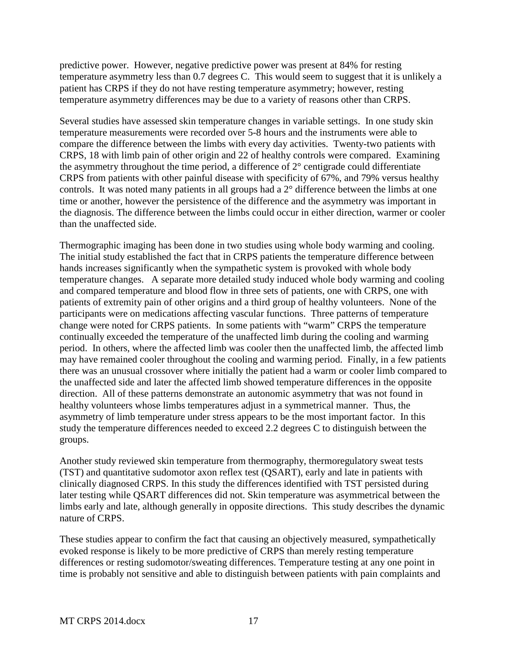predictive power. However, negative predictive power was present at 84% for resting temperature asymmetry less than 0.7 degrees C. This would seem to suggest that it is unlikely a patient has CRPS if they do not have resting temperature asymmetry; however, resting temperature asymmetry differences may be due to a variety of reasons other than CRPS.

Several studies have assessed skin temperature changes in variable settings. In one study skin temperature measurements were recorded over 5-8 hours and the instruments were able to compare the difference between the limbs with every day activities. Twenty-two patients with CRPS, 18 with limb pain of other origin and 22 of healthy controls were compared. Examining the asymmetry throughout the time period, a difference of 2° centigrade could differentiate CRPS from patients with other painful disease with specificity of 67%, and 79% versus healthy controls. It was noted many patients in all groups had a 2° difference between the limbs at one time or another, however the persistence of the difference and the asymmetry was important in the diagnosis. The difference between the limbs could occur in either direction, warmer or cooler than the unaffected side.

Thermographic imaging has been done in two studies using whole body warming and cooling. The initial study established the fact that in CRPS patients the temperature difference between hands increases significantly when the sympathetic system is provoked with whole body temperature changes. A separate more detailed study induced whole body warming and cooling and compared temperature and blood flow in three sets of patients, one with CRPS, one with patients of extremity pain of other origins and a third group of healthy volunteers. None of the participants were on medications affecting vascular functions. Three patterns of temperature change were noted for CRPS patients. In some patients with "warm" CRPS the temperature continually exceeded the temperature of the unaffected limb during the cooling and warming period. In others, where the affected limb was cooler then the unaffected limb, the affected limb may have remained cooler throughout the cooling and warming period. Finally, in a few patients there was an unusual crossover where initially the patient had a warm or cooler limb compared to the unaffected side and later the affected limb showed temperature differences in the opposite direction. All of these patterns demonstrate an autonomic asymmetry that was not found in healthy volunteers whose limbs temperatures adjust in a symmetrical manner. Thus, the asymmetry of limb temperature under stress appears to be the most important factor. In this study the temperature differences needed to exceed 2.2 degrees C to distinguish between the groups.

Another study reviewed skin temperature from thermography, thermoregulatory sweat tests (TST) and quantitative sudomotor axon reflex test (QSART), early and late in patients with clinically diagnosed CRPS. In this study the differences identified with TST persisted during later testing while QSART differences did not. Skin temperature was asymmetrical between the limbs early and late, although generally in opposite directions. This study describes the dynamic nature of CRPS.

These studies appear to confirm the fact that causing an objectively measured, sympathetically evoked response is likely to be more predictive of CRPS than merely resting temperature differences or resting sudomotor/sweating differences. Temperature testing at any one point in time is probably not sensitive and able to distinguish between patients with pain complaints and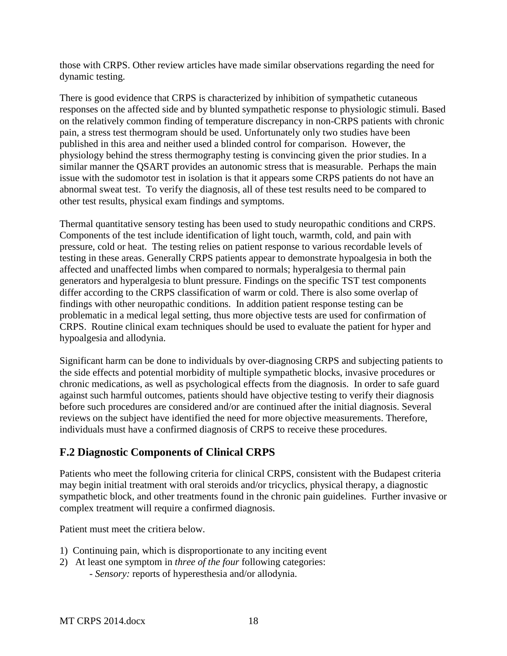those with CRPS. Other review articles have made similar observations regarding the need for dynamic testing.

There is good evidence that CRPS is characterized by inhibition of sympathetic cutaneous responses on the affected side and by blunted sympathetic response to physiologic stimuli. Based on the relatively common finding of temperature discrepancy in non-CRPS patients with chronic pain, a stress test thermogram should be used. Unfortunately only two studies have been published in this area and neither used a blinded control for comparison. However, the physiology behind the stress thermography testing is convincing given the prior studies. In a similar manner the QSART provides an autonomic stress that is measurable. Perhaps the main issue with the sudomotor test in isolation is that it appears some CRPS patients do not have an abnormal sweat test. To verify the diagnosis, all of these test results need to be compared to other test results, physical exam findings and symptoms.

Thermal quantitative sensory testing has been used to study neuropathic conditions and CRPS. Components of the test include identification of light touch, warmth, cold, and pain with pressure, cold or heat. The testing relies on patient response to various recordable levels of testing in these areas. Generally CRPS patients appear to demonstrate hypoalgesia in both the affected and unaffected limbs when compared to normals; hyperalgesia to thermal pain generators and hyperalgesia to blunt pressure. Findings on the specific TST test components differ according to the CRPS classification of warm or cold. There is also some overlap of findings with other neuropathic conditions. In addition patient response testing can be problematic in a medical legal setting, thus more objective tests are used for confirmation of CRPS. Routine clinical exam techniques should be used to evaluate the patient for hyper and hypoalgesia and allodynia.

Significant harm can be done to individuals by over-diagnosing CRPS and subjecting patients to the side effects and potential morbidity of multiple sympathetic blocks, invasive procedures or chronic medications, as well as psychological effects from the diagnosis. In order to safe guard against such harmful outcomes, patients should have objective testing to verify their diagnosis before such procedures are considered and/or are continued after the initial diagnosis. Several reviews on the subject have identified the need for more objective measurements. Therefore, individuals must have a confirmed diagnosis of CRPS to receive these procedures.

# <span id="page-18-0"></span>**F.2 Diagnostic Components of Clinical CRPS**

Patients who meet the following criteria for clinical CRPS, consistent with the Budapest criteria may begin initial treatment with oral steroids and/or tricyclics, physical therapy, a diagnostic sympathetic block, and other treatments found in the chronic pain guidelines. Further invasive or complex treatment will require a confirmed diagnosis.

Patient must meet the critiera below.

- 1) Continuing pain, which is disproportionate to any inciting event
- 2) At least one symptom in *three of the four* following categories:
	- *- Sensory:* reports of hyperesthesia and/or allodynia.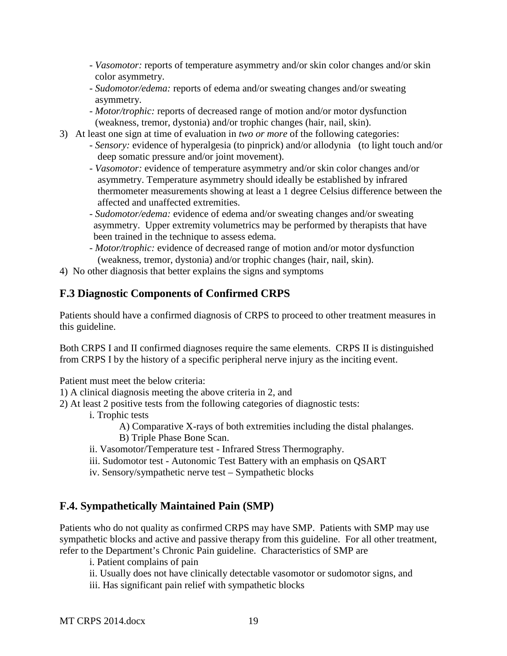- *- Vasomotor:* reports of temperature asymmetry and/or skin color changes and/or skin color asymmetry.
- *- Sudomotor/edema:* reports of edema and/or sweating changes and/or sweating asymmetry.
- *- Motor/trophic:* reports of decreased range of motion and/or motor dysfunction (weakness, tremor, dystonia) and/or trophic changes (hair, nail, skin).
- 3) At least one sign at time of evaluation in *two or more* of the following categories:
	- *Sensory:* evidence of hyperalgesia (to pinprick) and/or allodynia (to light touch and/or deep somatic pressure and/or joint movement).
	- *Vasomotor:* evidence of temperature asymmetry and/or skin color changes and/or asymmetry. Temperature asymmetry should ideally be established by infrared thermometer measurements showing at least a 1 degree Celsius difference between the affected and unaffected extremities.
	- *- Sudomotor/edema:* evidence of edema and/or sweating changes and/or sweating asymmetry. Upper extremity volumetrics may be performed by therapists that have been trained in the technique to assess edema.
	- *- Motor/trophic:* evidence of decreased range of motion and/or motor dysfunction (weakness, tremor, dystonia) and/or trophic changes (hair, nail, skin).
- 4) No other diagnosis that better explains the signs and symptoms

## <span id="page-19-0"></span>**F.3 Diagnostic Components of Confirmed CRPS**

Patients should have a confirmed diagnosis of CRPS to proceed to other treatment measures in this guideline.

Both CRPS I and II confirmed diagnoses require the same elements. CRPS II is distinguished from CRPS I by the history of a specific peripheral nerve injury as the inciting event.

Patient must meet the below criteria:

- 1) A clinical diagnosis meeting the above criteria in 2, and
- 2) At least 2 positive tests from the following categories of diagnostic tests:
	- i. Trophic tests

A) Comparative X-rays of both extremities including the distal phalanges. B) Triple Phase Bone Scan.

- ii. Vasomotor/Temperature test Infrared Stress Thermography.
- iii. Sudomotor test Autonomic Test Battery with an emphasis on QSART
- iv. Sensory/sympathetic nerve test Sympathetic blocks

### <span id="page-19-1"></span>**F.4. Sympathetically Maintained Pain (SMP)**

Patients who do not quality as confirmed CRPS may have SMP. Patients with SMP may use sympathetic blocks and active and passive therapy from this guideline. For all other treatment, refer to the Department's Chronic Pain guideline. Characteristics of SMP are

i. Patient complains of pain

- ii. Usually does not have clinically detectable vasomotor or sudomotor signs, and
- iii. Has significant pain relief with sympathetic blocks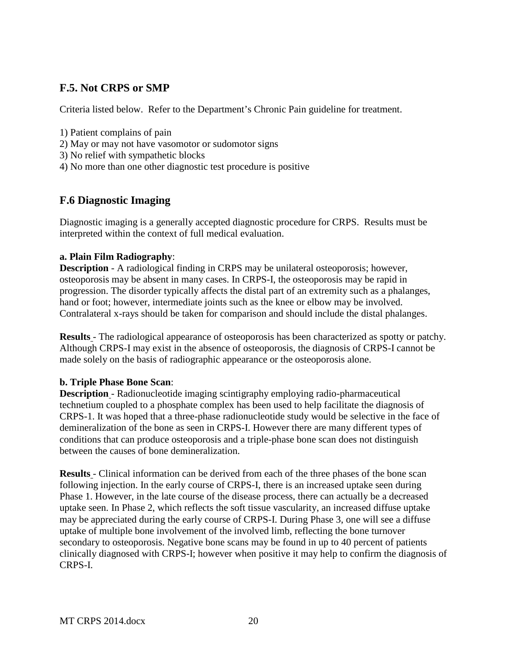## <span id="page-20-0"></span>**F.5. Not CRPS or SMP**

Criteria listed below. Refer to the Department's Chronic Pain guideline for treatment.

- 1) Patient complains of pain
- 2) May or may not have vasomotor or sudomotor signs
- 3) No relief with sympathetic blocks
- 4) No more than one other diagnostic test procedure is positive

### <span id="page-20-1"></span>**F.6 Diagnostic Imaging**

Diagnostic imaging is a generally accepted diagnostic procedure for CRPS. Results must be interpreted within the context of full medical evaluation.

#### **a. Plain Film Radiography**:

**Description** - A radiological finding in CRPS may be unilateral osteoporosis; however, osteoporosis may be absent in many cases. In CRPS-I, the osteoporosis may be rapid in progression. The disorder typically affects the distal part of an extremity such as a phalanges, hand or foot; however, intermediate joints such as the knee or elbow may be involved. Contralateral x-rays should be taken for comparison and should include the distal phalanges.

**Results** - The radiological appearance of osteoporosis has been characterized as spotty or patchy. Although CRPS-I may exist in the absence of osteoporosis, the diagnosis of CRPS-I cannot be made solely on the basis of radiographic appearance or the osteoporosis alone.

#### **b. Triple Phase Bone Scan**:

**Description** - Radionucleotide imaging scintigraphy employing radio-pharmaceutical technetium coupled to a phosphate complex has been used to help facilitate the diagnosis of CRPS-1. It was hoped that a three-phase radionucleotide study would be selective in the face of demineralization of the bone as seen in CRPS-I. However there are many different types of conditions that can produce osteoporosis and a triple-phase bone scan does not distinguish between the causes of bone demineralization.

**Results** - Clinical information can be derived from each of the three phases of the bone scan following injection. In the early course of CRPS-I, there is an increased uptake seen during Phase 1. However, in the late course of the disease process, there can actually be a decreased uptake seen. In Phase 2, which reflects the soft tissue vascularity, an increased diffuse uptake may be appreciated during the early course of CRPS-I. During Phase 3, one will see a diffuse uptake of multiple bone involvement of the involved limb, reflecting the bone turnover secondary to osteoporosis. Negative bone scans may be found in up to 40 percent of patients clinically diagnosed with CRPS-I; however when positive it may help to confirm the diagnosis of CRPS-I.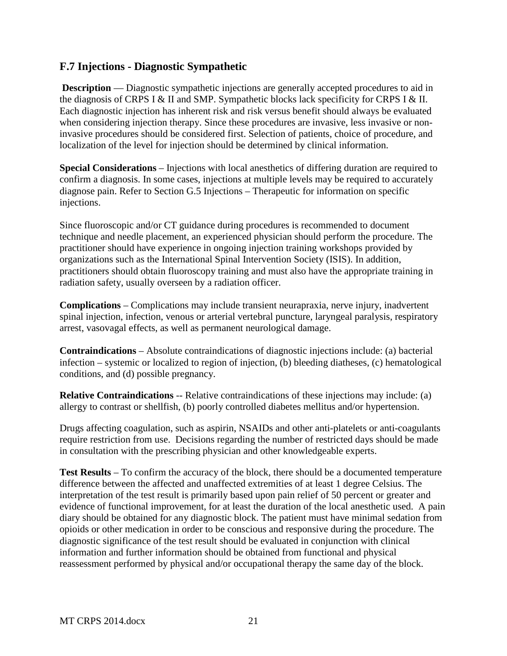### <span id="page-21-0"></span>**F.7 Injections - Diagnostic Sympathetic**

**Description** — Diagnostic sympathetic injections are generally accepted procedures to aid in the diagnosis of CRPS I & II and SMP. Sympathetic blocks lack specificity for CRPS I & II. Each diagnostic injection has inherent risk and risk versus benefit should always be evaluated when considering injection therapy. Since these procedures are invasive, less invasive or noninvasive procedures should be considered first. Selection of patients, choice of procedure, and localization of the level for injection should be determined by clinical information.

**Special Considerations** – Injections with local anesthetics of differing duration are required to confirm a diagnosis. In some cases, injections at multiple levels may be required to accurately diagnose pain. Refer to Section G.5 Injections – Therapeutic for information on specific injections.

Since fluoroscopic and/or CT guidance during procedures is recommended to document technique and needle placement, an experienced physician should perform the procedure. The practitioner should have experience in ongoing injection training workshops provided by organizations such as the International Spinal Intervention Society (ISIS). In addition, practitioners should obtain fluoroscopy training and must also have the appropriate training in radiation safety, usually overseen by a radiation officer.

**Complications** – Complications may include transient neurapraxia, nerve injury, inadvertent spinal injection, infection, venous or arterial vertebral puncture, laryngeal paralysis, respiratory arrest, vasovagal effects, as well as permanent neurological damage.

**Contraindications** – Absolute contraindications of diagnostic injections include: (a) bacterial infection – systemic or localized to region of injection, (b) bleeding diatheses, (c) hematological conditions, and (d) possible pregnancy.

**Relative Contraindications** -- Relative contraindications of these injections may include: (a) allergy to contrast or shellfish, (b) poorly controlled diabetes mellitus and/or hypertension.

Drugs affecting coagulation, such as aspirin, NSAIDs and other anti-platelets or anti-coagulants require restriction from use. Decisions regarding the number of restricted days should be made in consultation with the prescribing physician and other knowledgeable experts.

**Test Results** – To confirm the accuracy of the block, there should be a documented temperature difference between the affected and unaffected extremities of at least 1 degree Celsius. The interpretation of the test result is primarily based upon pain relief of 50 percent or greater and evidence of functional improvement, for at least the duration of the local anesthetic used. A pain diary should be obtained for any diagnostic block. The patient must have minimal sedation from opioids or other medication in order to be conscious and responsive during the procedure. The diagnostic significance of the test result should be evaluated in conjunction with clinical information and further information should be obtained from functional and physical reassessment performed by physical and/or occupational therapy the same day of the block.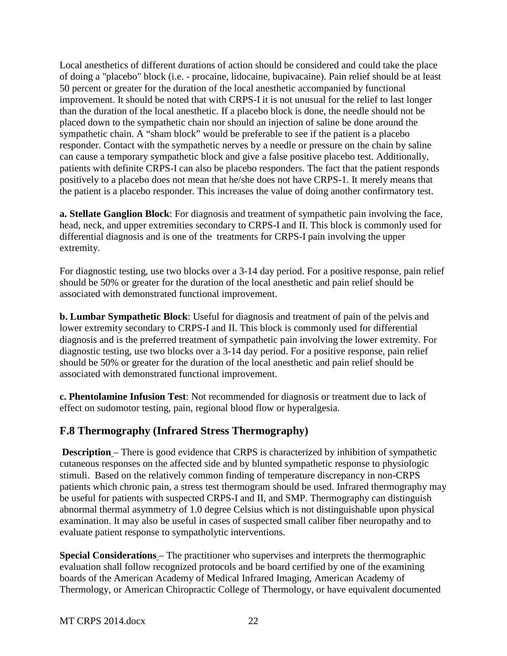Local anesthetics of different durations of action should be considered and could take the place of doing a "placebo" block (i.e. - procaine, lidocaine, bupivacaine). Pain relief should be at least 50 percent or greater for the duration of the local anesthetic accompanied by functional improvement. It should be noted that with CRPS-I it is not unusual for the relief to last longer than the duration of the local anesthetic. If a placebo block is done, the needle should not be placed down to the sympathetic chain nor should an injection of saline be done around the sympathetic chain. A "sham block" would be preferable to see if the patient is a placebo responder. Contact with the sympathetic nerves by a needle or pressure on the chain by saline can cause a temporary sympathetic block and give a false positive placebo test. Additionally, patients with definite CRPS-I can also be placebo responders. The fact that the patient responds positively to a placebo does not mean that he/she does not have CRPS-1. It merely means that the patient is a placebo responder. This increases the value of doing another confirmatory test.

**a. Stellate Ganglion Block**: For diagnosis and treatment of sympathetic pain involving the face, head, neck, and upper extremities secondary to CRPS-I and II. This block is commonly used for differential diagnosis and is one of the treatments for CRPS-I pain involving the upper extremity.

For diagnostic testing, use two blocks over a 3-14 day period. For a positive response, pain relief should be 50% or greater for the duration of the local anesthetic and pain relief should be associated with demonstrated functional improvement.

**b. Lumbar Sympathetic Block**: Useful for diagnosis and treatment of pain of the pelvis and lower extremity secondary to CRPS-I and II. This block is commonly used for differential diagnosis and is the preferred treatment of sympathetic pain involving the lower extremity. For diagnostic testing, use two blocks over a 3-14 day period. For a positive response, pain relief should be 50% or greater for the duration of the local anesthetic and pain relief should be associated with demonstrated functional improvement.

**c. Phentolamine Infusion Test**: Not recommended for diagnosis or treatment due to lack of effect on sudomotor testing, pain, regional blood flow or hyperalgesia.

## <span id="page-22-0"></span>**F.8 Thermography (Infrared Stress Thermography)**

**Description** – There is good evidence that CRPS is characterized by inhibition of sympathetic cutaneous responses on the affected side and by blunted sympathetic response to physiologic stimuli. Based on the relatively common finding of temperature discrepancy in non-CRPS patients which chronic pain, a stress test thermogram should be used. Infrared thermography may be useful for patients with suspected CRPS-I and II, and SMP. Thermography can distinguish abnormal thermal asymmetry of 1.0 degree Celsius which is not distinguishable upon physical examination. It may also be useful in cases of suspected small caliber fiber neuropathy and to evaluate patient response to sympatholytic interventions.

**Special Considerations** – The practitioner who supervises and interprets the thermographic evaluation shall follow recognized protocols and be board certified by one of the examining boards of the American Academy of Medical Infrared Imaging, American Academy of Thermology, or American Chiropractic College of Thermology, or have equivalent documented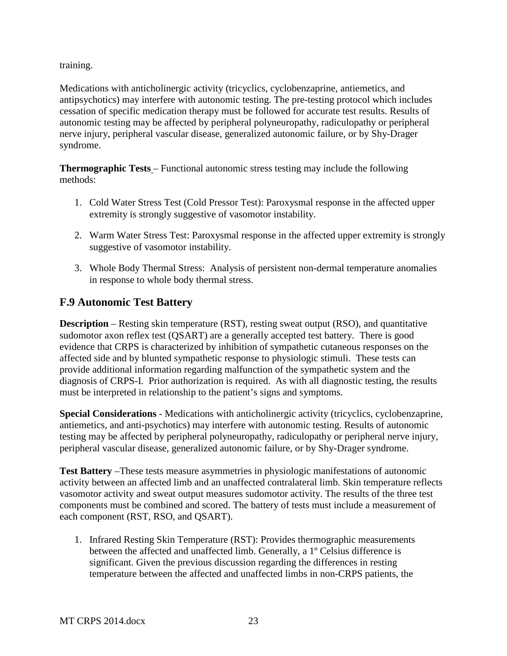training.

Medications with anticholinergic activity (tricyclics, cyclobenzaprine, antiemetics, and antipsychotics) may interfere with autonomic testing. The pre-testing protocol which includes cessation of specific medication therapy must be followed for accurate test results. Results of autonomic testing may be affected by peripheral polyneuropathy, radiculopathy or peripheral nerve injury, peripheral vascular disease, generalized autonomic failure, or by Shy-Drager syndrome.

**Thermographic Tests** – Functional autonomic stress testing may include the following methods:

- 1. Cold Water Stress Test (Cold Pressor Test): Paroxysmal response in the affected upper extremity is strongly suggestive of vasomotor instability.
- 2. Warm Water Stress Test: Paroxysmal response in the affected upper extremity is strongly suggestive of vasomotor instability.
- 3. Whole Body Thermal Stress: Analysis of persistent non-dermal temperature anomalies in response to whole body thermal stress.

## <span id="page-23-0"></span>**F.9 Autonomic Test Battery**

**Description** – Resting skin temperature (RST), resting sweat output (RSO), and quantitative sudomotor axon reflex test (QSART) are a generally accepted test battery. There is good evidence that CRPS is characterized by inhibition of sympathetic cutaneous responses on the affected side and by blunted sympathetic response to physiologic stimuli. These tests can provide additional information regarding malfunction of the sympathetic system and the diagnosis of CRPS-I. Prior authorization is required. As with all diagnostic testing, the results must be interpreted in relationship to the patient's signs and symptoms.

**Special Considerations** - Medications with anticholinergic activity (tricyclics, cyclobenzaprine, antiemetics, and anti-psychotics) may interfere with autonomic testing. Results of autonomic testing may be affected by peripheral polyneuropathy, radiculopathy or peripheral nerve injury, peripheral vascular disease, generalized autonomic failure, or by Shy-Drager syndrome.

**Test Battery** –These tests measure asymmetries in physiologic manifestations of autonomic activity between an affected limb and an unaffected contralateral limb. Skin temperature reflects vasomotor activity and sweat output measures sudomotor activity. The results of the three test components must be combined and scored. The battery of tests must include a measurement of each component (RST, RSO, and QSART).

1. Infrared Resting Skin Temperature (RST): Provides thermographic measurements between the affected and unaffected limb. Generally, a 1º Celsius difference is significant. Given the previous discussion regarding the differences in resting temperature between the affected and unaffected limbs in non-CRPS patients, the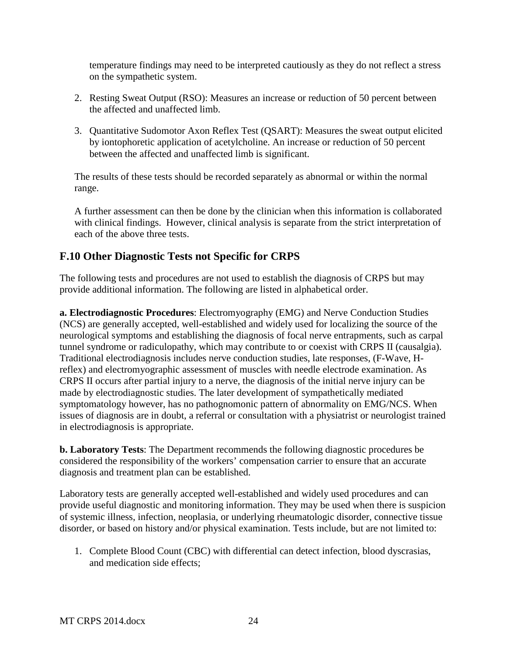temperature findings may need to be interpreted cautiously as they do not reflect a stress on the sympathetic system.

- 2. Resting Sweat Output (RSO): Measures an increase or reduction of 50 percent between the affected and unaffected limb.
- 3. Quantitative Sudomotor Axon Reflex Test (QSART): Measures the sweat output elicited by iontophoretic application of acetylcholine. An increase or reduction of 50 percent between the affected and unaffected limb is significant.

The results of these tests should be recorded separately as abnormal or within the normal range.

A further assessment can then be done by the clinician when this information is collaborated with clinical findings. However, clinical analysis is separate from the strict interpretation of each of the above three tests.

# <span id="page-24-0"></span>**F.10 Other Diagnostic Tests not Specific for CRPS**

The following tests and procedures are not used to establish the diagnosis of CRPS but may provide additional information. The following are listed in alphabetical order.

**a. Electrodiagnostic Procedures**: Electromyography (EMG) and Nerve Conduction Studies (NCS) are generally accepted, well-established and widely used for localizing the source of the neurological symptoms and establishing the diagnosis of focal nerve entrapments, such as carpal tunnel syndrome or radiculopathy, which may contribute to or coexist with CRPS II (causalgia). Traditional electrodiagnosis includes nerve conduction studies, late responses, (F-Wave, Hreflex) and electromyographic assessment of muscles with needle electrode examination. As CRPS II occurs after partial injury to a nerve, the diagnosis of the initial nerve injury can be made by electrodiagnostic studies. The later development of sympathetically mediated symptomatology however, has no pathognomonic pattern of abnormality on EMG/NCS. When issues of diagnosis are in doubt, a referral or consultation with a physiatrist or neurologist trained in electrodiagnosis is appropriate.

**b. Laboratory Tests**: The Department recommends the following diagnostic procedures be considered the responsibility of the workers' compensation carrier to ensure that an accurate diagnosis and treatment plan can be established.

Laboratory tests are generally accepted well-established and widely used procedures and can provide useful diagnostic and monitoring information. They may be used when there is suspicion of systemic illness, infection, neoplasia, or underlying rheumatologic disorder, connective tissue disorder, or based on history and/or physical examination. Tests include, but are not limited to:

1. Complete Blood Count (CBC) with differential can detect infection, blood dyscrasias, and medication side effects;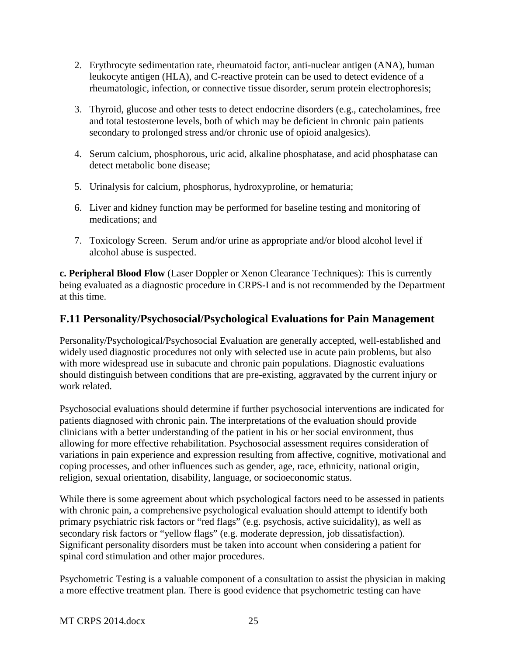- 2. Erythrocyte sedimentation rate, rheumatoid factor, anti-nuclear antigen (ANA), human leukocyte antigen (HLA), and C-reactive protein can be used to detect evidence of a rheumatologic, infection, or connective tissue disorder, serum protein electrophoresis;
- 3. Thyroid, glucose and other tests to detect endocrine disorders (e.g., catecholamines, free and total testosterone levels, both of which may be deficient in chronic pain patients secondary to prolonged stress and/or chronic use of opioid analgesics).
- 4. Serum calcium, phosphorous, uric acid, alkaline phosphatase, and acid phosphatase can detect metabolic bone disease;
- 5. Urinalysis for calcium, phosphorus, hydroxyproline, or hematuria;
- 6. Liver and kidney function may be performed for baseline testing and monitoring of medications; and
- 7. Toxicology Screen. Serum and/or urine as appropriate and/or blood alcohol level if alcohol abuse is suspected.

**c. Peripheral Blood Flow** (Laser Doppler or Xenon Clearance Techniques): This is currently being evaluated as a diagnostic procedure in CRPS-I and is not recommended by the Department at this time.

## <span id="page-25-0"></span>**F.11 Personality/Psychosocial/Psychological Evaluations for Pain Management**

Personality/Psychological/Psychosocial Evaluation are generally accepted, well-established and widely used diagnostic procedures not only with selected use in acute pain problems, but also with more widespread use in subacute and chronic pain populations. Diagnostic evaluations should distinguish between conditions that are pre-existing, aggravated by the current injury or work related.

Psychosocial evaluations should determine if further psychosocial interventions are indicated for patients diagnosed with chronic pain. The interpretations of the evaluation should provide clinicians with a better understanding of the patient in his or her social environment, thus allowing for more effective rehabilitation. Psychosocial assessment requires consideration of variations in pain experience and expression resulting from affective, cognitive, motivational and coping processes, and other influences such as gender, age, race, ethnicity, national origin, religion, sexual orientation, disability, language, or socioeconomic status.

While there is some agreement about which psychological factors need to be assessed in patients with chronic pain, a comprehensive psychological evaluation should attempt to identify both primary psychiatric risk factors or "red flags" (e.g. psychosis, active suicidality), as well as secondary risk factors or "yellow flags" (e.g. moderate depression, job dissatisfaction). Significant personality disorders must be taken into account when considering a patient for spinal cord stimulation and other major procedures.

Psychometric Testing is a valuable component of a consultation to assist the physician in making a more effective treatment plan. There is good evidence that psychometric testing can have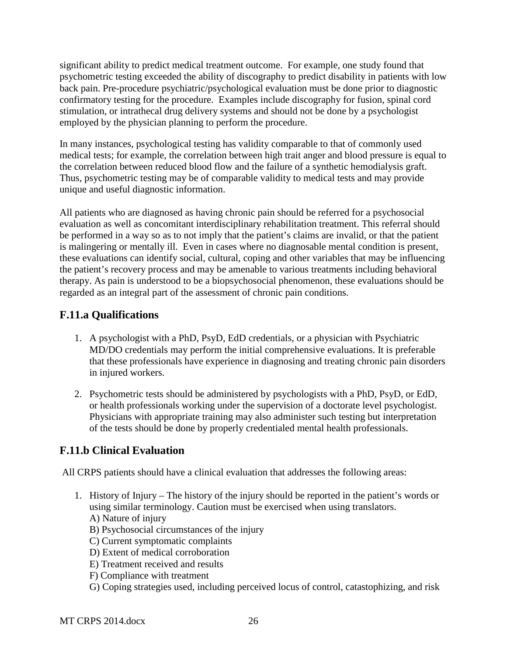significant ability to predict medical treatment outcome. For example, one study found that psychometric testing exceeded the ability of discography to predict disability in patients with low back pain. Pre-procedure psychiatric/psychological evaluation must be done prior to diagnostic confirmatory testing for the procedure. Examples include discography for fusion, spinal cord stimulation, or intrathecal drug delivery systems and should not be done by a psychologist employed by the physician planning to perform the procedure.

In many instances, psychological testing has validity comparable to that of commonly used medical tests; for example, the correlation between high trait anger and blood pressure is equal to the correlation between reduced blood flow and the failure of a synthetic hemodialysis graft. Thus, psychometric testing may be of comparable validity to medical tests and may provide unique and useful diagnostic information.

All patients who are diagnosed as having chronic pain should be referred for a psychosocial evaluation as well as concomitant interdisciplinary rehabilitation treatment. This referral should be performed in a way so as to not imply that the patient's claims are invalid, or that the patient is malingering or mentally ill. Even in cases where no diagnosable mental condition is present, these evaluations can identify social, cultural, coping and other variables that may be influencing the patient's recovery process and may be amenable to various treatments including behavioral therapy. As pain is understood to be a biopsychosocial phenomenon, these evaluations should be regarded as an integral part of the assessment of chronic pain conditions.

## <span id="page-26-0"></span>**F.11.a Qualifications**

- 1. A psychologist with a PhD, PsyD, EdD credentials, or a physician with Psychiatric MD/DO credentials may perform the initial comprehensive evaluations. It is preferable that these professionals have experience in diagnosing and treating chronic pain disorders in injured workers.
- 2. Psychometric tests should be administered by psychologists with a PhD, PsyD, or EdD, or health professionals working under the supervision of a doctorate level psychologist. Physicians with appropriate training may also administer such testing but interpretation of the tests should be done by properly credentialed mental health professionals.

# <span id="page-26-1"></span>**F.11.b Clinical Evaluation**

All CRPS patients should have a clinical evaluation that addresses the following areas:

- 1. History of Injury The history of the injury should be reported in the patient's words or using similar terminology. Caution must be exercised when using translators.
	- A) Nature of injury
	- B) Psychosocial circumstances of the injury
	- C) Current symptomatic complaints
	- D) Extent of medical corroboration
	- E) Treatment received and results
	- F) Compliance with treatment
	- G) Coping strategies used, including perceived locus of control, catastophizing, and risk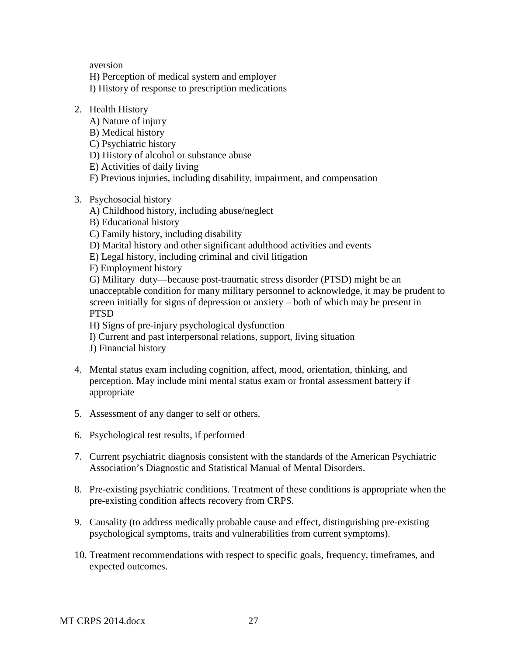aversion

H) Perception of medical system and employer

I) History of response to prescription medications

- 2. Health History
	- A) Nature of injury
	- B) Medical history
	- C) Psychiatric history
	- D) History of alcohol or substance abuse
	- E) Activities of daily living
	- F) Previous injuries, including disability, impairment, and compensation
- 3. Psychosocial history
	- A) Childhood history, including abuse/neglect
	- B) Educational history
	- C) Family history, including disability
	- D) Marital history and other significant adulthood activities and events
	- E) Legal history, including criminal and civil litigation
	- F) Employment history

G) Military duty—because post-traumatic stress disorder (PTSD) might be an unacceptable condition for many military personnel to acknowledge, it may be prudent to screen initially for signs of depression or anxiety – both of which may be present in **PTSD** 

H) Signs of pre-injury psychological dysfunction

- I) Current and past interpersonal relations, support, living situation
- J) Financial history
- 4. Mental status exam including cognition, affect, mood, orientation, thinking, and perception. May include mini mental status exam or frontal assessment battery if appropriate
- 5. Assessment of any danger to self or others.
- 6. Psychological test results, if performed
- 7. Current psychiatric diagnosis consistent with the standards of the American Psychiatric Association's Diagnostic and Statistical Manual of Mental Disorders.
- 8. Pre-existing psychiatric conditions. Treatment of these conditions is appropriate when the pre-existing condition affects recovery from CRPS.
- 9. Causality (to address medically probable cause and effect, distinguishing pre-existing psychological symptoms, traits and vulnerabilities from current symptoms).
- 10. Treatment recommendations with respect to specific goals, frequency, timeframes, and expected outcomes.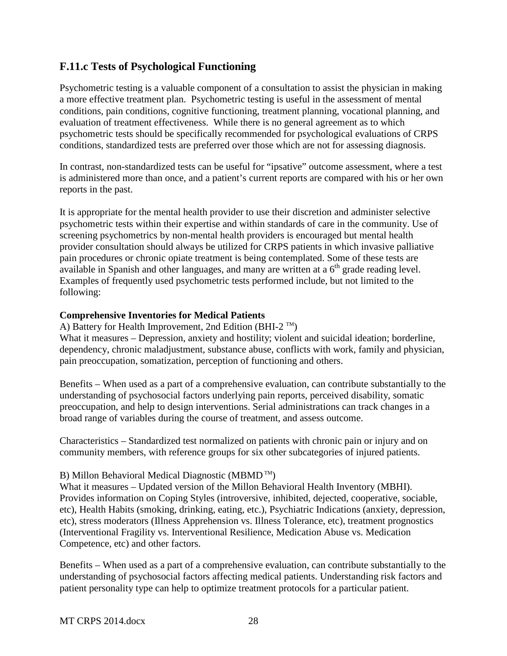### <span id="page-28-0"></span>**F.11.c Tests of Psychological Functioning**

Psychometric testing is a valuable component of a consultation to assist the physician in making a more effective treatment plan. Psychometric testing is useful in the assessment of mental conditions, pain conditions, cognitive functioning, treatment planning, vocational planning, and evaluation of treatment effectiveness. While there is no general agreement as to which psychometric tests should be specifically recommended for psychological evaluations of CRPS conditions, standardized tests are preferred over those which are not for assessing diagnosis.

In contrast, non-standardized tests can be useful for "ipsative" outcome assessment, where a test is administered more than once, and a patient's current reports are compared with his or her own reports in the past.

It is appropriate for the mental health provider to use their discretion and administer selective psychometric tests within their expertise and within standards of care in the community. Use of screening psychometrics by non-mental health providers is encouraged but mental health provider consultation should always be utilized for CRPS patients in which invasive palliative pain procedures or chronic opiate treatment is being contemplated. Some of these tests are available in Spanish and other languages, and many are written at a  $6<sup>th</sup>$  grade reading level. Examples of frequently used psychometric tests performed include, but not limited to the following:

#### **Comprehensive Inventories for Medical Patients**

A) Battery for Health Improvement, 2nd Edition (BHI-2  $^{TM}$ )

What it measures – Depression, anxiety and hostility; violent and suicidal ideation; borderline, dependency, chronic maladjustment, substance abuse, conflicts with work, family and physician, pain preoccupation, somatization, perception of functioning and others.

Benefits – When used as a part of a comprehensive evaluation, can contribute substantially to the understanding of psychosocial factors underlying pain reports, perceived disability, somatic preoccupation, and help to design interventions. Serial administrations can track changes in a broad range of variables during the course of treatment, and assess outcome.

Characteristics – Standardized test normalized on patients with chronic pain or injury and on community members, with reference groups for six other subcategories of injured patients.

#### B) Millon Behavioral Medical Diagnostic (MBMD<sup>TM</sup>)

What it measures – Updated version of the Millon Behavioral Health Inventory (MBHI). Provides information on Coping Styles (introversive, inhibited, dejected, cooperative, sociable, etc), Health Habits (smoking, drinking, eating, etc.), Psychiatric Indications (anxiety, depression, etc), stress moderators (Illness Apprehension vs. Illness Tolerance, etc), treatment prognostics (Interventional Fragility vs. Interventional Resilience, Medication Abuse vs. Medication Competence, etc) and other factors.

Benefits – When used as a part of a comprehensive evaluation, can contribute substantially to the understanding of psychosocial factors affecting medical patients. Understanding risk factors and patient personality type can help to optimize treatment protocols for a particular patient.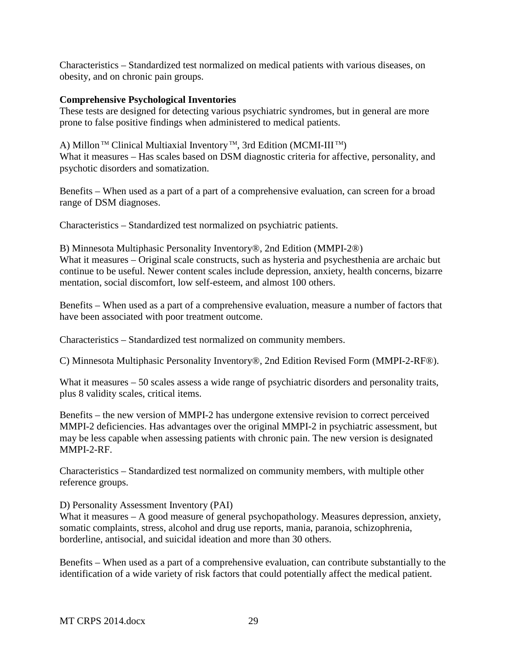Characteristics – Standardized test normalized on medical patients with various diseases, on obesity, and on chronic pain groups.

#### **Comprehensive Psychological Inventories**

These tests are designed for detecting various psychiatric syndromes, but in general are more prone to false positive findings when administered to medical patients.

A) Millon<sup>™</sup> Clinical Multiaxial Inventory<sup>™</sup>, 3rd Edition (MCMI-III<sup>™</sup>) What it measures – Has scales based on DSM diagnostic criteria for affective, personality, and psychotic disorders and somatization.

Benefits – When used as a part of a part of a comprehensive evaluation, can screen for a broad range of DSM diagnoses.

Characteristics – Standardized test normalized on psychiatric patients.

B) Minnesota Multiphasic Personality Inventory®, 2nd Edition (MMPI-2®) What it measures – Original scale constructs, such as hysteria and psychesthenia are archaic but continue to be useful. Newer content scales include depression, anxiety, health concerns, bizarre mentation, social discomfort, low self-esteem, and almost 100 others.

Benefits – When used as a part of a comprehensive evaluation, measure a number of factors that have been associated with poor treatment outcome.

Characteristics – Standardized test normalized on community members.

C) Minnesota Multiphasic Personality Inventory®, 2nd Edition Revised Form (MMPI-2-RF®).

What it measures – 50 scales assess a wide range of psychiatric disorders and personality traits, plus 8 validity scales, critical items.

Benefits – the new version of MMPI-2 has undergone extensive revision to correct perceived MMPI-2 deficiencies. Has advantages over the original MMPI-2 in psychiatric assessment, but may be less capable when assessing patients with chronic pain. The new version is designated MMPI-2-RF.

Characteristics – Standardized test normalized on community members, with multiple other reference groups.

D) Personality Assessment Inventory (PAI)

What it measures – A good measure of general psychopathology. Measures depression, anxiety, somatic complaints, stress, alcohol and drug use reports, mania, paranoia, schizophrenia, borderline, antisocial, and suicidal ideation and more than 30 others.

Benefits – When used as a part of a comprehensive evaluation, can contribute substantially to the identification of a wide variety of risk factors that could potentially affect the medical patient.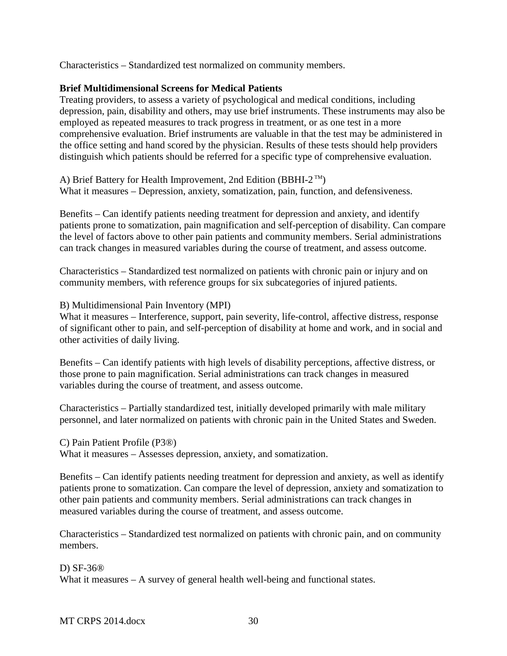Characteristics – Standardized test normalized on community members.

#### **Brief Multidimensional Screens for Medical Patients**

Treating providers, to assess a variety of psychological and medical conditions, including depression, pain, disability and others, may use brief instruments. These instruments may also be employed as repeated measures to track progress in treatment, or as one test in a more comprehensive evaluation. Brief instruments are valuable in that the test may be administered in the office setting and hand scored by the physician. Results of these tests should help providers distinguish which patients should be referred for a specific type of comprehensive evaluation.

A) Brief Battery for Health Improvement, 2nd Edition (BBHI-2<sup>TM</sup>) What it measures – Depression, anxiety, somatization, pain, function, and defensiveness.

Benefits – Can identify patients needing treatment for depression and anxiety, and identify patients prone to somatization, pain magnification and self-perception of disability. Can compare the level of factors above to other pain patients and community members. Serial administrations can track changes in measured variables during the course of treatment, and assess outcome.

Characteristics – Standardized test normalized on patients with chronic pain or injury and on community members, with reference groups for six subcategories of injured patients.

B) Multidimensional Pain Inventory (MPI)

What it measures – Interference, support, pain severity, life-control, affective distress, response of significant other to pain, and self-perception of disability at home and work, and in social and other activities of daily living.

Benefits – Can identify patients with high levels of disability perceptions, affective distress, or those prone to pain magnification. Serial administrations can track changes in measured variables during the course of treatment, and assess outcome.

Characteristics – Partially standardized test, initially developed primarily with male military personnel, and later normalized on patients with chronic pain in the United States and Sweden.

C) Pain Patient Profile (P3®)

What it measures – Assesses depression, anxiety, and somatization.

Benefits – Can identify patients needing treatment for depression and anxiety, as well as identify patients prone to somatization. Can compare the level of depression, anxiety and somatization to other pain patients and community members. Serial administrations can track changes in measured variables during the course of treatment, and assess outcome.

Characteristics – Standardized test normalized on patients with chronic pain, and on community members.

D) SF-36®

What it measures – A survey of general health well-being and functional states.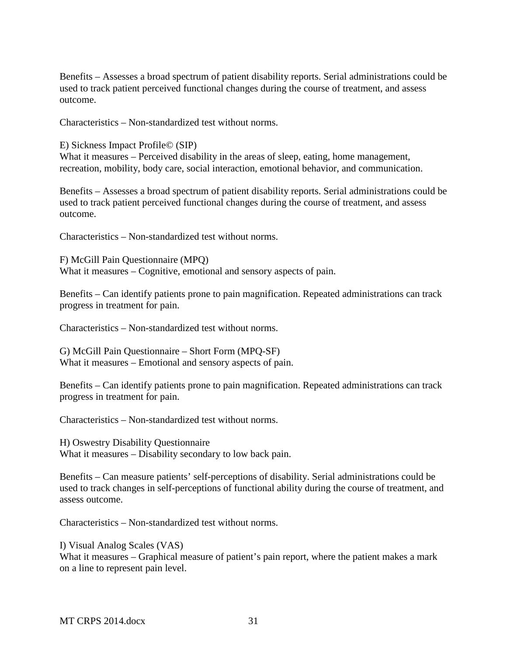Benefits – Assesses a broad spectrum of patient disability reports. Serial administrations could be used to track patient perceived functional changes during the course of treatment, and assess outcome.

Characteristics – Non-standardized test without norms.

E) Sickness Impact Profile© (SIP)

What it measures – Perceived disability in the areas of sleep, eating, home management, recreation, mobility, body care, social interaction, emotional behavior, and communication.

Benefits – Assesses a broad spectrum of patient disability reports. Serial administrations could be used to track patient perceived functional changes during the course of treatment, and assess outcome.

Characteristics – Non-standardized test without norms.

F) McGill Pain Questionnaire (MPQ) What it measures – Cognitive, emotional and sensory aspects of pain.

Benefits – Can identify patients prone to pain magnification. Repeated administrations can track progress in treatment for pain.

Characteristics – Non-standardized test without norms.

G) McGill Pain Questionnaire – Short Form (MPQ-SF) What it measures – Emotional and sensory aspects of pain.

Benefits – Can identify patients prone to pain magnification. Repeated administrations can track progress in treatment for pain.

Characteristics – Non-standardized test without norms.

H) Oswestry Disability Questionnaire What it measures – Disability secondary to low back pain.

Benefits – Can measure patients' self-perceptions of disability. Serial administrations could be used to track changes in self-perceptions of functional ability during the course of treatment, and assess outcome.

Characteristics – Non-standardized test without norms.

I) Visual Analog Scales (VAS)

What it measures – Graphical measure of patient's pain report, where the patient makes a mark on a line to represent pain level.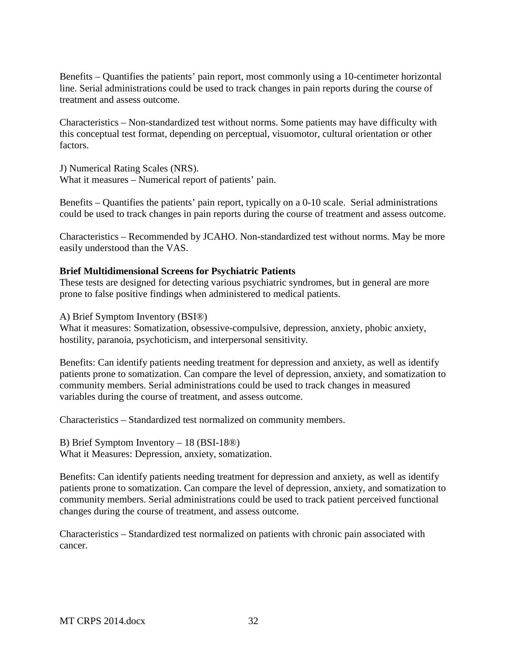Benefits – Quantifies the patients' pain report, most commonly using a 10-centimeter horizontal line. Serial administrations could be used to track changes in pain reports during the course of treatment and assess outcome.

Characteristics – Non-standardized test without norms. Some patients may have difficulty with this conceptual test format, depending on perceptual, visuomotor, cultural orientation or other factors.

J) Numerical Rating Scales (NRS). What it measures – Numerical report of patients' pain.

Benefits – Quantifies the patients' pain report, typically on a 0-10 scale. Serial administrations could be used to track changes in pain reports during the course of treatment and assess outcome.

Characteristics – Recommended by JCAHO. Non-standardized test without norms. May be more easily understood than the VAS.

#### **Brief Multidimensional Screens for Psychiatric Patients**

These tests are designed for detecting various psychiatric syndromes, but in general are more prone to false positive findings when administered to medical patients.

A) Brief Symptom Inventory (BSI®)

What it measures: Somatization, obsessive-compulsive, depression, anxiety, phobic anxiety, hostility, paranoia, psychoticism, and interpersonal sensitivity.

Benefits: Can identify patients needing treatment for depression and anxiety, as well as identify patients prone to somatization. Can compare the level of depression, anxiety, and somatization to community members. Serial administrations could be used to track changes in measured variables during the course of treatment, and assess outcome.

Characteristics – Standardized test normalized on community members.

B) Brief Symptom Inventory – 18 (BSI-18®)

What it Measures: Depression, anxiety, somatization.

Benefits: Can identify patients needing treatment for depression and anxiety, as well as identify patients prone to somatization. Can compare the level of depression, anxiety, and somatization to community members. Serial administrations could be used to track patient perceived functional changes during the course of treatment, and assess outcome.

Characteristics – Standardized test normalized on patients with chronic pain associated with cancer.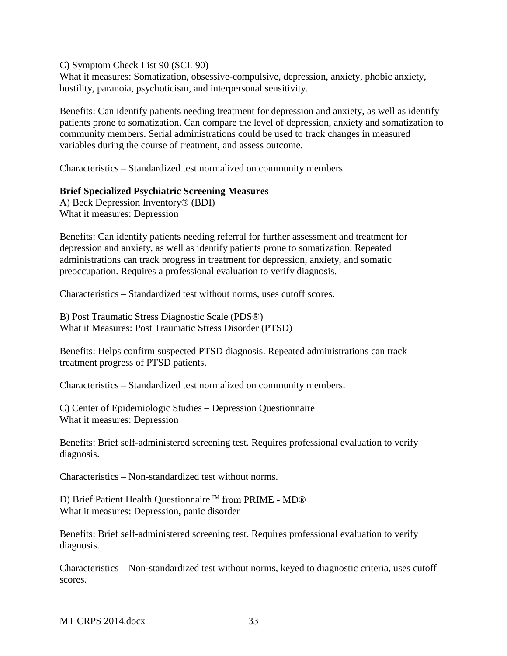C) Symptom Check List 90 (SCL 90)

What it measures: Somatization, obsessive-compulsive, depression, anxiety, phobic anxiety, hostility, paranoia, psychoticism, and interpersonal sensitivity.

Benefits: Can identify patients needing treatment for depression and anxiety, as well as identify patients prone to somatization. Can compare the level of depression, anxiety and somatization to community members. Serial administrations could be used to track changes in measured variables during the course of treatment, and assess outcome.

Characteristics – Standardized test normalized on community members.

#### **Brief Specialized Psychiatric Screening Measures**

A) Beck Depression Inventory® (BDI) What it measures: Depression

Benefits: Can identify patients needing referral for further assessment and treatment for depression and anxiety, as well as identify patients prone to somatization. Repeated administrations can track progress in treatment for depression, anxiety, and somatic preoccupation. Requires a professional evaluation to verify diagnosis.

Characteristics – Standardized test without norms, uses cutoff scores.

B) Post Traumatic Stress Diagnostic Scale (PDS®) What it Measures: Post Traumatic Stress Disorder (PTSD)

Benefits: Helps confirm suspected PTSD diagnosis. Repeated administrations can track treatment progress of PTSD patients.

Characteristics – Standardized test normalized on community members.

C) Center of Epidemiologic Studies – Depression Questionnaire What it measures: Depression

Benefits: Brief self-administered screening test. Requires professional evaluation to verify diagnosis.

Characteristics – Non-standardized test without norms.

D) Brief Patient Health Questionnaire<sup>™</sup> from PRIME - MD® What it measures: Depression, panic disorder

Benefits: Brief self-administered screening test. Requires professional evaluation to verify diagnosis.

Characteristics – Non-standardized test without norms, keyed to diagnostic criteria, uses cutoff scores.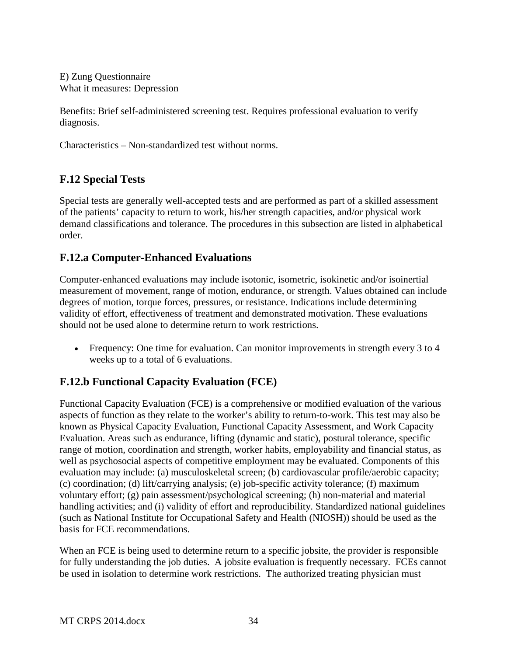E) Zung Questionnaire What it measures: Depression

Benefits: Brief self-administered screening test. Requires professional evaluation to verify diagnosis.

Characteristics – Non-standardized test without norms.

## <span id="page-34-0"></span>**F.12 Special Tests**

Special tests are generally well-accepted tests and are performed as part of a skilled assessment of the patients' capacity to return to work, his/her strength capacities, and/or physical work demand classifications and tolerance. The procedures in this subsection are listed in alphabetical order.

## <span id="page-34-1"></span>**F.12.a Computer-Enhanced Evaluations**

Computer-enhanced evaluations may include isotonic, isometric, isokinetic and/or isoinertial measurement of movement, range of motion, endurance, or strength. Values obtained can include degrees of motion, torque forces, pressures, or resistance. Indications include determining validity of effort, effectiveness of treatment and demonstrated motivation. These evaluations should not be used alone to determine return to work restrictions.

• Frequency: One time for evaluation. Can monitor improvements in strength every 3 to 4 weeks up to a total of 6 evaluations.

# <span id="page-34-2"></span>**F.12.b Functional Capacity Evaluation (FCE)**

Functional Capacity Evaluation (FCE) is a comprehensive or modified evaluation of the various aspects of function as they relate to the worker's ability to return-to-work. This test may also be known as Physical Capacity Evaluation, Functional Capacity Assessment, and Work Capacity Evaluation. Areas such as endurance, lifting (dynamic and static), postural tolerance, specific range of motion, coordination and strength, worker habits, employability and financial status, as well as psychosocial aspects of competitive employment may be evaluated. Components of this evaluation may include: (a) musculoskeletal screen; (b) cardiovascular profile/aerobic capacity; (c) coordination; (d) lift/carrying analysis; (e) job-specific activity tolerance; (f) maximum voluntary effort; (g) pain assessment/psychological screening; (h) non-material and material handling activities; and (i) validity of effort and reproducibility. Standardized national guidelines (such as National Institute for Occupational Safety and Health (NIOSH)) should be used as the basis for FCE recommendations.

When an FCE is being used to determine return to a specific jobsite, the provider is responsible for fully understanding the job duties. A jobsite evaluation is frequently necessary. FCEs cannot be used in isolation to determine work restrictions. The authorized treating physician must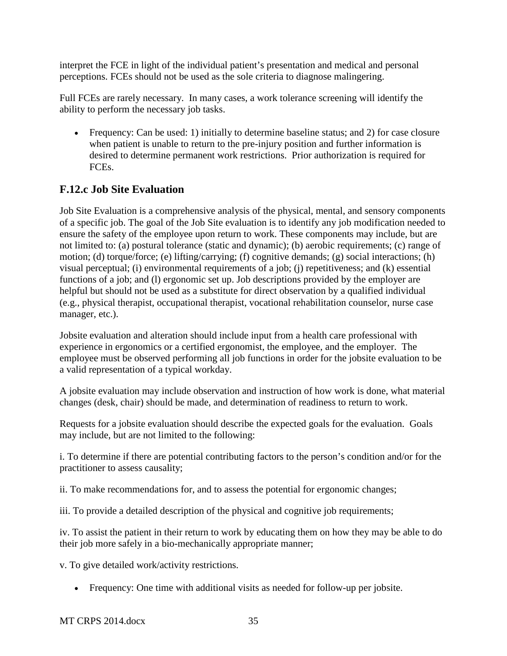interpret the FCE in light of the individual patient's presentation and medical and personal perceptions. FCEs should not be used as the sole criteria to diagnose malingering.

Full FCEs are rarely necessary. In many cases, a work tolerance screening will identify the ability to perform the necessary job tasks.

• Frequency: Can be used: 1) initially to determine baseline status; and 2) for case closure when patient is unable to return to the pre-injury position and further information is desired to determine permanent work restrictions. Prior authorization is required for FCEs.

# <span id="page-35-0"></span>**F.12.c Job Site Evaluation**

Job Site Evaluation is a comprehensive analysis of the physical, mental, and sensory components of a specific job. The goal of the Job Site evaluation is to identify any job modification needed to ensure the safety of the employee upon return to work. These components may include, but are not limited to: (a) postural tolerance (static and dynamic); (b) aerobic requirements; (c) range of motion; (d) torque/force; (e) lifting/carrying; (f) cognitive demands; (g) social interactions; (h) visual perceptual; (i) environmental requirements of a job; (j) repetitiveness; and (k) essential functions of a job; and (l) ergonomic set up. Job descriptions provided by the employer are helpful but should not be used as a substitute for direct observation by a qualified individual (e.g., physical therapist, occupational therapist, vocational rehabilitation counselor, nurse case manager, etc.).

Jobsite evaluation and alteration should include input from a health care professional with experience in ergonomics or a certified ergonomist, the employee, and the employer. The employee must be observed performing all job functions in order for the jobsite evaluation to be a valid representation of a typical workday.

A jobsite evaluation may include observation and instruction of how work is done, what material changes (desk, chair) should be made, and determination of readiness to return to work.

Requests for a jobsite evaluation should describe the expected goals for the evaluation. Goals may include, but are not limited to the following:

i. To determine if there are potential contributing factors to the person's condition and/or for the practitioner to assess causality;

ii. To make recommendations for, and to assess the potential for ergonomic changes;

iii. To provide a detailed description of the physical and cognitive job requirements;

iv. To assist the patient in their return to work by educating them on how they may be able to do their job more safely in a bio-mechanically appropriate manner;

v. To give detailed work/activity restrictions.

• Frequency: One time with additional visits as needed for follow-up per jobsite.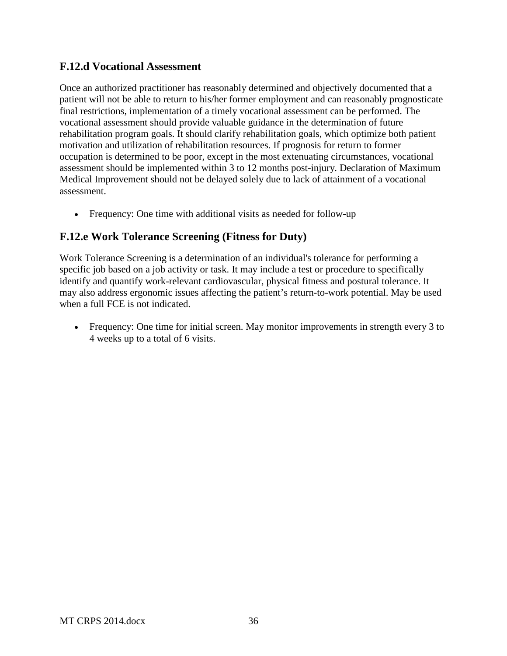## **F.12.d Vocational Assessment**

Once an authorized practitioner has reasonably determined and objectively documented that a patient will not be able to return to his/her former employment and can reasonably prognosticate final restrictions, implementation of a timely vocational assessment can be performed. The vocational assessment should provide valuable guidance in the determination of future rehabilitation program goals. It should clarify rehabilitation goals, which optimize both patient motivation and utilization of rehabilitation resources. If prognosis for return to former occupation is determined to be poor, except in the most extenuating circumstances, vocational assessment should be implemented within 3 to 12 months post-injury. Declaration of Maximum Medical Improvement should not be delayed solely due to lack of attainment of a vocational assessment.

• Frequency: One time with additional visits as needed for follow-up

## **F.12.e Work Tolerance Screening (Fitness for Duty)**

Work Tolerance Screening is a determination of an individual's tolerance for performing a specific job based on a job activity or task. It may include a test or procedure to specifically identify and quantify work-relevant cardiovascular, physical fitness and postural tolerance. It may also address ergonomic issues affecting the patient's return-to-work potential. May be used when a full FCE is not indicated.

• Frequency: One time for initial screen. May monitor improvements in strength every 3 to 4 weeks up to a total of 6 visits.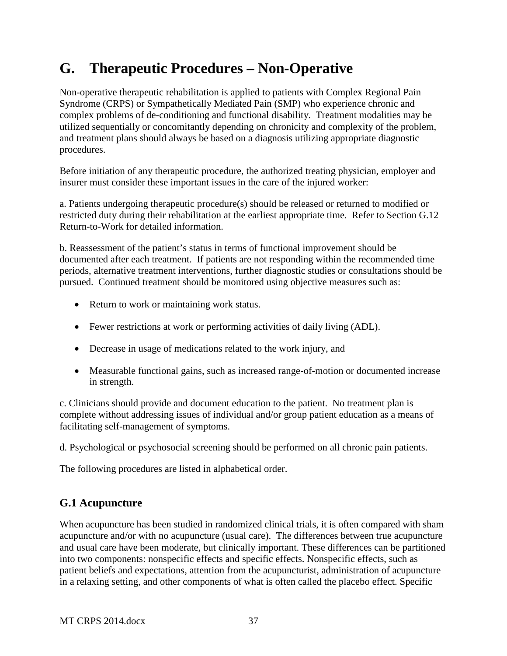# **G. Therapeutic Procedures – Non-Operative**

Non-operative therapeutic rehabilitation is applied to patients with Complex Regional Pain Syndrome (CRPS) or Sympathetically Mediated Pain (SMP) who experience chronic and complex problems of de-conditioning and functional disability. Treatment modalities may be utilized sequentially or concomitantly depending on chronicity and complexity of the problem, and treatment plans should always be based on a diagnosis utilizing appropriate diagnostic procedures.

Before initiation of any therapeutic procedure, the authorized treating physician, employer and insurer must consider these important issues in the care of the injured worker:

a. Patients undergoing therapeutic procedure(s) should be released or returned to modified or restricted duty during their rehabilitation at the earliest appropriate time. Refer to Section G.12 Return-to-Work for detailed information.

b. Reassessment of the patient's status in terms of functional improvement should be documented after each treatment. If patients are not responding within the recommended time periods, alternative treatment interventions, further diagnostic studies or consultations should be pursued. Continued treatment should be monitored using objective measures such as:

- Return to work or maintaining work status.
- Fewer restrictions at work or performing activities of daily living (ADL).
- Decrease in usage of medications related to the work injury, and
- Measurable functional gains, such as increased range-of-motion or documented increase in strength.

c. Clinicians should provide and document education to the patient. No treatment plan is complete without addressing issues of individual and/or group patient education as a means of facilitating self-management of symptoms.

d. Psychological or psychosocial screening should be performed on all chronic pain patients.

The following procedures are listed in alphabetical order.

# **G.1 Acupuncture**

When acupuncture has been studied in randomized clinical trials, it is often compared with sham acupuncture and/or with no acupuncture (usual care). The differences between true acupuncture and usual care have been moderate, but clinically important. These differences can be partitioned into two components: nonspecific effects and specific effects. Nonspecific effects, such as patient beliefs and expectations, attention from the acupuncturist, administration of acupuncture in a relaxing setting, and other components of what is often called the placebo effect. Specific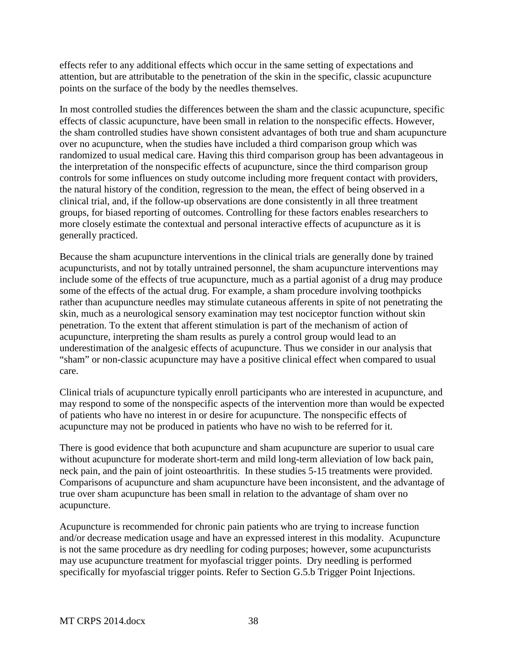effects refer to any additional effects which occur in the same setting of expectations and attention, but are attributable to the penetration of the skin in the specific, classic acupuncture points on the surface of the body by the needles themselves.

In most controlled studies the differences between the sham and the classic acupuncture, specific effects of classic acupuncture, have been small in relation to the nonspecific effects. However, the sham controlled studies have shown consistent advantages of both true and sham acupuncture over no acupuncture, when the studies have included a third comparison group which was randomized to usual medical care. Having this third comparison group has been advantageous in the interpretation of the nonspecific effects of acupuncture, since the third comparison group controls for some influences on study outcome including more frequent contact with providers, the natural history of the condition, regression to the mean, the effect of being observed in a clinical trial, and, if the follow-up observations are done consistently in all three treatment groups, for biased reporting of outcomes. Controlling for these factors enables researchers to more closely estimate the contextual and personal interactive effects of acupuncture as it is generally practiced.

Because the sham acupuncture interventions in the clinical trials are generally done by trained acupuncturists, and not by totally untrained personnel, the sham acupuncture interventions may include some of the effects of true acupuncture, much as a partial agonist of a drug may produce some of the effects of the actual drug. For example, a sham procedure involving toothpicks rather than acupuncture needles may stimulate cutaneous afferents in spite of not penetrating the skin, much as a neurological sensory examination may test nociceptor function without skin penetration. To the extent that afferent stimulation is part of the mechanism of action of acupuncture, interpreting the sham results as purely a control group would lead to an underestimation of the analgesic effects of acupuncture. Thus we consider in our analysis that "sham" or non-classic acupuncture may have a positive clinical effect when compared to usual care.

Clinical trials of acupuncture typically enroll participants who are interested in acupuncture, and may respond to some of the nonspecific aspects of the intervention more than would be expected of patients who have no interest in or desire for acupuncture. The nonspecific effects of acupuncture may not be produced in patients who have no wish to be referred for it.

There is good evidence that both acupuncture and sham acupuncture are superior to usual care without acupuncture for moderate short-term and mild long-term alleviation of low back pain, neck pain, and the pain of joint osteoarthritis. In these studies 5-15 treatments were provided. Comparisons of acupuncture and sham acupuncture have been inconsistent, and the advantage of true over sham acupuncture has been small in relation to the advantage of sham over no acupuncture.

Acupuncture is recommended for chronic pain patients who are trying to increase function and/or decrease medication usage and have an expressed interest in this modality. Acupuncture is not the same procedure as dry needling for coding purposes; however, some acupuncturists may use acupuncture treatment for myofascial trigger points. Dry needling is performed specifically for myofascial trigger points. Refer to Section G.5.b Trigger Point Injections.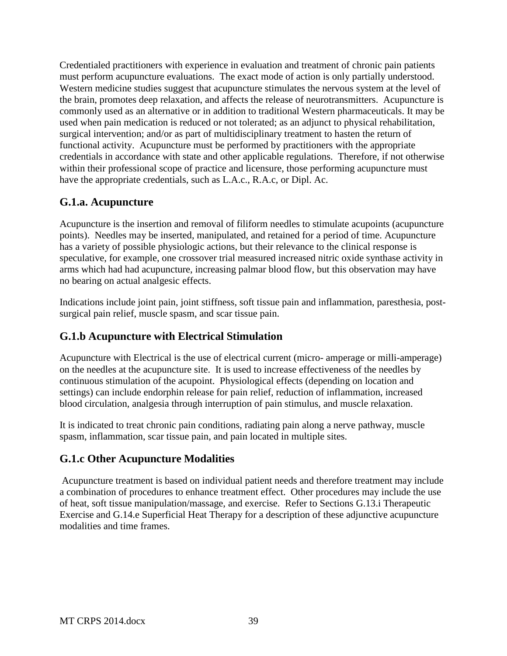Credentialed practitioners with experience in evaluation and treatment of chronic pain patients must perform acupuncture evaluations. The exact mode of action is only partially understood. Western medicine studies suggest that acupuncture stimulates the nervous system at the level of the brain, promotes deep relaxation, and affects the release of neurotransmitters. Acupuncture is commonly used as an alternative or in addition to traditional Western pharmaceuticals. It may be used when pain medication is reduced or not tolerated; as an adjunct to physical rehabilitation, surgical intervention; and/or as part of multidisciplinary treatment to hasten the return of functional activity. Acupuncture must be performed by practitioners with the appropriate credentials in accordance with state and other applicable regulations. Therefore, if not otherwise within their professional scope of practice and licensure, those performing acupuncture must have the appropriate credentials, such as L.A.c., R.A.c, or Dipl. Ac.

# **G.1.a. Acupuncture**

Acupuncture is the insertion and removal of filiform needles to stimulate acupoints (acupuncture points). Needles may be inserted, manipulated, and retained for a period of time. Acupuncture has a variety of possible physiologic actions, but their relevance to the clinical response is speculative, for example, one crossover trial measured increased nitric oxide synthase activity in arms which had had acupuncture, increasing palmar blood flow, but this observation may have no bearing on actual analgesic effects.

Indications include joint pain, joint stiffness, soft tissue pain and inflammation, paresthesia, postsurgical pain relief, muscle spasm, and scar tissue pain.

# **G.1.b Acupuncture with Electrical Stimulation**

Acupuncture with Electrical is the use of electrical current (micro- amperage or milli-amperage) on the needles at the acupuncture site. It is used to increase effectiveness of the needles by continuous stimulation of the acupoint. Physiological effects (depending on location and settings) can include endorphin release for pain relief, reduction of inflammation, increased blood circulation, analgesia through interruption of pain stimulus, and muscle relaxation.

It is indicated to treat chronic pain conditions, radiating pain along a nerve pathway, muscle spasm, inflammation, scar tissue pain, and pain located in multiple sites.

# **G.1.c Other Acupuncture Modalities**

Acupuncture treatment is based on individual patient needs and therefore treatment may include a combination of procedures to enhance treatment effect. Other procedures may include the use of heat, soft tissue manipulation/massage, and exercise. Refer to Sections G.13.i Therapeutic Exercise and G.14.e Superficial Heat Therapy for a description of these adjunctive acupuncture modalities and time frames.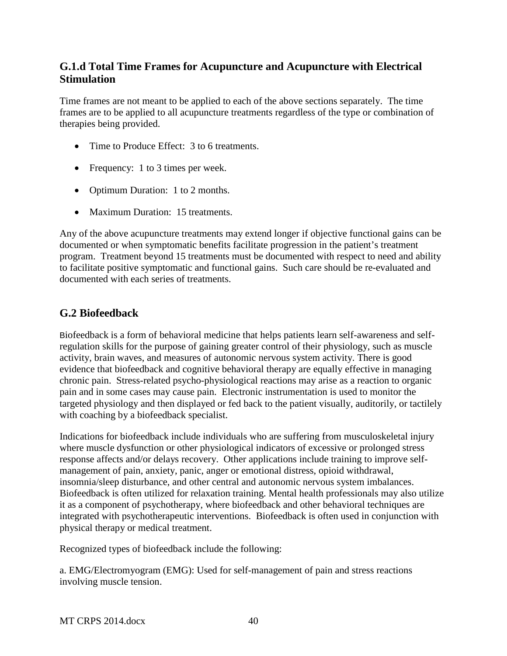## **G.1.d Total Time Frames for Acupuncture and Acupuncture with Electrical Stimulation**

Time frames are not meant to be applied to each of the above sections separately. The time frames are to be applied to all acupuncture treatments regardless of the type or combination of therapies being provided.

- Time to Produce Effect: 3 to 6 treatments.
- Frequency: 1 to 3 times per week.
- Optimum Duration: 1 to 2 months.
- Maximum Duration: 15 treatments.

Any of the above acupuncture treatments may extend longer if objective functional gains can be documented or when symptomatic benefits facilitate progression in the patient's treatment program. Treatment beyond 15 treatments must be documented with respect to need and ability to facilitate positive symptomatic and functional gains. Such care should be re-evaluated and documented with each series of treatments.

## **G.2 Biofeedback**

Biofeedback is a form of behavioral medicine that helps patients learn self-awareness and selfregulation skills for the purpose of gaining greater control of their physiology, such as muscle activity, brain waves, and measures of autonomic nervous system activity. There is good evidence that biofeedback and cognitive behavioral therapy are equally effective in managing chronic pain. Stress-related psycho-physiological reactions may arise as a reaction to organic pain and in some cases may cause pain. Electronic instrumentation is used to monitor the targeted physiology and then displayed or fed back to the patient visually, auditorily, or tactilely with coaching by a biofeedback specialist.

Indications for biofeedback include individuals who are suffering from musculoskeletal injury where muscle dysfunction or other physiological indicators of excessive or prolonged stress response affects and/or delays recovery. Other applications include training to improve selfmanagement of pain, anxiety, panic, anger or emotional distress, opioid withdrawal, insomnia/sleep disturbance, and other central and autonomic nervous system imbalances. Biofeedback is often utilized for relaxation training. Mental health professionals may also utilize it as a component of psychotherapy, where biofeedback and other behavioral techniques are integrated with psychotherapeutic interventions. Biofeedback is often used in conjunction with physical therapy or medical treatment.

Recognized types of biofeedback include the following:

a. EMG/Electromyogram (EMG): Used for self-management of pain and stress reactions involving muscle tension.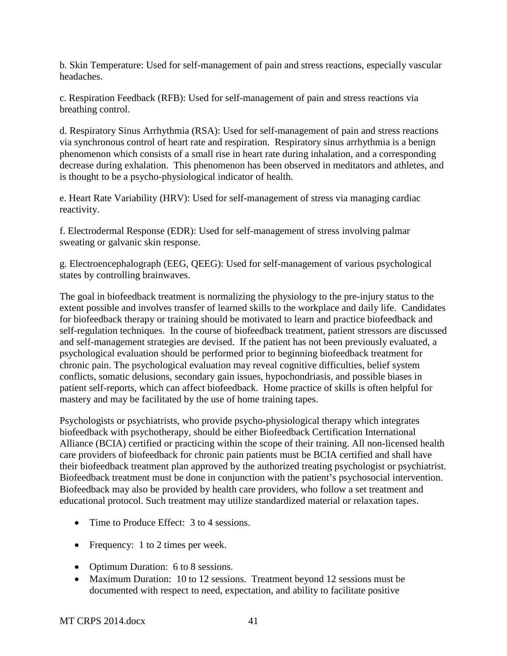b. Skin Temperature: Used for self-management of pain and stress reactions, especially vascular headaches.

c. Respiration Feedback (RFB): Used for self-management of pain and stress reactions via breathing control.

d. Respiratory Sinus Arrhythmia (RSA): Used for self-management of pain and stress reactions via synchronous control of heart rate and respiration. Respiratory sinus arrhythmia is a benign phenomenon which consists of a small rise in heart rate during inhalation, and a corresponding decrease during exhalation. This phenomenon has been observed in meditators and athletes, and is thought to be a psycho-physiological indicator of health.

e. Heart Rate Variability (HRV): Used for self-management of stress via managing cardiac reactivity.

f. Electrodermal Response (EDR): Used for self-management of stress involving palmar sweating or galvanic skin response.

g. Electroencephalograph (EEG, QEEG): Used for self-management of various psychological states by controlling brainwaves.

The goal in biofeedback treatment is normalizing the physiology to the pre-injury status to the extent possible and involves transfer of learned skills to the workplace and daily life. Candidates for biofeedback therapy or training should be motivated to learn and practice biofeedback and self-regulation techniques. In the course of biofeedback treatment, patient stressors are discussed and self-management strategies are devised. If the patient has not been previously evaluated, a psychological evaluation should be performed prior to beginning biofeedback treatment for chronic pain. The psychological evaluation may reveal cognitive difficulties, belief system conflicts, somatic delusions, secondary gain issues, hypochondriasis, and possible biases in patient self-reports, which can affect biofeedback. Home practice of skills is often helpful for mastery and may be facilitated by the use of home training tapes.

Psychologists or psychiatrists, who provide psycho-physiological therapy which integrates biofeedback with psychotherapy, should be either Biofeedback Certification International Alliance (BCIA) certified or practicing within the scope of their training. All non-licensed health care providers of biofeedback for chronic pain patients must be BCIA certified and shall have their biofeedback treatment plan approved by the authorized treating psychologist or psychiatrist. Biofeedback treatment must be done in conjunction with the patient's psychosocial intervention. Biofeedback may also be provided by health care providers, who follow a set treatment and educational protocol. Such treatment may utilize standardized material or relaxation tapes.

- Time to Produce Effect: 3 to 4 sessions.
- Frequency: 1 to 2 times per week.
- Optimum Duration: 6 to 8 sessions.
- Maximum Duration: 10 to 12 sessions. Treatment beyond 12 sessions must be documented with respect to need, expectation, and ability to facilitate positive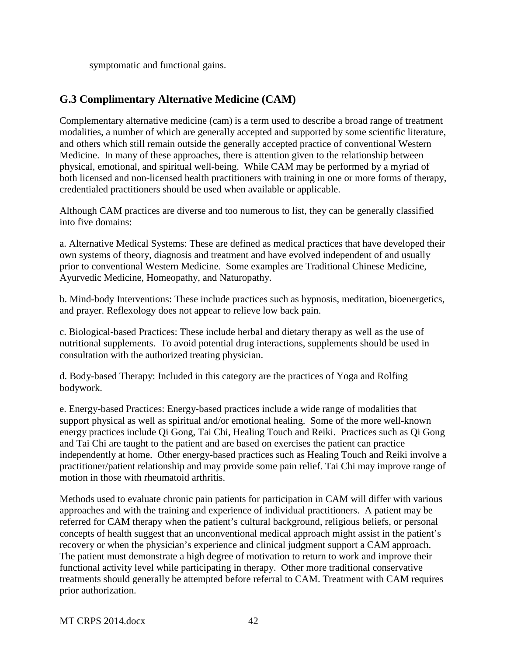symptomatic and functional gains.

# **G.3 Complimentary Alternative Medicine (CAM)**

Complementary alternative medicine (cam) is a term used to describe a broad range of treatment modalities, a number of which are generally accepted and supported by some scientific literature, and others which still remain outside the generally accepted practice of conventional Western Medicine. In many of these approaches, there is attention given to the relationship between physical, emotional, and spiritual well-being. While CAM may be performed by a myriad of both licensed and non-licensed health practitioners with training in one or more forms of therapy, credentialed practitioners should be used when available or applicable.

Although CAM practices are diverse and too numerous to list, they can be generally classified into five domains:

a. Alternative Medical Systems: These are defined as medical practices that have developed their own systems of theory, diagnosis and treatment and have evolved independent of and usually prior to conventional Western Medicine. Some examples are Traditional Chinese Medicine, Ayurvedic Medicine, Homeopathy, and Naturopathy.

b. Mind-body Interventions: These include practices such as hypnosis, meditation, bioenergetics, and prayer. Reflexology does not appear to relieve low back pain.

c. Biological-based Practices: These include herbal and dietary therapy as well as the use of nutritional supplements. To avoid potential drug interactions, supplements should be used in consultation with the authorized treating physician.

d. Body-based Therapy: Included in this category are the practices of Yoga and Rolfing bodywork.

e. Energy-based Practices: Energy-based practices include a wide range of modalities that support physical as well as spiritual and/or emotional healing. Some of the more well-known energy practices include Qi Gong, Tai Chi, Healing Touch and Reiki. Practices such as Qi Gong and Tai Chi are taught to the patient and are based on exercises the patient can practice independently at home. Other energy-based practices such as Healing Touch and Reiki involve a practitioner/patient relationship and may provide some pain relief. Tai Chi may improve range of motion in those with rheumatoid arthritis.

Methods used to evaluate chronic pain patients for participation in CAM will differ with various approaches and with the training and experience of individual practitioners. A patient may be referred for CAM therapy when the patient's cultural background, religious beliefs, or personal concepts of health suggest that an unconventional medical approach might assist in the patient's recovery or when the physician's experience and clinical judgment support a CAM approach. The patient must demonstrate a high degree of motivation to return to work and improve their functional activity level while participating in therapy. Other more traditional conservative treatments should generally be attempted before referral to CAM. Treatment with CAM requires prior authorization.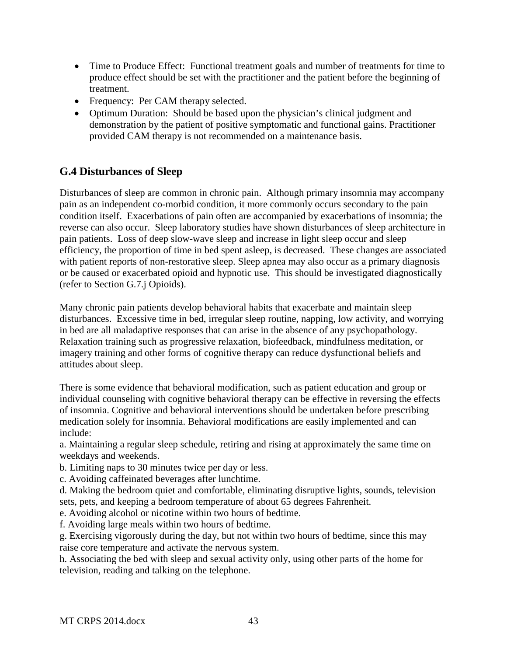- Time to Produce Effect: Functional treatment goals and number of treatments for time to produce effect should be set with the practitioner and the patient before the beginning of treatment.
- Frequency: Per CAM therapy selected.
- Optimum Duration: Should be based upon the physician's clinical judgment and demonstration by the patient of positive symptomatic and functional gains. Practitioner provided CAM therapy is not recommended on a maintenance basis.

# **G.4 Disturbances of Sleep**

Disturbances of sleep are common in chronic pain. Although primary insomnia may accompany pain as an independent co-morbid condition, it more commonly occurs secondary to the pain condition itself. Exacerbations of pain often are accompanied by exacerbations of insomnia; the reverse can also occur. Sleep laboratory studies have shown disturbances of sleep architecture in pain patients. Loss of deep slow-wave sleep and increase in light sleep occur and sleep efficiency, the proportion of time in bed spent asleep, is decreased. These changes are associated with patient reports of non-restorative sleep. Sleep apnea may also occur as a primary diagnosis or be caused or exacerbated opioid and hypnotic use. This should be investigated diagnostically (refer to Section G.7.j Opioids).

Many chronic pain patients develop behavioral habits that exacerbate and maintain sleep disturbances. Excessive time in bed, irregular sleep routine, napping, low activity, and worrying in bed are all maladaptive responses that can arise in the absence of any psychopathology. Relaxation training such as progressive relaxation, biofeedback, mindfulness meditation, or imagery training and other forms of cognitive therapy can reduce dysfunctional beliefs and attitudes about sleep.

There is some evidence that behavioral modification, such as patient education and group or individual counseling with cognitive behavioral therapy can be effective in reversing the effects of insomnia. Cognitive and behavioral interventions should be undertaken before prescribing medication solely for insomnia. Behavioral modifications are easily implemented and can include:

a. Maintaining a regular sleep schedule, retiring and rising at approximately the same time on weekdays and weekends.

b. Limiting naps to 30 minutes twice per day or less.

c. Avoiding caffeinated beverages after lunchtime.

d. Making the bedroom quiet and comfortable, eliminating disruptive lights, sounds, television sets, pets, and keeping a bedroom temperature of about 65 degrees Fahrenheit.

e. Avoiding alcohol or nicotine within two hours of bedtime.

f. Avoiding large meals within two hours of bedtime.

g. Exercising vigorously during the day, but not within two hours of bedtime, since this may raise core temperature and activate the nervous system.

h. Associating the bed with sleep and sexual activity only, using other parts of the home for television, reading and talking on the telephone.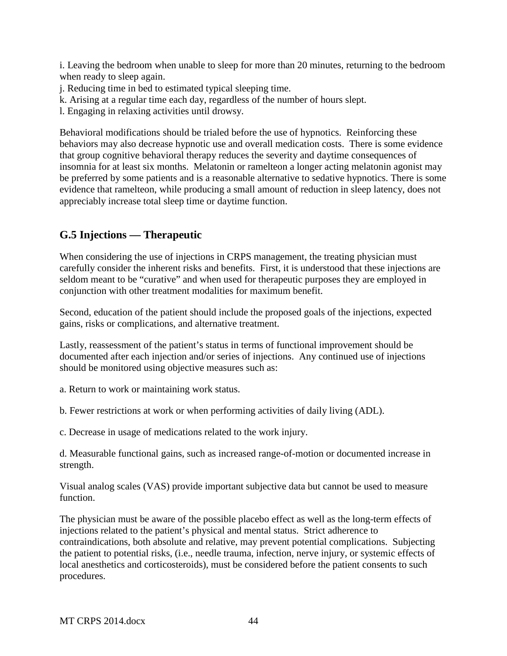i. Leaving the bedroom when unable to sleep for more than 20 minutes, returning to the bedroom when ready to sleep again.

j. Reducing time in bed to estimated typical sleeping time.

k. Arising at a regular time each day, regardless of the number of hours slept.

l. Engaging in relaxing activities until drowsy.

Behavioral modifications should be trialed before the use of hypnotics. Reinforcing these behaviors may also decrease hypnotic use and overall medication costs. There is some evidence that group cognitive behavioral therapy reduces the severity and daytime consequences of insomnia for at least six months. Melatonin or ramelteon a longer acting melatonin agonist may be preferred by some patients and is a reasonable alternative to sedative hypnotics. There is some evidence that ramelteon, while producing a small amount of reduction in sleep latency, does not appreciably increase total sleep time or daytime function.

# **G.5 Injections — Therapeutic**

When considering the use of injections in CRPS management, the treating physician must carefully consider the inherent risks and benefits. First, it is understood that these injections are seldom meant to be "curative" and when used for therapeutic purposes they are employed in conjunction with other treatment modalities for maximum benefit.

Second, education of the patient should include the proposed goals of the injections, expected gains, risks or complications, and alternative treatment.

Lastly, reassessment of the patient's status in terms of functional improvement should be documented after each injection and/or series of injections. Any continued use of injections should be monitored using objective measures such as:

a. Return to work or maintaining work status.

b. Fewer restrictions at work or when performing activities of daily living (ADL).

c. Decrease in usage of medications related to the work injury.

d. Measurable functional gains, such as increased range-of-motion or documented increase in strength.

Visual analog scales (VAS) provide important subjective data but cannot be used to measure function.

The physician must be aware of the possible placebo effect as well as the long-term effects of injections related to the patient's physical and mental status. Strict adherence to contraindications, both absolute and relative, may prevent potential complications. Subjecting the patient to potential risks, (i.e., needle trauma, infection, nerve injury, or systemic effects of local anesthetics and corticosteroids), must be considered before the patient consents to such procedures.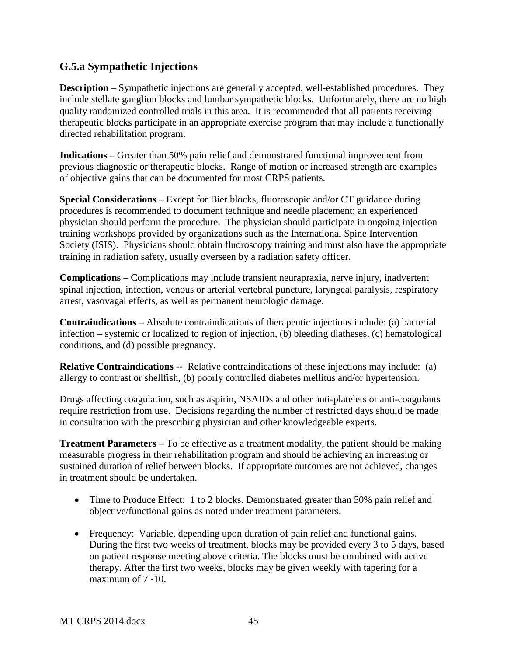## **G.5.a Sympathetic Injections**

**Description** – Sympathetic injections are generally accepted, well-established procedures. They include stellate ganglion blocks and lumbar sympathetic blocks. Unfortunately, there are no high quality randomized controlled trials in this area. It is recommended that all patients receiving therapeutic blocks participate in an appropriate exercise program that may include a functionally directed rehabilitation program.

**Indications** – Greater than 50% pain relief and demonstrated functional improvement from previous diagnostic or therapeutic blocks. Range of motion or increased strength are examples of objective gains that can be documented for most CRPS patients.

**Special Considerations** – Except for Bier blocks, fluoroscopic and/or CT guidance during procedures is recommended to document technique and needle placement; an experienced physician should perform the procedure. The physician should participate in ongoing injection training workshops provided by organizations such as the International Spine Intervention Society (ISIS). Physicians should obtain fluoroscopy training and must also have the appropriate training in radiation safety, usually overseen by a radiation safety officer.

**Complications** – Complications may include transient neurapraxia, nerve injury, inadvertent spinal injection, infection, venous or arterial vertebral puncture, laryngeal paralysis, respiratory arrest, vasovagal effects, as well as permanent neurologic damage.

**Contraindications** – Absolute contraindications of therapeutic injections include: (a) bacterial infection – systemic or localized to region of injection, (b) bleeding diatheses, (c) hematological conditions, and (d) possible pregnancy.

**Relative Contraindications** -- Relative contraindications of these injections may include: (a) allergy to contrast or shellfish, (b) poorly controlled diabetes mellitus and/or hypertension.

Drugs affecting coagulation, such as aspirin, NSAIDs and other anti-platelets or anti-coagulants require restriction from use. Decisions regarding the number of restricted days should be made in consultation with the prescribing physician and other knowledgeable experts.

**Treatment Parameters** – To be effective as a treatment modality, the patient should be making measurable progress in their rehabilitation program and should be achieving an increasing or sustained duration of relief between blocks. If appropriate outcomes are not achieved, changes in treatment should be undertaken.

- Time to Produce Effect: 1 to 2 blocks. Demonstrated greater than 50% pain relief and objective/functional gains as noted under treatment parameters.
- Frequency: Variable, depending upon duration of pain relief and functional gains. During the first two weeks of treatment, blocks may be provided every 3 to 5 days, based on patient response meeting above criteria. The blocks must be combined with active therapy. After the first two weeks, blocks may be given weekly with tapering for a maximum of 7 -10.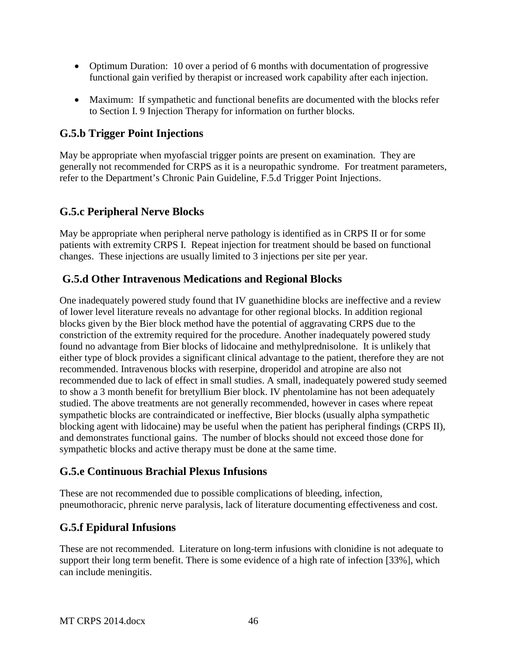- Optimum Duration: 10 over a period of 6 months with documentation of progressive functional gain verified by therapist or increased work capability after each injection.
- Maximum: If sympathetic and functional benefits are documented with the blocks refer to Section I. 9 Injection Therapy for information on further blocks.

## **G.5.b Trigger Point Injections**

May be appropriate when myofascial trigger points are present on examination. They are generally not recommended for CRPS as it is a neuropathic syndrome. For treatment parameters, refer to the Department's Chronic Pain Guideline, F.5.d Trigger Point Injections.

## **G.5.c Peripheral Nerve Blocks**

May be appropriate when peripheral nerve pathology is identified as in CRPS II or for some patients with extremity CRPS I. Repeat injection for treatment should be based on functional changes. These injections are usually limited to 3 injections per site per year.

## **G.5.d Other Intravenous Medications and Regional Blocks**

One inadequately powered study found that IV guanethidine blocks are ineffective and a review of lower level literature reveals no advantage for other regional blocks. In addition regional blocks given by the Bier block method have the potential of aggravating CRPS due to the constriction of the extremity required for the procedure. Another inadequately powered study found no advantage from Bier blocks of lidocaine and methylprednisolone. It is unlikely that either type of block provides a significant clinical advantage to the patient, therefore they are not recommended. Intravenous blocks with reserpine, droperidol and atropine are also not recommended due to lack of effect in small studies. A small, inadequately powered study seemed to show a 3 month benefit for bretyllium Bier block. IV phentolamine has not been adequately studied. The above treatments are not generally recommended, however in cases where repeat sympathetic blocks are contraindicated or ineffective, Bier blocks (usually alpha sympathetic blocking agent with lidocaine) may be useful when the patient has peripheral findings (CRPS II), and demonstrates functional gains. The number of blocks should not exceed those done for sympathetic blocks and active therapy must be done at the same time.

## **G.5.e Continuous Brachial Plexus Infusions**

These are not recommended due to possible complications of bleeding, infection, pneumothoracic, phrenic nerve paralysis, lack of literature documenting effectiveness and cost.

# **G.5.f Epidural Infusions**

These are not recommended. Literature on long-term infusions with clonidine is not adequate to support their long term benefit. There is some evidence of a high rate of infection [33%], which can include meningitis.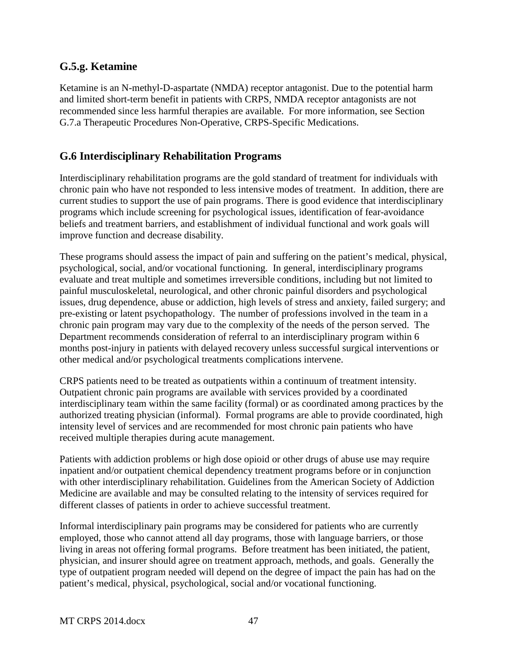## **G.5.g. Ketamine**

Ketamine is an N-methyl-D-aspartate (NMDA) receptor antagonist. Due to the potential harm and limited short-term benefit in patients with CRPS, NMDA receptor antagonists are not recommended since less harmful therapies are available. For more information, see Section G.7.a Therapeutic Procedures Non-Operative, CRPS-Specific Medications.

## **G.6 Interdisciplinary Rehabilitation Programs**

Interdisciplinary rehabilitation programs are the gold standard of treatment for individuals with chronic pain who have not responded to less intensive modes of treatment. In addition, there are current studies to support the use of pain programs. There is good evidence that interdisciplinary programs which include screening for psychological issues, identification of fear-avoidance beliefs and treatment barriers, and establishment of individual functional and work goals will improve function and decrease disability.

These programs should assess the impact of pain and suffering on the patient's medical, physical, psychological, social, and/or vocational functioning. In general, interdisciplinary programs evaluate and treat multiple and sometimes irreversible conditions, including but not limited to painful musculoskeletal, neurological, and other chronic painful disorders and psychological issues, drug dependence, abuse or addiction, high levels of stress and anxiety, failed surgery; and pre-existing or latent psychopathology. The number of professions involved in the team in a chronic pain program may vary due to the complexity of the needs of the person served. The Department recommends consideration of referral to an interdisciplinary program within 6 months post-injury in patients with delayed recovery unless successful surgical interventions or other medical and/or psychological treatments complications intervene.

CRPS patients need to be treated as outpatients within a continuum of treatment intensity. Outpatient chronic pain programs are available with services provided by a coordinated interdisciplinary team within the same facility (formal) or as coordinated among practices by the authorized treating physician (informal). Formal programs are able to provide coordinated, high intensity level of services and are recommended for most chronic pain patients who have received multiple therapies during acute management.

Patients with addiction problems or high dose opioid or other drugs of abuse use may require inpatient and/or outpatient chemical dependency treatment programs before or in conjunction with other interdisciplinary rehabilitation. Guidelines from the American Society of Addiction Medicine are available and may be consulted relating to the intensity of services required for different classes of patients in order to achieve successful treatment.

Informal interdisciplinary pain programs may be considered for patients who are currently employed, those who cannot attend all day programs, those with language barriers, or those living in areas not offering formal programs. Before treatment has been initiated, the patient, physician, and insurer should agree on treatment approach, methods, and goals. Generally the type of outpatient program needed will depend on the degree of impact the pain has had on the patient's medical, physical, psychological, social and/or vocational functioning.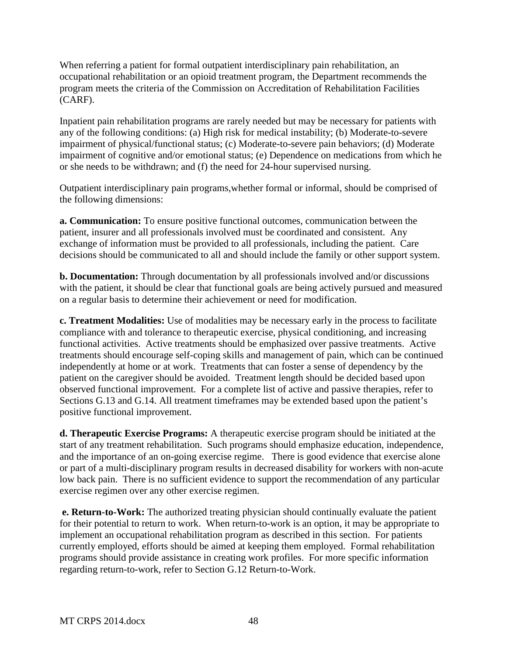When referring a patient for formal outpatient interdisciplinary pain rehabilitation, an occupational rehabilitation or an opioid treatment program, the Department recommends the program meets the criteria of the Commission on Accreditation of Rehabilitation Facilities (CARF).

Inpatient pain rehabilitation programs are rarely needed but may be necessary for patients with any of the following conditions: (a) High risk for medical instability; (b) Moderate-to-severe impairment of physical/functional status; (c) Moderate-to-severe pain behaviors; (d) Moderate impairment of cognitive and/or emotional status; (e) Dependence on medications from which he or she needs to be withdrawn; and (f) the need for 24-hour supervised nursing.

Outpatient interdisciplinary pain programs,whether formal or informal, should be comprised of the following dimensions:

**a. Communication:** To ensure positive functional outcomes, communication between the patient, insurer and all professionals involved must be coordinated and consistent. Any exchange of information must be provided to all professionals, including the patient. Care decisions should be communicated to all and should include the family or other support system.

**b. Documentation:** Through documentation by all professionals involved and/or discussions with the patient, it should be clear that functional goals are being actively pursued and measured on a regular basis to determine their achievement or need for modification.

**c. Treatment Modalities:** Use of modalities may be necessary early in the process to facilitate compliance with and tolerance to therapeutic exercise, physical conditioning, and increasing functional activities. Active treatments should be emphasized over passive treatments. Active treatments should encourage self-coping skills and management of pain, which can be continued independently at home or at work. Treatments that can foster a sense of dependency by the patient on the caregiver should be avoided. Treatment length should be decided based upon observed functional improvement. For a complete list of active and passive therapies, refer to Sections G.13 and G.14. All treatment timeframes may be extended based upon the patient's positive functional improvement.

**d. Therapeutic Exercise Programs:** A therapeutic exercise program should be initiated at the start of any treatment rehabilitation. Such programs should emphasize education, independence, and the importance of an on-going exercise regime. There is good evidence that exercise alone or part of a multi-disciplinary program results in decreased disability for workers with non-acute low back pain. There is no sufficient evidence to support the recommendation of any particular exercise regimen over any other exercise regimen.

**e. Return-to-Work:** The authorized treating physician should continually evaluate the patient for their potential to return to work. When return-to-work is an option, it may be appropriate to implement an occupational rehabilitation program as described in this section. For patients currently employed, efforts should be aimed at keeping them employed. Formal rehabilitation programs should provide assistance in creating work profiles. For more specific information regarding return-to-work, refer to Section G.12 Return-to-Work.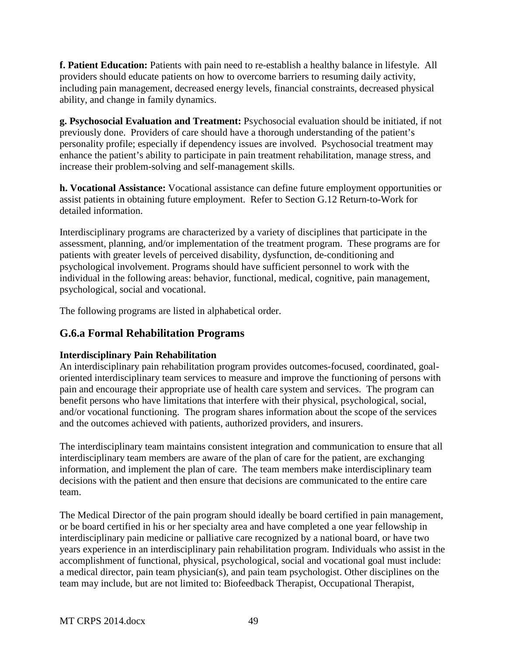**f. Patient Education:** Patients with pain need to re-establish a healthy balance in lifestyle. All providers should educate patients on how to overcome barriers to resuming daily activity, including pain management, decreased energy levels, financial constraints, decreased physical ability, and change in family dynamics.

**g. Psychosocial Evaluation and Treatment:** Psychosocial evaluation should be initiated, if not previously done. Providers of care should have a thorough understanding of the patient's personality profile; especially if dependency issues are involved. Psychosocial treatment may enhance the patient's ability to participate in pain treatment rehabilitation, manage stress, and increase their problem-solving and self-management skills.

**h. Vocational Assistance:** Vocational assistance can define future employment opportunities or assist patients in obtaining future employment. Refer to Section G.12 Return-to-Work for detailed information.

Interdisciplinary programs are characterized by a variety of disciplines that participate in the assessment, planning, and/or implementation of the treatment program. These programs are for patients with greater levels of perceived disability, dysfunction, de-conditioning and psychological involvement. Programs should have sufficient personnel to work with the individual in the following areas: behavior, functional, medical, cognitive, pain management, psychological, social and vocational.

The following programs are listed in alphabetical order.

# **G.6.a Formal Rehabilitation Programs**

## **Interdisciplinary Pain Rehabilitation**

An interdisciplinary pain rehabilitation program provides outcomes-focused, coordinated, goaloriented interdisciplinary team services to measure and improve the functioning of persons with pain and encourage their appropriate use of health care system and services. The program can benefit persons who have limitations that interfere with their physical, psychological, social, and/or vocational functioning. The program shares information about the scope of the services and the outcomes achieved with patients, authorized providers, and insurers.

The interdisciplinary team maintains consistent integration and communication to ensure that all interdisciplinary team members are aware of the plan of care for the patient, are exchanging information, and implement the plan of care. The team members make interdisciplinary team decisions with the patient and then ensure that decisions are communicated to the entire care team.

The Medical Director of the pain program should ideally be board certified in pain management, or be board certified in his or her specialty area and have completed a one year fellowship in interdisciplinary pain medicine or palliative care recognized by a national board, or have two years experience in an interdisciplinary pain rehabilitation program. Individuals who assist in the accomplishment of functional, physical, psychological, social and vocational goal must include: a medical director, pain team physician(s), and pain team psychologist. Other disciplines on the team may include, but are not limited to: Biofeedback Therapist, Occupational Therapist,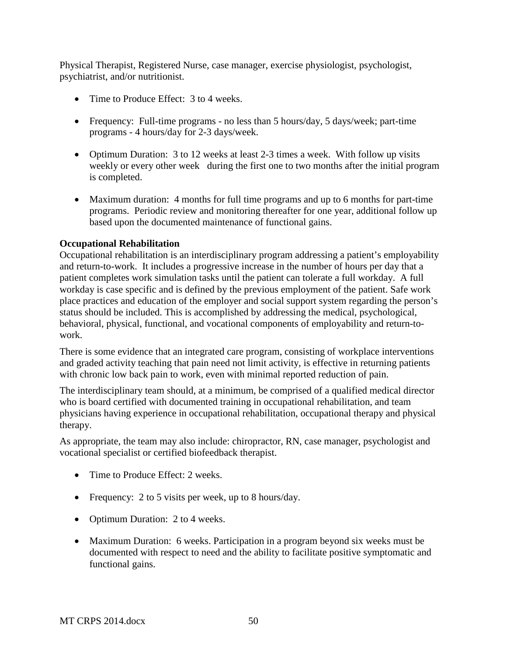Physical Therapist, Registered Nurse, case manager, exercise physiologist, psychologist, psychiatrist, and/or nutritionist.

- Time to Produce Effect: 3 to 4 weeks.
- Frequency: Full-time programs no less than 5 hours/day, 5 days/week; part-time programs - 4 hours/day for 2-3 days/week.
- Optimum Duration: 3 to 12 weeks at least 2-3 times a week. With follow up visits weekly or every other week during the first one to two months after the initial program is completed.
- Maximum duration: 4 months for full time programs and up to 6 months for part-time programs. Periodic review and monitoring thereafter for one year, additional follow up based upon the documented maintenance of functional gains.

#### **Occupational Rehabilitation**

Occupational rehabilitation is an interdisciplinary program addressing a patient's employability and return-to-work. It includes a progressive increase in the number of hours per day that a patient completes work simulation tasks until the patient can tolerate a full workday. A full workday is case specific and is defined by the previous employment of the patient. Safe work place practices and education of the employer and social support system regarding the person's status should be included. This is accomplished by addressing the medical, psychological, behavioral, physical, functional, and vocational components of employability and return-towork.

There is some evidence that an integrated care program, consisting of workplace interventions and graded activity teaching that pain need not limit activity, is effective in returning patients with chronic low back pain to work, even with minimal reported reduction of pain.

The interdisciplinary team should, at a minimum, be comprised of a qualified medical director who is board certified with documented training in occupational rehabilitation, and team physicians having experience in occupational rehabilitation, occupational therapy and physical therapy.

As appropriate, the team may also include: chiropractor, RN, case manager, psychologist and vocational specialist or certified biofeedback therapist.

- Time to Produce Effect: 2 weeks.
- Frequency: 2 to 5 visits per week, up to 8 hours/day.
- Optimum Duration: 2 to 4 weeks.
- Maximum Duration: 6 weeks. Participation in a program beyond six weeks must be documented with respect to need and the ability to facilitate positive symptomatic and functional gains.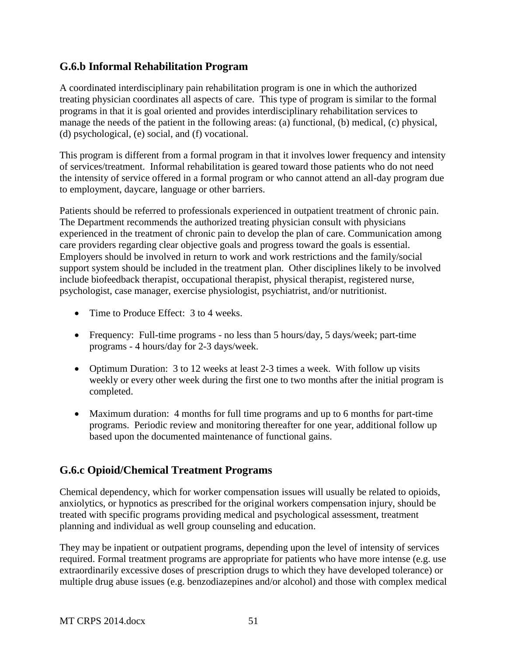## **G.6.b Informal Rehabilitation Program**

A coordinated interdisciplinary pain rehabilitation program is one in which the authorized treating physician coordinates all aspects of care. This type of program is similar to the formal programs in that it is goal oriented and provides interdisciplinary rehabilitation services to manage the needs of the patient in the following areas: (a) functional, (b) medical, (c) physical, (d) psychological, (e) social, and (f) vocational.

This program is different from a formal program in that it involves lower frequency and intensity of services/treatment. Informal rehabilitation is geared toward those patients who do not need the intensity of service offered in a formal program or who cannot attend an all-day program due to employment, daycare, language or other barriers.

Patients should be referred to professionals experienced in outpatient treatment of chronic pain. The Department recommends the authorized treating physician consult with physicians experienced in the treatment of chronic pain to develop the plan of care. Communication among care providers regarding clear objective goals and progress toward the goals is essential. Employers should be involved in return to work and work restrictions and the family/social support system should be included in the treatment plan. Other disciplines likely to be involved include biofeedback therapist, occupational therapist, physical therapist, registered nurse, psychologist, case manager, exercise physiologist, psychiatrist, and/or nutritionist.

- Time to Produce Effect: 3 to 4 weeks.
- Frequency: Full-time programs no less than 5 hours/day, 5 days/week; part-time programs - 4 hours/day for 2-3 days/week.
- Optimum Duration: 3 to 12 weeks at least 2-3 times a week. With follow up visits weekly or every other week during the first one to two months after the initial program is completed.
- Maximum duration: 4 months for full time programs and up to 6 months for part-time programs. Periodic review and monitoring thereafter for one year, additional follow up based upon the documented maintenance of functional gains.

# **G.6.c Opioid/Chemical Treatment Programs**

Chemical dependency, which for worker compensation issues will usually be related to opioids, anxiolytics, or hypnotics as prescribed for the original workers compensation injury, should be treated with specific programs providing medical and psychological assessment, treatment planning and individual as well group counseling and education.

They may be inpatient or outpatient programs, depending upon the level of intensity of services required. Formal treatment programs are appropriate for patients who have more intense (e.g. use extraordinarily excessive doses of prescription drugs to which they have developed tolerance) or multiple drug abuse issues (e.g. benzodiazepines and/or alcohol) and those with complex medical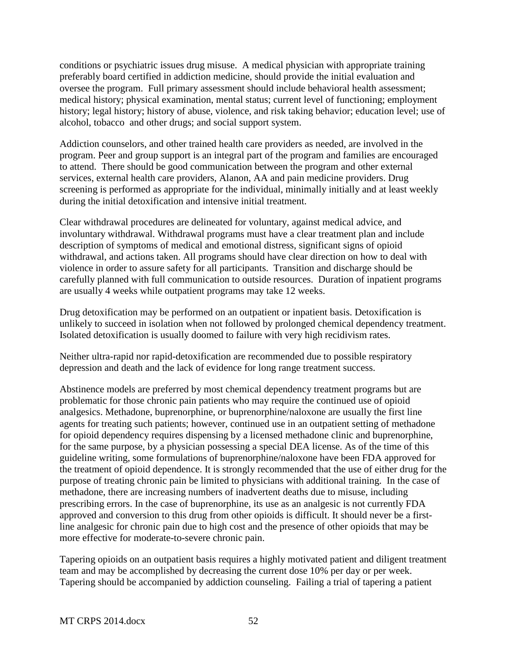conditions or psychiatric issues drug misuse. A medical physician with appropriate training preferably board certified in addiction medicine, should provide the initial evaluation and oversee the program. Full primary assessment should include behavioral health assessment; medical history; physical examination, mental status; current level of functioning; employment history; legal history; history of abuse, violence, and risk taking behavior; education level; use of alcohol, tobacco and other drugs; and social support system.

Addiction counselors, and other trained health care providers as needed, are involved in the program. Peer and group support is an integral part of the program and families are encouraged to attend. There should be good communication between the program and other external services, external health care providers, Alanon, AA and pain medicine providers. Drug screening is performed as appropriate for the individual, minimally initially and at least weekly during the initial detoxification and intensive initial treatment.

Clear withdrawal procedures are delineated for voluntary, against medical advice, and involuntary withdrawal. Withdrawal programs must have a clear treatment plan and include description of symptoms of medical and emotional distress, significant signs of opioid withdrawal, and actions taken. All programs should have clear direction on how to deal with violence in order to assure safety for all participants. Transition and discharge should be carefully planned with full communication to outside resources. Duration of inpatient programs are usually 4 weeks while outpatient programs may take 12 weeks.

Drug detoxification may be performed on an outpatient or inpatient basis. Detoxification is unlikely to succeed in isolation when not followed by prolonged chemical dependency treatment. Isolated detoxification is usually doomed to failure with very high recidivism rates.

Neither ultra-rapid nor rapid-detoxification are recommended due to possible respiratory depression and death and the lack of evidence for long range treatment success.

Abstinence models are preferred by most chemical dependency treatment programs but are problematic for those chronic pain patients who may require the continued use of opioid analgesics. Methadone, buprenorphine, or buprenorphine/naloxone are usually the first line agents for treating such patients; however, continued use in an outpatient setting of methadone for opioid dependency requires dispensing by a licensed methadone clinic and buprenorphine, for the same purpose, by a physician possessing a special DEA license. As of the time of this guideline writing, some formulations of buprenorphine/naloxone have been FDA approved for the treatment of opioid dependence. It is strongly recommended that the use of either drug for the purpose of treating chronic pain be limited to physicians with additional training. In the case of methadone, there are increasing numbers of inadvertent deaths due to misuse, including prescribing errors. In the case of buprenorphine, its use as an analgesic is not currently FDA approved and conversion to this drug from other opioids is difficult. It should never be a firstline analgesic for chronic pain due to high cost and the presence of other opioids that may be more effective for moderate-to-severe chronic pain.

Tapering opioids on an outpatient basis requires a highly motivated patient and diligent treatment team and may be accomplished by decreasing the current dose 10% per day or per week. Tapering should be accompanied by addiction counseling. Failing a trial of tapering a patient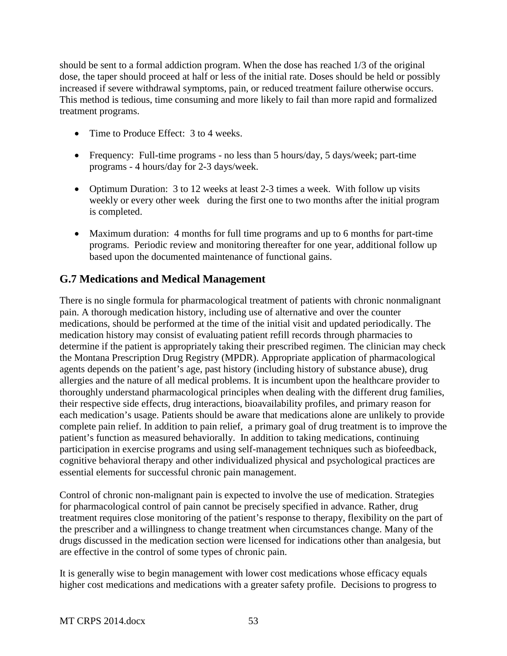should be sent to a formal addiction program. When the dose has reached 1/3 of the original dose, the taper should proceed at half or less of the initial rate. Doses should be held or possibly increased if severe withdrawal symptoms, pain, or reduced treatment failure otherwise occurs. This method is tedious, time consuming and more likely to fail than more rapid and formalized treatment programs.

- Time to Produce Effect: 3 to 4 weeks.
- Frequency: Full-time programs no less than 5 hours/day, 5 days/week; part-time programs - 4 hours/day for 2-3 days/week.
- Optimum Duration: 3 to 12 weeks at least 2-3 times a week. With follow up visits weekly or every other week during the first one to two months after the initial program is completed.
- Maximum duration: 4 months for full time programs and up to 6 months for part-time programs. Periodic review and monitoring thereafter for one year, additional follow up based upon the documented maintenance of functional gains.

# **G.7 Medications and Medical Management**

There is no single formula for pharmacological treatment of patients with chronic nonmalignant pain. A thorough medication history, including use of alternative and over the counter medications, should be performed at the time of the initial visit and updated periodically. The medication history may consist of evaluating patient refill records through pharmacies to determine if the patient is appropriately taking their prescribed regimen. The clinician may check the Montana Prescription Drug Registry (MPDR). Appropriate application of pharmacological agents depends on the patient's age, past history (including history of substance abuse), drug allergies and the nature of all medical problems. It is incumbent upon the healthcare provider to thoroughly understand pharmacological principles when dealing with the different drug families, their respective side effects, drug interactions, bioavailability profiles, and primary reason for each medication's usage. Patients should be aware that medications alone are unlikely to provide complete pain relief. In addition to pain relief, a primary goal of drug treatment is to improve the patient's function as measured behaviorally. In addition to taking medications, continuing participation in exercise programs and using self-management techniques such as biofeedback, cognitive behavioral therapy and other individualized physical and psychological practices are essential elements for successful chronic pain management.

Control of chronic non-malignant pain is expected to involve the use of medication. Strategies for pharmacological control of pain cannot be precisely specified in advance. Rather, drug treatment requires close monitoring of the patient's response to therapy, flexibility on the part of the prescriber and a willingness to change treatment when circumstances change. Many of the drugs discussed in the medication section were licensed for indications other than analgesia, but are effective in the control of some types of chronic pain.

It is generally wise to begin management with lower cost medications whose efficacy equals higher cost medications and medications with a greater safety profile. Decisions to progress to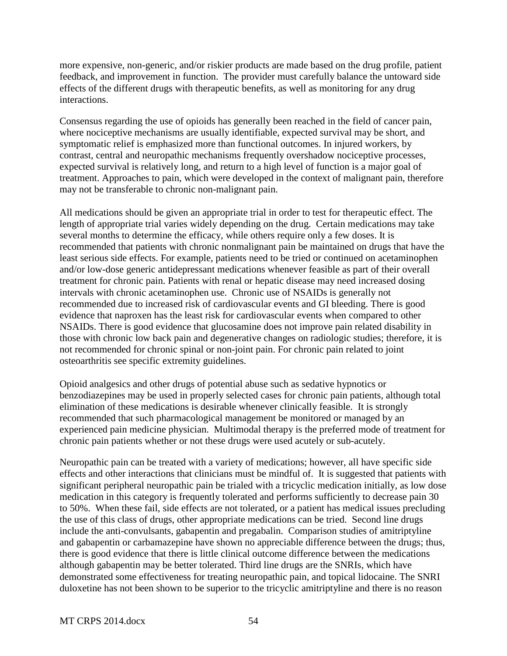more expensive, non-generic, and/or riskier products are made based on the drug profile, patient feedback, and improvement in function. The provider must carefully balance the untoward side effects of the different drugs with therapeutic benefits, as well as monitoring for any drug interactions.

Consensus regarding the use of opioids has generally been reached in the field of cancer pain, where nociceptive mechanisms are usually identifiable, expected survival may be short, and symptomatic relief is emphasized more than functional outcomes. In injured workers, by contrast, central and neuropathic mechanisms frequently overshadow nociceptive processes, expected survival is relatively long, and return to a high level of function is a major goal of treatment. Approaches to pain, which were developed in the context of malignant pain, therefore may not be transferable to chronic non-malignant pain.

All medications should be given an appropriate trial in order to test for therapeutic effect. The length of appropriate trial varies widely depending on the drug. Certain medications may take several months to determine the efficacy, while others require only a few doses. It is recommended that patients with chronic nonmalignant pain be maintained on drugs that have the least serious side effects. For example, patients need to be tried or continued on acetaminophen and/or low-dose generic antidepressant medications whenever feasible as part of their overall treatment for chronic pain. Patients with renal or hepatic disease may need increased dosing intervals with chronic acetaminophen use. Chronic use of NSAIDs is generally not recommended due to increased risk of cardiovascular events and GI bleeding. There is good evidence that naproxen has the least risk for cardiovascular events when compared to other NSAIDs. There is good evidence that glucosamine does not improve pain related disability in those with chronic low back pain and degenerative changes on radiologic studies; therefore, it is not recommended for chronic spinal or non-joint pain. For chronic pain related to joint osteoarthritis see specific extremity guidelines.

Opioid analgesics and other drugs of potential abuse such as sedative hypnotics or benzodiazepines may be used in properly selected cases for chronic pain patients, although total elimination of these medications is desirable whenever clinically feasible. It is strongly recommended that such pharmacological management be monitored or managed by an experienced pain medicine physician. Multimodal therapy is the preferred mode of treatment for chronic pain patients whether or not these drugs were used acutely or sub-acutely.

Neuropathic pain can be treated with a variety of medications; however, all have specific side effects and other interactions that clinicians must be mindful of. It is suggested that patients with significant peripheral neuropathic pain be trialed with a tricyclic medication initially, as low dose medication in this category is frequently tolerated and performs sufficiently to decrease pain 30 to 50%. When these fail, side effects are not tolerated, or a patient has medical issues precluding the use of this class of drugs, other appropriate medications can be tried. Second line drugs include the anti-convulsants, gabapentin and pregabalin. Comparison studies of amitriptyline and gabapentin or carbamazepine have shown no appreciable difference between the drugs; thus, there is good evidence that there is little clinical outcome difference between the medications although gabapentin may be better tolerated. Third line drugs are the SNRIs, which have demonstrated some effectiveness for treating neuropathic pain, and topical lidocaine. The SNRI duloxetine has not been shown to be superior to the tricyclic amitriptyline and there is no reason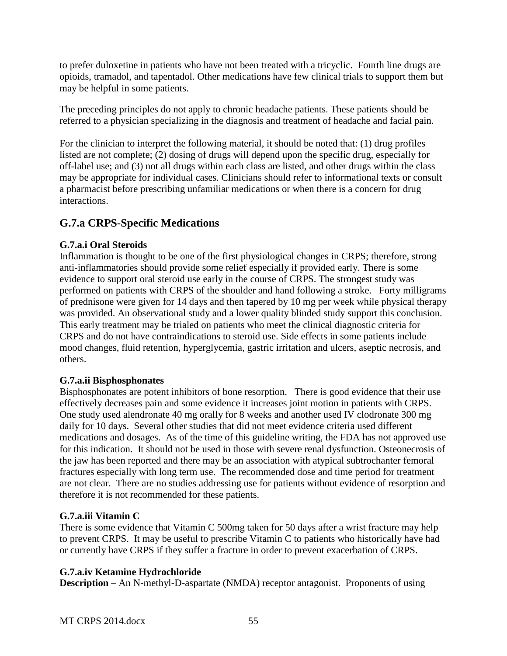to prefer duloxetine in patients who have not been treated with a tricyclic. Fourth line drugs are opioids, tramadol, and tapentadol. Other medications have few clinical trials to support them but may be helpful in some patients.

The preceding principles do not apply to chronic headache patients. These patients should be referred to a physician specializing in the diagnosis and treatment of headache and facial pain.

For the clinician to interpret the following material, it should be noted that: (1) drug profiles listed are not complete; (2) dosing of drugs will depend upon the specific drug, especially for off-label use; and (3) not all drugs within each class are listed, and other drugs within the class may be appropriate for individual cases. Clinicians should refer to informational texts or consult a pharmacist before prescribing unfamiliar medications or when there is a concern for drug interactions.

# **G.7.a CRPS-Specific Medications**

#### **G.7.a.i Oral Steroids**

Inflammation is thought to be one of the first physiological changes in CRPS; therefore, strong anti-inflammatories should provide some relief especially if provided early. There is some evidence to support oral steroid use early in the course of CRPS. The strongest study was performed on patients with CRPS of the shoulder and hand following a stroke. Forty milligrams of prednisone were given for 14 days and then tapered by 10 mg per week while physical therapy was provided. An observational study and a lower quality blinded study support this conclusion. This early treatment may be trialed on patients who meet the clinical diagnostic criteria for CRPS and do not have contraindications to steroid use. Side effects in some patients include mood changes, fluid retention, hyperglycemia, gastric irritation and ulcers, aseptic necrosis, and others.

## **G.7.a.ii Bisphosphonates**

Bisphosphonates are potent inhibitors of bone resorption. There is good evidence that their use effectively decreases pain and some evidence it increases joint motion in patients with CRPS. One study used alendronate 40 mg orally for 8 weeks and another used IV clodronate 300 mg daily for 10 days. Several other studies that did not meet evidence criteria used different medications and dosages. As of the time of this guideline writing, the FDA has not approved use for this indication. It should not be used in those with severe renal dysfunction. Osteonecrosis of the jaw has been reported and there may be an association with atypical subtrochanter femoral fractures especially with long term use. The recommended dose and time period for treatment are not clear. There are no studies addressing use for patients without evidence of resorption and therefore it is not recommended for these patients.

## **G.7.a.iii Vitamin C**

There is some evidence that Vitamin C 500mg taken for 50 days after a wrist fracture may help to prevent CRPS. It may be useful to prescribe Vitamin C to patients who historically have had or currently have CRPS if they suffer a fracture in order to prevent exacerbation of CRPS.

## **G.7.a.iv Ketamine Hydrochloride**

**Description** – An N-methyl-D-aspartate (NMDA) receptor antagonist. Proponents of using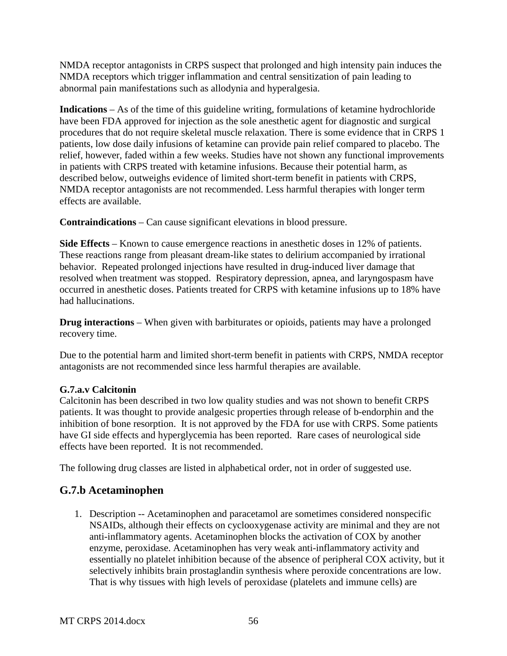NMDA receptor antagonists in CRPS suspect that prolonged and high intensity pain induces the NMDA receptors which trigger inflammation and central sensitization of pain leading to abnormal pain manifestations such as allodynia and hyperalgesia.

**Indications** – As of the time of this guideline writing, formulations of ketamine hydrochloride have been FDA approved for injection as the sole anesthetic agent for diagnostic and surgical procedures that do not require skeletal muscle relaxation. There is some evidence that in CRPS 1 patients, low dose daily infusions of ketamine can provide pain relief compared to placebo. The relief, however, faded within a few weeks. Studies have not shown any functional improvements in patients with CRPS treated with ketamine infusions. Because their potential harm, as described below, outweighs evidence of limited short-term benefit in patients with CRPS, NMDA receptor antagonists are not recommended. Less harmful therapies with longer term effects are available.

**Contraindications** – Can cause significant elevations in blood pressure.

**Side Effects** – Known to cause emergence reactions in anesthetic doses in 12% of patients. These reactions range from pleasant dream-like states to delirium accompanied by irrational behavior. Repeated prolonged injections have resulted in drug-induced liver damage that resolved when treatment was stopped. Respiratory depression, apnea, and laryngospasm have occurred in anesthetic doses. Patients treated for CRPS with ketamine infusions up to 18% have had hallucinations.

**Drug interactions** – When given with barbiturates or opioids, patients may have a prolonged recovery time.

Due to the potential harm and limited short-term benefit in patients with CRPS, NMDA receptor antagonists are not recommended since less harmful therapies are available.

## **G.7.a.v Calcitonin**

Calcitonin has been described in two low quality studies and was not shown to benefit CRPS patients. It was thought to provide analgesic properties through release of b-endorphin and the inhibition of bone resorption. It is not approved by the FDA for use with CRPS. Some patients have GI side effects and hyperglycemia has been reported. Rare cases of neurological side effects have been reported. It is not recommended.

The following drug classes are listed in alphabetical order, not in order of suggested use.

# **G.7.b Acetaminophen**

1. Description -- Acetaminophen and paracetamol are sometimes considered nonspecific NSAIDs, although their effects on cyclooxygenase activity are minimal and they are not anti-inflammatory agents. Acetaminophen blocks the activation of COX by another enzyme, peroxidase. Acetaminophen has very weak anti-inflammatory activity and essentially no platelet inhibition because of the absence of peripheral COX activity, but it selectively inhibits brain prostaglandin synthesis where peroxide concentrations are low. That is why tissues with high levels of peroxidase (platelets and immune cells) are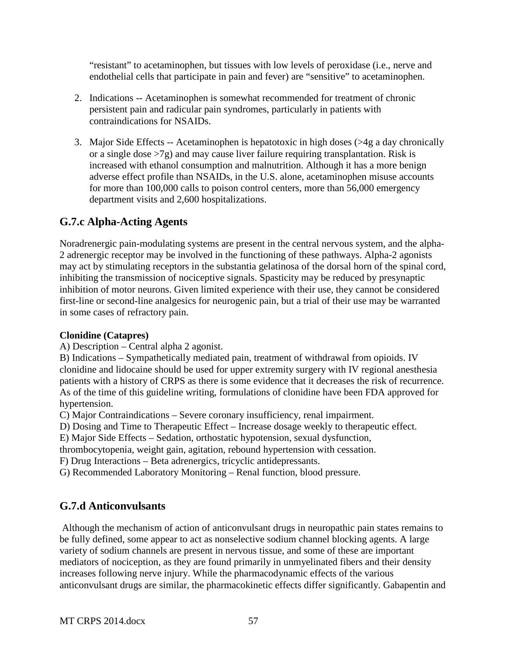"resistant" to acetaminophen, but tissues with low levels of peroxidase (i.e., nerve and endothelial cells that participate in pain and fever) are "sensitive" to acetaminophen.

- 2. Indications -- Acetaminophen is somewhat recommended for treatment of chronic persistent pain and radicular pain syndromes, particularly in patients with contraindications for NSAIDs.
- 3. Major Side Effects -- Acetaminophen is hepatotoxic in high doses (>4g a day chronically or a single dose  $>7g$ ) and may cause liver failure requiring transplantation. Risk is increased with ethanol consumption and malnutrition. Although it has a more benign adverse effect profile than NSAIDs, in the U.S. alone, acetaminophen misuse accounts for more than 100,000 calls to poison control centers, more than 56,000 emergency department visits and 2,600 hospitalizations.

# **G.7.c Alpha-Acting Agents**

Noradrenergic pain-modulating systems are present in the central nervous system, and the alpha-2 adrenergic receptor may be involved in the functioning of these pathways. Alpha-2 agonists may act by stimulating receptors in the substantia gelatinosa of the dorsal horn of the spinal cord, inhibiting the transmission of nociceptive signals. Spasticity may be reduced by presynaptic inhibition of motor neurons. Given limited experience with their use, they cannot be considered first-line or second-line analgesics for neurogenic pain, but a trial of their use may be warranted in some cases of refractory pain.

#### **Clonidine (Catapres)**

A) Description – Central alpha 2 agonist.

B) Indications – Sympathetically mediated pain, treatment of withdrawal from opioids. IV clonidine and lidocaine should be used for upper extremity surgery with IV regional anesthesia patients with a history of CRPS as there is some evidence that it decreases the risk of recurrence. As of the time of this guideline writing, formulations of clonidine have been FDA approved for hypertension.

C) Major Contraindications – Severe coronary insufficiency, renal impairment.

D) Dosing and Time to Therapeutic Effect – Increase dosage weekly to therapeutic effect.

E) Major Side Effects – Sedation, orthostatic hypotension, sexual dysfunction,

thrombocytopenia, weight gain, agitation, rebound hypertension with cessation.

F) Drug Interactions – Beta adrenergics, tricyclic antidepressants.

G) Recommended Laboratory Monitoring – Renal function, blood pressure.

# **G.7.d Anticonvulsants**

Although the mechanism of action of anticonvulsant drugs in neuropathic pain states remains to be fully defined, some appear to act as nonselective sodium channel blocking agents. A large variety of sodium channels are present in nervous tissue, and some of these are important mediators of nociception, as they are found primarily in unmyelinated fibers and their density increases following nerve injury. While the pharmacodynamic effects of the various anticonvulsant drugs are similar, the pharmacokinetic effects differ significantly. Gabapentin and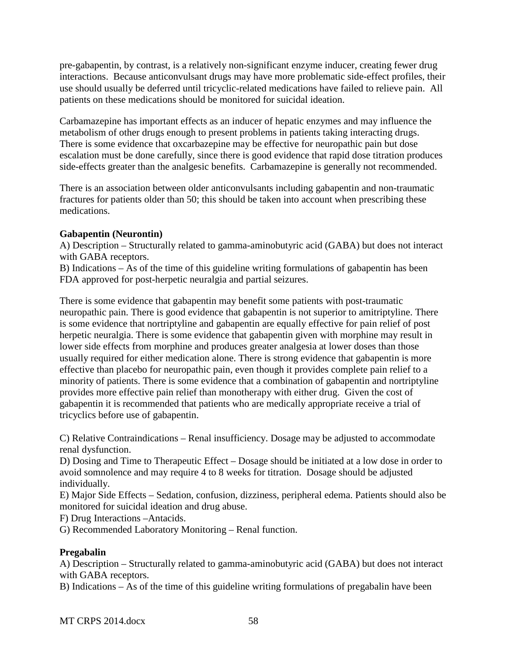pre-gabapentin, by contrast, is a relatively non-significant enzyme inducer, creating fewer drug interactions. Because anticonvulsant drugs may have more problematic side-effect profiles, their use should usually be deferred until tricyclic-related medications have failed to relieve pain. All patients on these medications should be monitored for suicidal ideation.

Carbamazepine has important effects as an inducer of hepatic enzymes and may influence the metabolism of other drugs enough to present problems in patients taking interacting drugs. There is some evidence that oxcarbazepine may be effective for neuropathic pain but dose escalation must be done carefully, since there is good evidence that rapid dose titration produces side-effects greater than the analgesic benefits. Carbamazepine is generally not recommended.

There is an association between older anticonvulsants including gabapentin and non-traumatic fractures for patients older than 50; this should be taken into account when prescribing these medications.

#### **Gabapentin (Neurontin)**

A) Description – Structurally related to gamma-aminobutyric acid (GABA) but does not interact with GABA receptors.

B) Indications – As of the time of this guideline writing formulations of gabapentin has been FDA approved for post-herpetic neuralgia and partial seizures.

There is some evidence that gabapentin may benefit some patients with post-traumatic neuropathic pain. There is good evidence that gabapentin is not superior to amitriptyline. There is some evidence that nortriptyline and gabapentin are equally effective for pain relief of post herpetic neuralgia. There is some evidence that gabapentin given with morphine may result in lower side effects from morphine and produces greater analgesia at lower doses than those usually required for either medication alone. There is strong evidence that gabapentin is more effective than placebo for neuropathic pain, even though it provides complete pain relief to a minority of patients. There is some evidence that a combination of gabapentin and nortriptyline provides more effective pain relief than monotherapy with either drug. Given the cost of gabapentin it is recommended that patients who are medically appropriate receive a trial of tricyclics before use of gabapentin.

C) Relative Contraindications – Renal insufficiency. Dosage may be adjusted to accommodate renal dysfunction.

D) Dosing and Time to Therapeutic Effect – Dosage should be initiated at a low dose in order to avoid somnolence and may require 4 to 8 weeks for titration. Dosage should be adjusted individually.

E) Major Side Effects – Sedation, confusion, dizziness, peripheral edema. Patients should also be monitored for suicidal ideation and drug abuse.

F) Drug Interactions –Antacids.

G) Recommended Laboratory Monitoring – Renal function.

#### **Pregabalin**

A) Description – Structurally related to gamma-aminobutyric acid (GABA) but does not interact with GABA receptors.

B) Indications – As of the time of this guideline writing formulations of pregabalin have been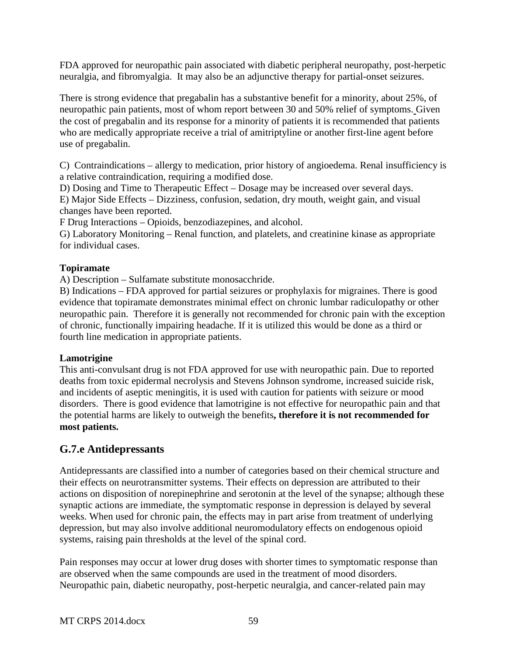FDA approved for neuropathic pain associated with diabetic peripheral neuropathy, post-herpetic neuralgia, and fibromyalgia. It may also be an adjunctive therapy for partial-onset seizures.

There is strong evidence that pregabalin has a substantive benefit for a minority, about 25%, of neuropathic pain patients, most of whom report between 30 and 50% relief of symptoms. Given the cost of pregabalin and its response for a minority of patients it is recommended that patients who are medically appropriate receive a trial of amitriptyline or another first-line agent before use of pregabalin.

C) Contraindications – allergy to medication, prior history of angioedema. Renal insufficiency is a relative contraindication, requiring a modified dose.

D) Dosing and Time to Therapeutic Effect – Dosage may be increased over several days. E) Major Side Effects – Dizziness, confusion, sedation, dry mouth, weight gain, and visual changes have been reported.

F Drug Interactions – Opioids, benzodiazepines, and alcohol.

G) Laboratory Monitoring – Renal function, and platelets, and creatinine kinase as appropriate for individual cases.

## **Topiramate**

A) Description – Sulfamate substitute monosacchride.

B) Indications – FDA approved for partial seizures or prophylaxis for migraines. There is good evidence that topiramate demonstrates minimal effect on chronic lumbar radiculopathy or other neuropathic pain. Therefore it is generally not recommended for chronic pain with the exception of chronic, functionally impairing headache. If it is utilized this would be done as a third or fourth line medication in appropriate patients.

#### **Lamotrigine**

This anti-convulsant drug is not FDA approved for use with neuropathic pain. Due to reported deaths from toxic epidermal necrolysis and Stevens Johnson syndrome, increased suicide risk, and incidents of aseptic meningitis, it is used with caution for patients with seizure or mood disorders. There is good evidence that lamotrigine is not effective for neuropathic pain and that the potential harms are likely to outweigh the benefits**, therefore it is not recommended for most patients.** 

# **G.7.e Antidepressants**

Antidepressants are classified into a number of categories based on their chemical structure and their effects on neurotransmitter systems. Their effects on depression are attributed to their actions on disposition of norepinephrine and serotonin at the level of the synapse; although these synaptic actions are immediate, the symptomatic response in depression is delayed by several weeks. When used for chronic pain, the effects may in part arise from treatment of underlying depression, but may also involve additional neuromodulatory effects on endogenous opioid systems, raising pain thresholds at the level of the spinal cord.

Pain responses may occur at lower drug doses with shorter times to symptomatic response than are observed when the same compounds are used in the treatment of mood disorders. Neuropathic pain, diabetic neuropathy, post-herpetic neuralgia, and cancer-related pain may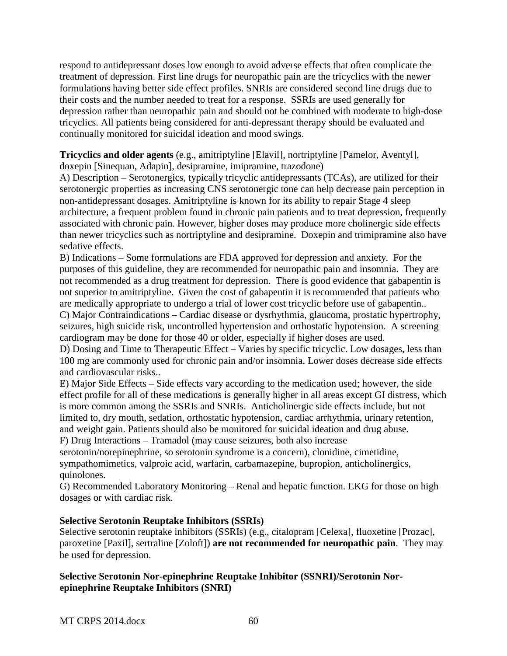respond to antidepressant doses low enough to avoid adverse effects that often complicate the treatment of depression. First line drugs for neuropathic pain are the tricyclics with the newer formulations having better side effect profiles. SNRIs are considered second line drugs due to their costs and the number needed to treat for a response. SSRIs are used generally for depression rather than neuropathic pain and should not be combined with moderate to high-dose tricyclics. All patients being considered for anti-depressant therapy should be evaluated and continually monitored for suicidal ideation and mood swings.

**Tricyclics and older agents** (e.g., amitriptyline [Elavil], nortriptyline [Pamelor, Aventyl], doxepin [Sinequan, Adapin], desipramine, imipramine, trazodone)

A) Description – Serotonergics, typically tricyclic antidepressants (TCAs), are utilized for their serotonergic properties as increasing CNS serotonergic tone can help decrease pain perception in non-antidepressant dosages. Amitriptyline is known for its ability to repair Stage 4 sleep architecture, a frequent problem found in chronic pain patients and to treat depression, frequently associated with chronic pain. However, higher doses may produce more cholinergic side effects than newer tricyclics such as nortriptyline and desipramine. Doxepin and trimipramine also have sedative effects.

B) Indications – Some formulations are FDA approved for depression and anxiety. For the purposes of this guideline, they are recommended for neuropathic pain and insomnia. They are not recommended as a drug treatment for depression. There is good evidence that gabapentin is not superior to amitriptyline. Given the cost of gabapentin it is recommended that patients who are medically appropriate to undergo a trial of lower cost tricyclic before use of gabapentin.. C) Major Contraindications – Cardiac disease or dysrhythmia, glaucoma, prostatic hypertrophy,

seizures, high suicide risk, uncontrolled hypertension and orthostatic hypotension. A screening cardiogram may be done for those 40 or older, especially if higher doses are used.

D) Dosing and Time to Therapeutic Effect – Varies by specific tricyclic. Low dosages, less than 100 mg are commonly used for chronic pain and/or insomnia. Lower doses decrease side effects and cardiovascular risks..

E) Major Side Effects – Side effects vary according to the medication used; however, the side effect profile for all of these medications is generally higher in all areas except GI distress, which is more common among the SSRIs and SNRIs. Anticholinergic side effects include, but not limited to, dry mouth, sedation, orthostatic hypotension, cardiac arrhythmia, urinary retention, and weight gain. Patients should also be monitored for suicidal ideation and drug abuse.

F) Drug Interactions – Tramadol (may cause seizures, both also increase

serotonin/norepinephrine, so serotonin syndrome is a concern), clonidine, cimetidine, sympathomimetics, valproic acid, warfarin, carbamazepine, bupropion, anticholinergics, quinolones.

G) Recommended Laboratory Monitoring – Renal and hepatic function. EKG for those on high dosages or with cardiac risk.

## **Selective Serotonin Reuptake Inhibitors (SSRIs)**

Selective serotonin reuptake inhibitors (SSRIs) (e.g., citalopram [Celexa], fluoxetine [Prozac], paroxetine [Paxil], sertraline [Zoloft]) **are not recommended for neuropathic pain**. They may be used for depression.

#### **Selective Serotonin Nor-epinephrine Reuptake Inhibitor (SSNRI)/Serotonin Norepinephrine Reuptake Inhibitors (SNRI)**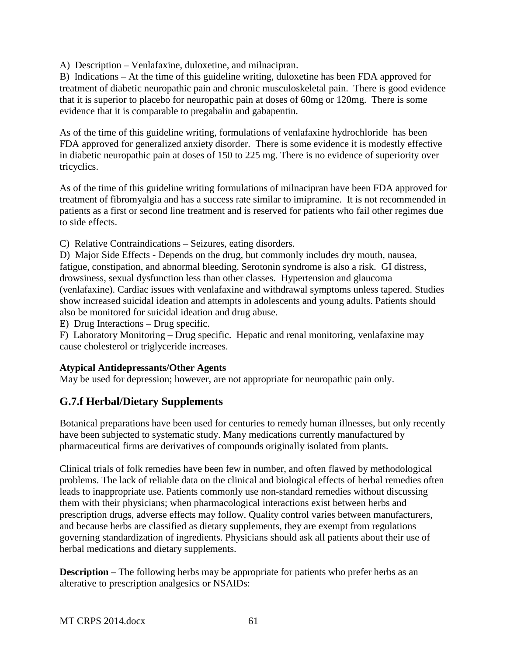A) Description – Venlafaxine, duloxetine, and milnacipran.

B) Indications – At the time of this guideline writing, duloxetine has been FDA approved for treatment of diabetic neuropathic pain and chronic musculoskeletal pain. There is good evidence that it is superior to placebo for neuropathic pain at doses of 60mg or 120mg. There is some evidence that it is comparable to pregabalin and gabapentin.

As of the time of this guideline writing, formulations of venlafaxine hydrochloride has been FDA approved for generalized anxiety disorder. There is some evidence it is modestly effective in diabetic neuropathic pain at doses of 150 to 225 mg. There is no evidence of superiority over tricyclics.

As of the time of this guideline writing formulations of milnacipran have been FDA approved for treatment of fibromyalgia and has a success rate similar to imipramine. It is not recommended in patients as a first or second line treatment and is reserved for patients who fail other regimes due to side effects.

C) Relative Contraindications – Seizures, eating disorders.

D) Major Side Effects - Depends on the drug, but commonly includes dry mouth, nausea, fatigue, constipation, and abnormal bleeding. Serotonin syndrome is also a risk. GI distress, drowsiness, sexual dysfunction less than other classes. Hypertension and glaucoma (venlafaxine). Cardiac issues with venlafaxine and withdrawal symptoms unless tapered. Studies show increased suicidal ideation and attempts in adolescents and young adults. Patients should also be monitored for suicidal ideation and drug abuse.

E) Drug Interactions – Drug specific.

F) Laboratory Monitoring – Drug specific. Hepatic and renal monitoring, venlafaxine may cause cholesterol or triglyceride increases.

#### **Atypical Antidepressants/Other Agents**

May be used for depression; however, are not appropriate for neuropathic pain only.

## **G.7.f Herbal/Dietary Supplements**

Botanical preparations have been used for centuries to remedy human illnesses, but only recently have been subjected to systematic study. Many medications currently manufactured by pharmaceutical firms are derivatives of compounds originally isolated from plants.

Clinical trials of folk remedies have been few in number, and often flawed by methodological problems. The lack of reliable data on the clinical and biological effects of herbal remedies often leads to inappropriate use. Patients commonly use non-standard remedies without discussing them with their physicians; when pharmacological interactions exist between herbs and prescription drugs, adverse effects may follow. Quality control varies between manufacturers, and because herbs are classified as dietary supplements, they are exempt from regulations governing standardization of ingredients. Physicians should ask all patients about their use of herbal medications and dietary supplements.

**Description** – The following herbs may be appropriate for patients who prefer herbs as an alterative to prescription analgesics or NSAIDs: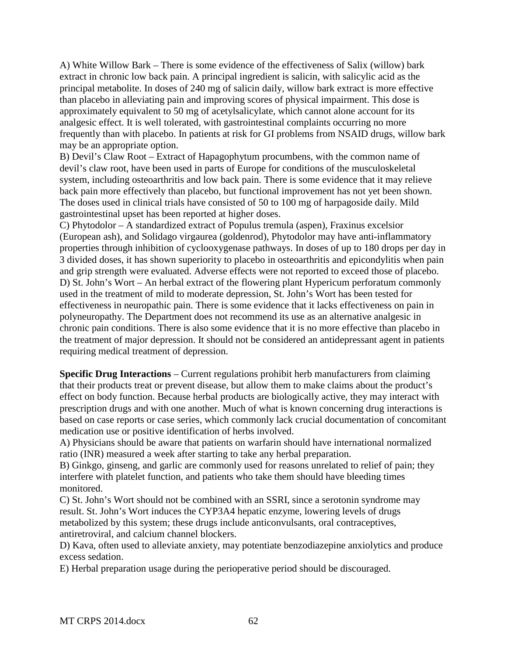A) White Willow Bark – There is some evidence of the effectiveness of Salix (willow) bark extract in chronic low back pain. A principal ingredient is salicin, with salicylic acid as the principal metabolite. In doses of 240 mg of salicin daily, willow bark extract is more effective than placebo in alleviating pain and improving scores of physical impairment. This dose is approximately equivalent to 50 mg of acetylsalicylate, which cannot alone account for its analgesic effect. It is well tolerated, with gastrointestinal complaints occurring no more frequently than with placebo. In patients at risk for GI problems from NSAID drugs, willow bark may be an appropriate option.

B) Devil's Claw Root – Extract of Hapagophytum procumbens, with the common name of devil's claw root, have been used in parts of Europe for conditions of the musculoskeletal system, including osteoarthritis and low back pain. There is some evidence that it may relieve back pain more effectively than placebo, but functional improvement has not yet been shown. The doses used in clinical trials have consisted of 50 to 100 mg of harpagoside daily. Mild gastrointestinal upset has been reported at higher doses.

C) Phytodolor – A standardized extract of Populus tremula (aspen), Fraxinus excelsior (European ash), and Solidago virgaurea (goldenrod), Phytodolor may have anti-inflammatory properties through inhibition of cyclooxygenase pathways. In doses of up to 180 drops per day in 3 divided doses, it has shown superiority to placebo in osteoarthritis and epicondylitis when pain and grip strength were evaluated. Adverse effects were not reported to exceed those of placebo. D) St. John's Wort – An herbal extract of the flowering plant Hypericum perforatum commonly used in the treatment of mild to moderate depression, St. John's Wort has been tested for effectiveness in neuropathic pain. There is some evidence that it lacks effectiveness on pain in polyneuropathy. The Department does not recommend its use as an alternative analgesic in chronic pain conditions. There is also some evidence that it is no more effective than placebo in the treatment of major depression. It should not be considered an antidepressant agent in patients requiring medical treatment of depression.

**Specific Drug Interactions** – Current regulations prohibit herb manufacturers from claiming that their products treat or prevent disease, but allow them to make claims about the product's effect on body function. Because herbal products are biologically active, they may interact with prescription drugs and with one another. Much of what is known concerning drug interactions is based on case reports or case series, which commonly lack crucial documentation of concomitant medication use or positive identification of herbs involved.

A) Physicians should be aware that patients on warfarin should have international normalized ratio (INR) measured a week after starting to take any herbal preparation.

B) Ginkgo, ginseng, and garlic are commonly used for reasons unrelated to relief of pain; they interfere with platelet function, and patients who take them should have bleeding times monitored.

C) St. John's Wort should not be combined with an SSRI, since a serotonin syndrome may result. St. John's Wort induces the CYP3A4 hepatic enzyme, lowering levels of drugs metabolized by this system; these drugs include anticonvulsants, oral contraceptives, antiretroviral, and calcium channel blockers.

D) Kava, often used to alleviate anxiety, may potentiate benzodiazepine anxiolytics and produce excess sedation.

E) Herbal preparation usage during the perioperative period should be discouraged.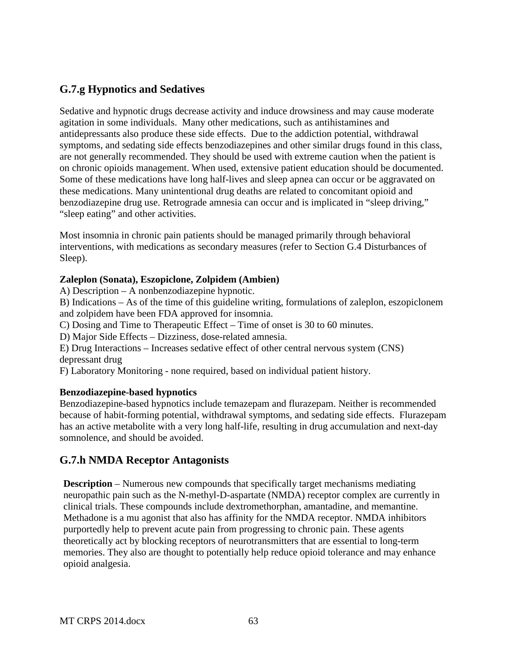# **G.7.g Hypnotics and Sedatives**

Sedative and hypnotic drugs decrease activity and induce drowsiness and may cause moderate agitation in some individuals. Many other medications, such as antihistamines and antidepressants also produce these side effects. Due to the addiction potential, withdrawal symptoms, and sedating side effects benzodiazepines and other similar drugs found in this class, are not generally recommended. They should be used with extreme caution when the patient is on chronic opioids management. When used, extensive patient education should be documented. Some of these medications have long half-lives and sleep apnea can occur or be aggravated on these medications. Many unintentional drug deaths are related to concomitant opioid and benzodiazepine drug use. Retrograde amnesia can occur and is implicated in "sleep driving," "sleep eating" and other activities.

Most insomnia in chronic pain patients should be managed primarily through behavioral interventions, with medications as secondary measures (refer to Section G.4 Disturbances of Sleep).

#### **Zaleplon (Sonata), Eszopiclone, Zolpidem (Ambien)**

A) Description – A nonbenzodiazepine hypnotic.

B) Indications – As of the time of this guideline writing, formulations of zaleplon, eszopiclonem and zolpidem have been FDA approved for insomnia.

C) Dosing and Time to Therapeutic Effect – Time of onset is 30 to 60 minutes.

D) Major Side Effects – Dizziness, dose-related amnesia.

E) Drug Interactions – Increases sedative effect of other central nervous system (CNS) depressant drug

F) Laboratory Monitoring - none required, based on individual patient history.

#### **Benzodiazepine-based hypnotics**

Benzodiazepine-based hypnotics include temazepam and flurazepam. Neither is recommended because of habit-forming potential, withdrawal symptoms, and sedating side effects. Flurazepam has an active metabolite with a very long half-life, resulting in drug accumulation and next-day somnolence, and should be avoided.

## **G.7.h NMDA Receptor Antagonists**

**Description** – Numerous new compounds that specifically target mechanisms mediating neuropathic pain such as the N-methyl-D-aspartate (NMDA) receptor complex are currently in clinical trials. These compounds include dextromethorphan, amantadine, and memantine. Methadone is a mu agonist that also has affinity for the NMDA receptor. NMDA inhibitors purportedly help to prevent acute pain from progressing to chronic pain. These agents theoretically act by blocking receptors of neurotransmitters that are essential to long-term memories. They also are thought to potentially help reduce opioid tolerance and may enhance opioid analgesia.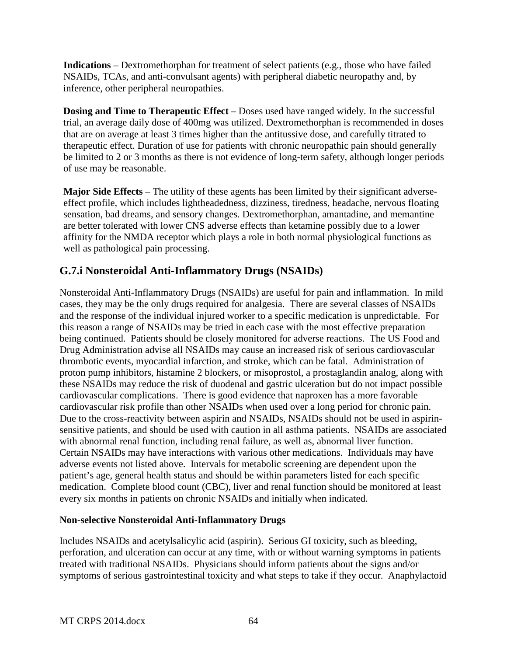**Indications** – Dextromethorphan for treatment of select patients (e.g., those who have failed NSAIDs, TCAs, and anti-convulsant agents) with peripheral diabetic neuropathy and, by inference, other peripheral neuropathies.

**Dosing and Time to Therapeutic Effect** – Doses used have ranged widely. In the successful trial, an average daily dose of 400mg was utilized. Dextromethorphan is recommended in doses that are on average at least 3 times higher than the antitussive dose, and carefully titrated to therapeutic effect. Duration of use for patients with chronic neuropathic pain should generally be limited to 2 or 3 months as there is not evidence of long-term safety, although longer periods of use may be reasonable.

**Major Side Effects** – The utility of these agents has been limited by their significant adverseeffect profile, which includes lightheadedness, dizziness, tiredness, headache, nervous floating sensation, bad dreams, and sensory changes. Dextromethorphan, amantadine, and memantine are better tolerated with lower CNS adverse effects than ketamine possibly due to a lower affinity for the NMDA receptor which plays a role in both normal physiological functions as well as pathological pain processing.

# **G.7.i Nonsteroidal Anti-Inflammatory Drugs (NSAIDs)**

Nonsteroidal Anti-Inflammatory Drugs (NSAIDs) are useful for pain and inflammation. In mild cases, they may be the only drugs required for analgesia. There are several classes of NSAIDs and the response of the individual injured worker to a specific medication is unpredictable. For this reason a range of NSAIDs may be tried in each case with the most effective preparation being continued. Patients should be closely monitored for adverse reactions. The US Food and Drug Administration advise all NSAIDs may cause an increased risk of serious cardiovascular thrombotic events, myocardial infarction, and stroke, which can be fatal. Administration of proton pump inhibitors, histamine 2 blockers, or misoprostol, a prostaglandin analog, along with these NSAIDs may reduce the risk of duodenal and gastric ulceration but do not impact possible cardiovascular complications. There is good evidence that naproxen has a more favorable cardiovascular risk profile than other NSAIDs when used over a long period for chronic pain. Due to the cross-reactivity between aspirin and NSAIDs, NSAIDs should not be used in aspirinsensitive patients, and should be used with caution in all asthma patients. NSAIDs are associated with abnormal renal function, including renal failure, as well as, abnormal liver function. Certain NSAIDs may have interactions with various other medications. Individuals may have adverse events not listed above. Intervals for metabolic screening are dependent upon the patient's age, general health status and should be within parameters listed for each specific medication. Complete blood count (CBC), liver and renal function should be monitored at least every six months in patients on chronic NSAIDs and initially when indicated.

#### **Non-selective Nonsteroidal Anti-Inflammatory Drugs**

Includes NSAIDs and acetylsalicylic acid (aspirin). Serious GI toxicity, such as bleeding, perforation, and ulceration can occur at any time, with or without warning symptoms in patients treated with traditional NSAIDs. Physicians should inform patients about the signs and/or symptoms of serious gastrointestinal toxicity and what steps to take if they occur. Anaphylactoid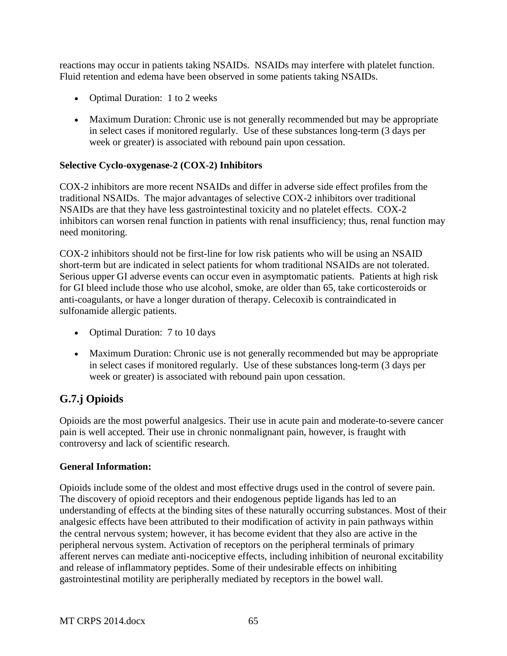reactions may occur in patients taking NSAIDs. NSAIDs may interfere with platelet function. Fluid retention and edema have been observed in some patients taking NSAIDs.

- Optimal Duration: 1 to 2 weeks
- Maximum Duration: Chronic use is not generally recommended but may be appropriate in select cases if monitored regularly. Use of these substances long-term (3 days per week or greater) is associated with rebound pain upon cessation.

## **Selective Cyclo-oxygenase-2 (COX-2) Inhibitors**

COX-2 inhibitors are more recent NSAIDs and differ in adverse side effect profiles from the traditional NSAIDs. The major advantages of selective COX-2 inhibitors over traditional NSAIDs are that they have less gastrointestinal toxicity and no platelet effects. COX-2 inhibitors can worsen renal function in patients with renal insufficiency; thus, renal function may need monitoring.

COX-2 inhibitors should not be first-line for low risk patients who will be using an NSAID short-term but are indicated in select patients for whom traditional NSAIDs are not tolerated. Serious upper GI adverse events can occur even in asymptomatic patients. Patients at high risk for GI bleed include those who use alcohol, smoke, are older than 65, take corticosteroids or anti-coagulants, or have a longer duration of therapy. Celecoxib is contraindicated in sulfonamide allergic patients.

- Optimal Duration: 7 to 10 days
- Maximum Duration: Chronic use is not generally recommended but may be appropriate in select cases if monitored regularly. Use of these substances long-term (3 days per week or greater) is associated with rebound pain upon cessation.

# **G.7.j Opioids**

Opioids are the most powerful analgesics. Their use in acute pain and moderate-to-severe cancer pain is well accepted. Their use in chronic nonmalignant pain, however, is fraught with controversy and lack of scientific research.

## **General Information:**

Opioids include some of the oldest and most effective drugs used in the control of severe pain. The discovery of opioid receptors and their endogenous peptide ligands has led to an understanding of effects at the binding sites of these naturally occurring substances. Most of their analgesic effects have been attributed to their modification of activity in pain pathways within the central nervous system; however, it has become evident that they also are active in the peripheral nervous system. Activation of receptors on the peripheral terminals of primary afferent nerves can mediate anti-nociceptive effects, including inhibition of neuronal excitability and release of inflammatory peptides. Some of their undesirable effects on inhibiting gastrointestinal motility are peripherally mediated by receptors in the bowel wall.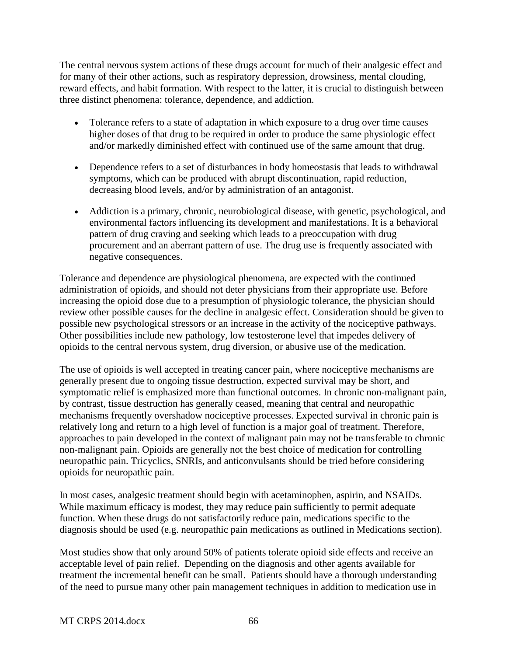The central nervous system actions of these drugs account for much of their analgesic effect and for many of their other actions, such as respiratory depression, drowsiness, mental clouding, reward effects, and habit formation. With respect to the latter, it is crucial to distinguish between three distinct phenomena: tolerance, dependence, and addiction.

- Tolerance refers to a state of adaptation in which exposure to a drug over time causes higher doses of that drug to be required in order to produce the same physiologic effect and/or markedly diminished effect with continued use of the same amount that drug.
- Dependence refers to a set of disturbances in body homeostasis that leads to withdrawal symptoms, which can be produced with abrupt discontinuation, rapid reduction, decreasing blood levels, and/or by administration of an antagonist.
- Addiction is a primary, chronic, neurobiological disease, with genetic, psychological, and environmental factors influencing its development and manifestations. It is a behavioral pattern of drug craving and seeking which leads to a preoccupation with drug procurement and an aberrant pattern of use. The drug use is frequently associated with negative consequences.

Tolerance and dependence are physiological phenomena, are expected with the continued administration of opioids, and should not deter physicians from their appropriate use. Before increasing the opioid dose due to a presumption of physiologic tolerance, the physician should review other possible causes for the decline in analgesic effect. Consideration should be given to possible new psychological stressors or an increase in the activity of the nociceptive pathways. Other possibilities include new pathology, low testosterone level that impedes delivery of opioids to the central nervous system, drug diversion, or abusive use of the medication.

The use of opioids is well accepted in treating cancer pain, where nociceptive mechanisms are generally present due to ongoing tissue destruction, expected survival may be short, and symptomatic relief is emphasized more than functional outcomes. In chronic non-malignant pain, by contrast, tissue destruction has generally ceased, meaning that central and neuropathic mechanisms frequently overshadow nociceptive processes. Expected survival in chronic pain is relatively long and return to a high level of function is a major goal of treatment. Therefore, approaches to pain developed in the context of malignant pain may not be transferable to chronic non-malignant pain. Opioids are generally not the best choice of medication for controlling neuropathic pain. Tricyclics, SNRIs, and anticonvulsants should be tried before considering opioids for neuropathic pain.

In most cases, analgesic treatment should begin with acetaminophen, aspirin, and NSAIDs. While maximum efficacy is modest, they may reduce pain sufficiently to permit adequate function. When these drugs do not satisfactorily reduce pain, medications specific to the diagnosis should be used (e.g. neuropathic pain medications as outlined in Medications section).

Most studies show that only around 50% of patients tolerate opioid side effects and receive an acceptable level of pain relief. Depending on the diagnosis and other agents available for treatment the incremental benefit can be small. Patients should have a thorough understanding of the need to pursue many other pain management techniques in addition to medication use in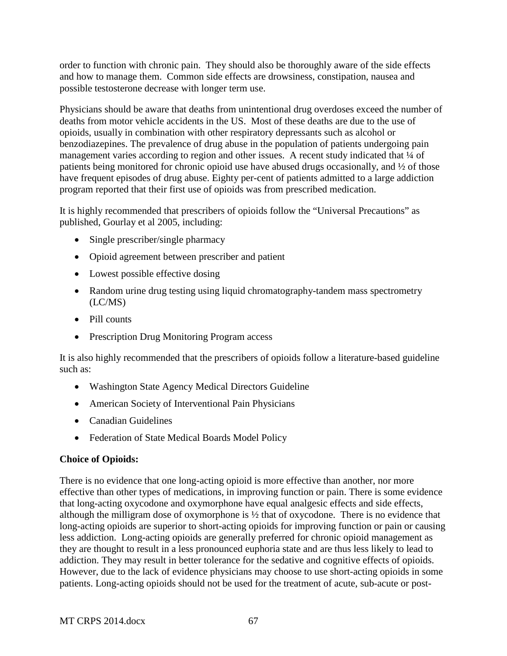order to function with chronic pain. They should also be thoroughly aware of the side effects and how to manage them. Common side effects are drowsiness, constipation, nausea and possible testosterone decrease with longer term use.

Physicians should be aware that deaths from unintentional drug overdoses exceed the number of deaths from motor vehicle accidents in the US. Most of these deaths are due to the use of opioids, usually in combination with other respiratory depressants such as alcohol or benzodiazepines. The prevalence of drug abuse in the population of patients undergoing pain management varies according to region and other issues. A recent study indicated that  $\frac{1}{4}$  of patients being monitored for chronic opioid use have abused drugs occasionally, and ½ of those have frequent episodes of drug abuse. Eighty per-cent of patients admitted to a large addiction program reported that their first use of opioids was from prescribed medication.

It is highly recommended that prescribers of opioids follow the "Universal Precautions" as published, Gourlay et al 2005, including:

- Single prescriber/single pharmacy
- Opioid agreement between prescriber and patient
- Lowest possible effective dosing
- Random urine drug testing using liquid chromatography-tandem mass spectrometry (LC/MS)
- Pill counts
- Prescription Drug Monitoring Program access

It is also highly recommended that the prescribers of opioids follow a literature-based guideline such as:

- Washington State Agency Medical Directors Guideline
- American Society of Interventional Pain Physicians
- Canadian Guidelines
- Federation of State Medical Boards Model Policy

#### **Choice of Opioids:**

There is no evidence that one long-acting opioid is more effective than another, nor more effective than other types of medications, in improving function or pain. There is some evidence that long-acting oxycodone and oxymorphone have equal analgesic effects and side effects, although the milligram dose of oxymorphone is ½ that of oxycodone. There is no evidence that long-acting opioids are superior to short-acting opioids for improving function or pain or causing less addiction. Long-acting opioids are generally preferred for chronic opioid management as they are thought to result in a less pronounced euphoria state and are thus less likely to lead to addiction. They may result in better tolerance for the sedative and cognitive effects of opioids. However, due to the lack of evidence physicians may choose to use short-acting opioids in some patients. Long-acting opioids should not be used for the treatment of acute, sub-acute or post-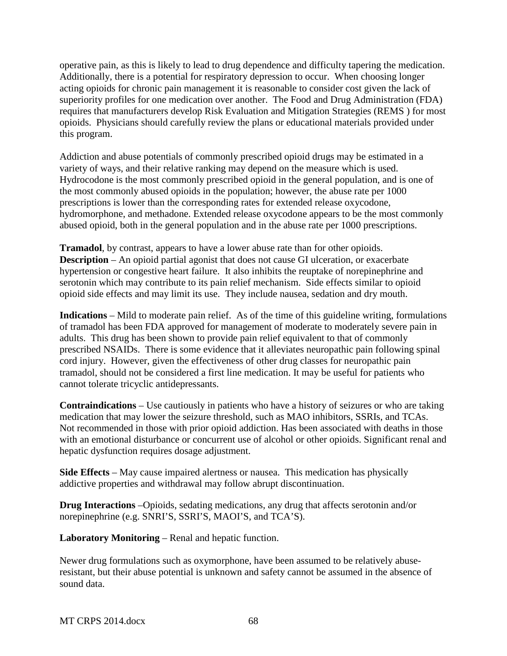operative pain, as this is likely to lead to drug dependence and difficulty tapering the medication. Additionally, there is a potential for respiratory depression to occur. When choosing longer acting opioids for chronic pain management it is reasonable to consider cost given the lack of superiority profiles for one medication over another. The Food and Drug Administration (FDA) requires that manufacturers develop Risk Evaluation and Mitigation Strategies (REMS ) for most opioids. Physicians should carefully review the plans or educational materials provided under this program.

Addiction and abuse potentials of commonly prescribed opioid drugs may be estimated in a variety of ways, and their relative ranking may depend on the measure which is used. Hydrocodone is the most commonly prescribed opioid in the general population, and is one of the most commonly abused opioids in the population; however, the abuse rate per 1000 prescriptions is lower than the corresponding rates for extended release oxycodone, hydromorphone, and methadone. Extended release oxycodone appears to be the most commonly abused opioid, both in the general population and in the abuse rate per 1000 prescriptions.

**Tramadol**, by contrast, appears to have a lower abuse rate than for other opioids. **Description** – An opioid partial agonist that does not cause GI ulceration, or exacerbate hypertension or congestive heart failure. It also inhibits the reuptake of norepinephrine and serotonin which may contribute to its pain relief mechanism. Side effects similar to opioid opioid side effects and may limit its use. They include nausea, sedation and dry mouth.

**Indications** – Mild to moderate pain relief. As of the time of this guideline writing, formulations of tramadol has been FDA approved for management of moderate to moderately severe pain in adults. This drug has been shown to provide pain relief equivalent to that of commonly prescribed NSAIDs. There is some evidence that it alleviates neuropathic pain following spinal cord injury. However, given the effectiveness of other drug classes for neuropathic pain tramadol, should not be considered a first line medication. It may be useful for patients who cannot tolerate tricyclic antidepressants.

**Contraindications** – Use cautiously in patients who have a history of seizures or who are taking medication that may lower the seizure threshold, such as MAO inhibitors, SSRIs, and TCAs. Not recommended in those with prior opioid addiction. Has been associated with deaths in those with an emotional disturbance or concurrent use of alcohol or other opioids. Significant renal and hepatic dysfunction requires dosage adjustment.

**Side Effects** – May cause impaired alertness or nausea. This medication has physically addictive properties and withdrawal may follow abrupt discontinuation.

**Drug Interactions** –Opioids, sedating medications, any drug that affects serotonin and/or norepinephrine (e.g. SNRI'S, SSRI'S, MAOI'S, and TCA'S).

**Laboratory Monitoring** – Renal and hepatic function.

Newer drug formulations such as oxymorphone, have been assumed to be relatively abuseresistant, but their abuse potential is unknown and safety cannot be assumed in the absence of sound data.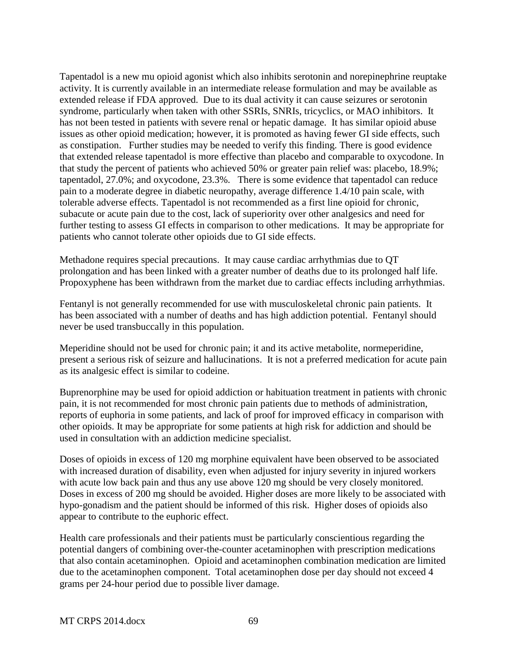Tapentadol is a new mu opioid agonist which also inhibits serotonin and norepinephrine reuptake activity. It is currently available in an intermediate release formulation and may be available as extended release if FDA approved. Due to its dual activity it can cause seizures or serotonin syndrome, particularly when taken with other SSRIs, SNRIs, tricyclics, or MAO inhibitors. It has not been tested in patients with severe renal or hepatic damage. It has similar opioid abuse issues as other opioid medication; however, it is promoted as having fewer GI side effects, such as constipation. Further studies may be needed to verify this finding. There is good evidence that extended release tapentadol is more effective than placebo and comparable to oxycodone. In that study the percent of patients who achieved 50% or greater pain relief was: placebo, 18.9%; tapentadol, 27.0%; and oxycodone, 23.3%. There is some evidence that tapentadol can reduce pain to a moderate degree in diabetic neuropathy, average difference 1.4/10 pain scale, with tolerable adverse effects. Tapentadol is not recommended as a first line opioid for chronic, subacute or acute pain due to the cost, lack of superiority over other analgesics and need for further testing to assess GI effects in comparison to other medications. It may be appropriate for patients who cannot tolerate other opioids due to GI side effects.

Methadone requires special precautions. It may cause cardiac arrhythmias due to QT prolongation and has been linked with a greater number of deaths due to its prolonged half life. Propoxyphene has been withdrawn from the market due to cardiac effects including arrhythmias.

Fentanyl is not generally recommended for use with musculoskeletal chronic pain patients. It has been associated with a number of deaths and has high addiction potential. Fentanyl should never be used transbuccally in this population.

Meperidine should not be used for chronic pain; it and its active metabolite, normeperidine, present a serious risk of seizure and hallucinations. It is not a preferred medication for acute pain as its analgesic effect is similar to codeine.

Buprenorphine may be used for opioid addiction or habituation treatment in patients with chronic pain, it is not recommended for most chronic pain patients due to methods of administration, reports of euphoria in some patients, and lack of proof for improved efficacy in comparison with other opioids. It may be appropriate for some patients at high risk for addiction and should be used in consultation with an addiction medicine specialist.

Doses of opioids in excess of 120 mg morphine equivalent have been observed to be associated with increased duration of disability, even when adjusted for injury severity in injured workers with acute low back pain and thus any use above 120 mg should be very closely monitored. Doses in excess of 200 mg should be avoided. Higher doses are more likely to be associated with hypo-gonadism and the patient should be informed of this risk. Higher doses of opioids also appear to contribute to the euphoric effect.

Health care professionals and their patients must be particularly conscientious regarding the potential dangers of combining over-the-counter acetaminophen with prescription medications that also contain acetaminophen. Opioid and acetaminophen combination medication are limited due to the acetaminophen component. Total acetaminophen dose per day should not exceed 4 grams per 24-hour period due to possible liver damage.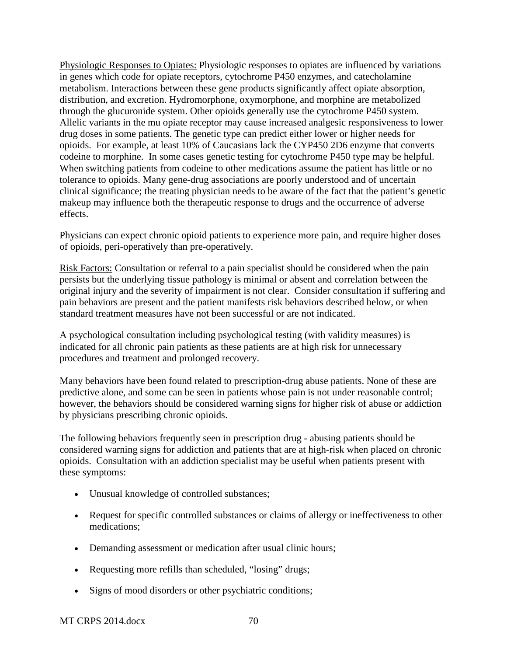Physiologic Responses to Opiates: Physiologic responses to opiates are influenced by variations in genes which code for opiate receptors, cytochrome P450 enzymes, and catecholamine metabolism. Interactions between these gene products significantly affect opiate absorption, distribution, and excretion. Hydromorphone, oxymorphone, and morphine are metabolized through the glucuronide system. Other opioids generally use the cytochrome P450 system. Allelic variants in the mu opiate receptor may cause increased analgesic responsiveness to lower drug doses in some patients. The genetic type can predict either lower or higher needs for opioids. For example, at least 10% of Caucasians lack the CYP450 2D6 enzyme that converts codeine to morphine. In some cases genetic testing for cytochrome P450 type may be helpful. When switching patients from codeine to other medications assume the patient has little or no tolerance to opioids. Many gene-drug associations are poorly understood and of uncertain clinical significance; the treating physician needs to be aware of the fact that the patient's genetic makeup may influence both the therapeutic response to drugs and the occurrence of adverse effects.

Physicians can expect chronic opioid patients to experience more pain, and require higher doses of opioids, peri-operatively than pre-operatively.

Risk Factors: Consultation or referral to a pain specialist should be considered when the pain persists but the underlying tissue pathology is minimal or absent and correlation between the original injury and the severity of impairment is not clear. Consider consultation if suffering and pain behaviors are present and the patient manifests risk behaviors described below, or when standard treatment measures have not been successful or are not indicated.

A psychological consultation including psychological testing (with validity measures) is indicated for all chronic pain patients as these patients are at high risk for unnecessary procedures and treatment and prolonged recovery.

Many behaviors have been found related to prescription-drug abuse patients. None of these are predictive alone, and some can be seen in patients whose pain is not under reasonable control; however, the behaviors should be considered warning signs for higher risk of abuse or addiction by physicians prescribing chronic opioids.

The following behaviors frequently seen in prescription drug - abusing patients should be considered warning signs for addiction and patients that are at high-risk when placed on chronic opioids. Consultation with an addiction specialist may be useful when patients present with these symptoms:

- Unusual knowledge of controlled substances;
- Request for specific controlled substances or claims of allergy or ineffectiveness to other medications;
- Demanding assessment or medication after usual clinic hours;
- Requesting more refills than scheduled, "losing" drugs;
- Signs of mood disorders or other psychiatric conditions;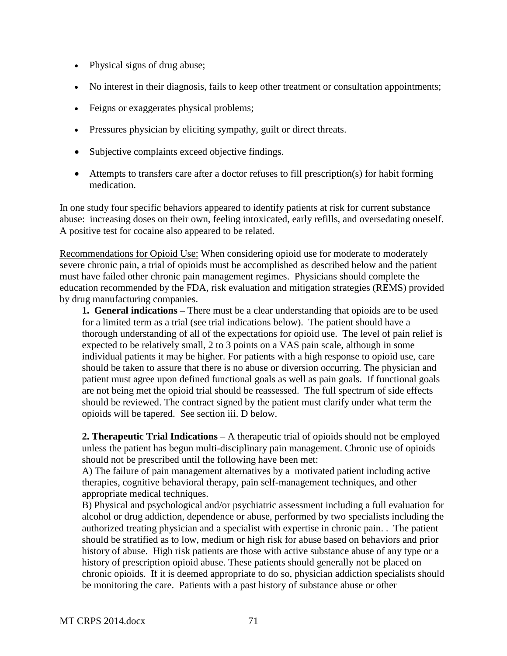- Physical signs of drug abuse;
- No interest in their diagnosis, fails to keep other treatment or consultation appointments;
- Feigns or exaggerates physical problems;
- Pressures physician by eliciting sympathy, guilt or direct threats.
- Subjective complaints exceed objective findings.
- Attempts to transfers care after a doctor refuses to fill prescription(s) for habit forming medication.

In one study four specific behaviors appeared to identify patients at risk for current substance abuse: increasing doses on their own, feeling intoxicated, early refills, and oversedating oneself. A positive test for cocaine also appeared to be related.

Recommendations for Opioid Use: When considering opioid use for moderate to moderately severe chronic pain, a trial of opioids must be accomplished as described below and the patient must have failed other chronic pain management regimes. Physicians should complete the education recommended by the FDA, risk evaluation and mitigation strategies (REMS) provided by drug manufacturing companies.

**1. General indications –** There must be a clear understanding that opioids are to be used for a limited term as a trial (see trial indications below). The patient should have a thorough understanding of all of the expectations for opioid use. The level of pain relief is expected to be relatively small, 2 to 3 points on a VAS pain scale, although in some individual patients it may be higher. For patients with a high response to opioid use, care should be taken to assure that there is no abuse or diversion occurring. The physician and patient must agree upon defined functional goals as well as pain goals. If functional goals are not being met the opioid trial should be reassessed. The full spectrum of side effects should be reviewed. The contract signed by the patient must clarify under what term the opioids will be tapered. See section iii. D below.

**2. Therapeutic Trial Indications** – A therapeutic trial of opioids should not be employed unless the patient has begun multi-disciplinary pain management. Chronic use of opioids should not be prescribed until the following have been met:

A) The failure of pain management alternatives by a motivated patient including active therapies, cognitive behavioral therapy, pain self-management techniques, and other appropriate medical techniques.

B) Physical and psychological and/or psychiatric assessment including a full evaluation for alcohol or drug addiction, dependence or abuse, performed by two specialists including the authorized treating physician and a specialist with expertise in chronic pain. . The patient should be stratified as to low, medium or high risk for abuse based on behaviors and prior history of abuse. High risk patients are those with active substance abuse of any type or a history of prescription opioid abuse. These patients should generally not be placed on chronic opioids. If it is deemed appropriate to do so, physician addiction specialists should be monitoring the care. Patients with a past history of substance abuse or other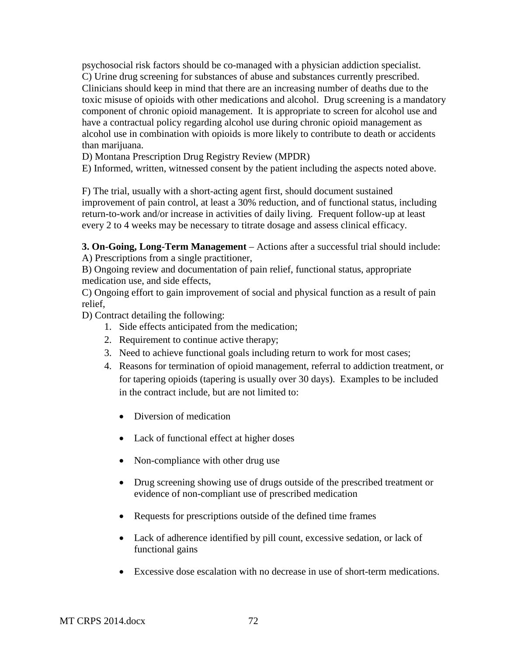psychosocial risk factors should be co-managed with a physician addiction specialist.

C) Urine drug screening for substances of abuse and substances currently prescribed. Clinicians should keep in mind that there are an increasing number of deaths due to the toxic misuse of opioids with other medications and alcohol. Drug screening is a mandatory component of chronic opioid management. It is appropriate to screen for alcohol use and have a contractual policy regarding alcohol use during chronic opioid management as alcohol use in combination with opioids is more likely to contribute to death or accidents than marijuana.

D) Montana Prescription Drug Registry Review (MPDR)

E) Informed, written, witnessed consent by the patient including the aspects noted above.

F) The trial, usually with a short-acting agent first, should document sustained improvement of pain control, at least a 30% reduction, and of functional status, including return-to-work and/or increase in activities of daily living. Frequent follow-up at least every 2 to 4 weeks may be necessary to titrate dosage and assess clinical efficacy.

**3. On-Going, Long-Term Management** – Actions after a successful trial should include: A) Prescriptions from a single practitioner,

B) Ongoing review and documentation of pain relief, functional status, appropriate medication use, and side effects,

C) Ongoing effort to gain improvement of social and physical function as a result of pain relief,

D) Contract detailing the following:

- 1. Side effects anticipated from the medication;
- 2. Requirement to continue active therapy;
- 3. Need to achieve functional goals including return to work for most cases;
- 4. Reasons for termination of opioid management, referral to addiction treatment, or for tapering opioids (tapering is usually over 30 days). Examples to be included in the contract include, but are not limited to:
	- Diversion of medication
	- Lack of functional effect at higher doses
	- Non-compliance with other drug use
	- Drug screening showing use of drugs outside of the prescribed treatment or evidence of non-compliant use of prescribed medication
	- Requests for prescriptions outside of the defined time frames
	- Lack of adherence identified by pill count, excessive sedation, or lack of functional gains
	- Excessive dose escalation with no decrease in use of short-term medications.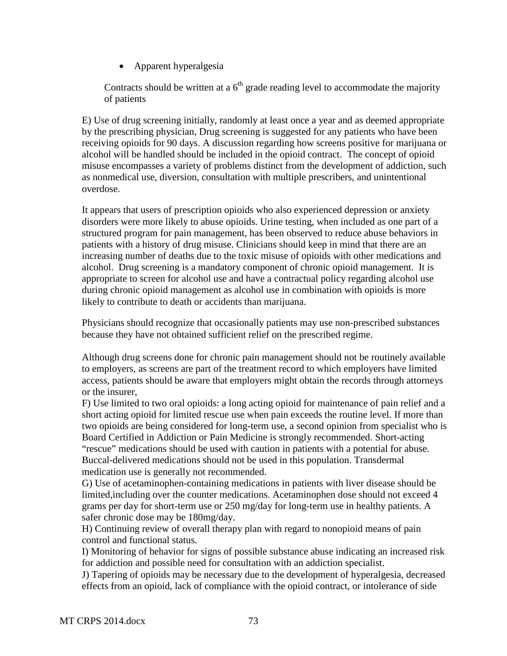• Apparent hyperalgesia

Contracts should be written at a  $6<sup>th</sup>$  grade reading level to accommodate the majority of patients

E) Use of drug screening initially, randomly at least once a year and as deemed appropriate by the prescribing physician, Drug screening is suggested for any patients who have been receiving opioids for 90 days. A discussion regarding how screens positive for marijuana or alcohol will be handled should be included in the opioid contract. The concept of opioid misuse encompasses a variety of problems distinct from the development of addiction, such as nonmedical use, diversion, consultation with multiple prescribers, and unintentional overdose.

It appears that users of prescription opioids who also experienced depression or anxiety disorders were more likely to abuse opioids. Urine testing, when included as one part of a structured program for pain management, has been observed to reduce abuse behaviors in patients with a history of drug misuse. Clinicians should keep in mind that there are an increasing number of deaths due to the toxic misuse of opioids with other medications and alcohol. Drug screening is a mandatory component of chronic opioid management. It is appropriate to screen for alcohol use and have a contractual policy regarding alcohol use during chronic opioid management as alcohol use in combination with opioids is more likely to contribute to death or accidents than marijuana.

Physicians should recognize that occasionally patients may use non-prescribed substances because they have not obtained sufficient relief on the prescribed regime.

Although drug screens done for chronic pain management should not be routinely available to employers, as screens are part of the treatment record to which employers have limited access, patients should be aware that employers might obtain the records through attorneys or the insurer,

F) Use limited to two oral opioids: a long acting opioid for maintenance of pain relief and a short acting opioid for limited rescue use when pain exceeds the routine level. If more than two opioids are being considered for long-term use, a second opinion from specialist who is Board Certified in Addiction or Pain Medicine is strongly recommended. Short-acting "rescue" medications should be used with caution in patients with a potential for abuse. Buccal-delivered medications should not be used in this population. Transdermal medication use is generally not recommended.

G) Use of acetaminophen-containing medications in patients with liver disease should be limited,including over the counter medications. Acetaminophen dose should not exceed 4 grams per day for short-term use or 250 mg/day for long-term use in healthy patients. A safer chronic dose may be 180mg/day.

H) Continuing review of overall therapy plan with regard to nonopioid means of pain control and functional status.

I) Monitoring of behavior for signs of possible substance abuse indicating an increased risk for addiction and possible need for consultation with an addiction specialist.

J) Tapering of opioids may be necessary due to the development of hyperalgesia, decreased effects from an opioid, lack of compliance with the opioid contract, or intolerance of side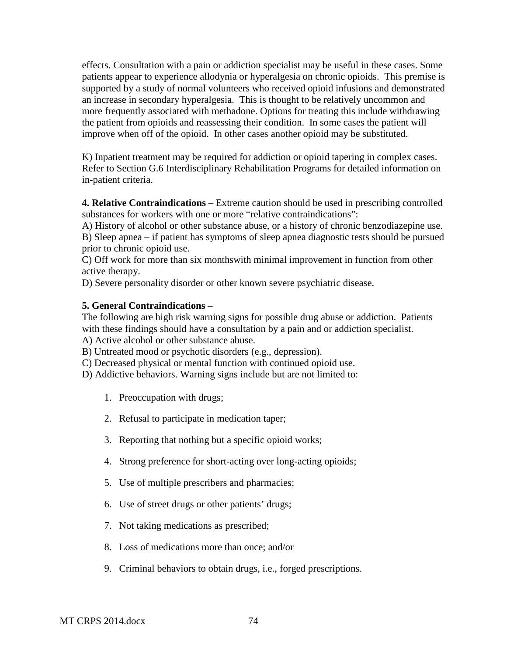effects. Consultation with a pain or addiction specialist may be useful in these cases. Some patients appear to experience allodynia or hyperalgesia on chronic opioids. This premise is supported by a study of normal volunteers who received opioid infusions and demonstrated an increase in secondary hyperalgesia. This is thought to be relatively uncommon and more frequently associated with methadone. Options for treating this include withdrawing the patient from opioids and reassessing their condition. In some cases the patient will improve when off of the opioid. In other cases another opioid may be substituted.

K) Inpatient treatment may be required for addiction or opioid tapering in complex cases. Refer to Section G.6 Interdisciplinary Rehabilitation Programs for detailed information on in-patient criteria.

**4. Relative Contraindications** – Extreme caution should be used in prescribing controlled substances for workers with one or more "relative contraindications":

A) History of alcohol or other substance abuse, or a history of chronic benzodiazepine use. B) Sleep apnea – if patient has symptoms of sleep apnea diagnostic tests should be pursued prior to chronic opioid use.

C) Off work for more than six monthswith minimal improvement in function from other active therapy.

D) Severe personality disorder or other known severe psychiatric disease.

#### **5. General Contraindications** –

The following are high risk warning signs for possible drug abuse or addiction. Patients with these findings should have a consultation by a pain and or addiction specialist.

A) Active alcohol or other substance abuse.

- B) Untreated mood or psychotic disorders (e.g., depression).
- C) Decreased physical or mental function with continued opioid use.
- D) Addictive behaviors. Warning signs include but are not limited to:
	- 1. Preoccupation with drugs;
	- 2. Refusal to participate in medication taper;
	- 3. Reporting that nothing but a specific opioid works;
	- 4. Strong preference for short-acting over long-acting opioids;
	- 5. Use of multiple prescribers and pharmacies;
	- 6. Use of street drugs or other patients' drugs;
	- 7. Not taking medications as prescribed;
	- 8. Loss of medications more than once; and/or
	- 9. Criminal behaviors to obtain drugs, i.e., forged prescriptions.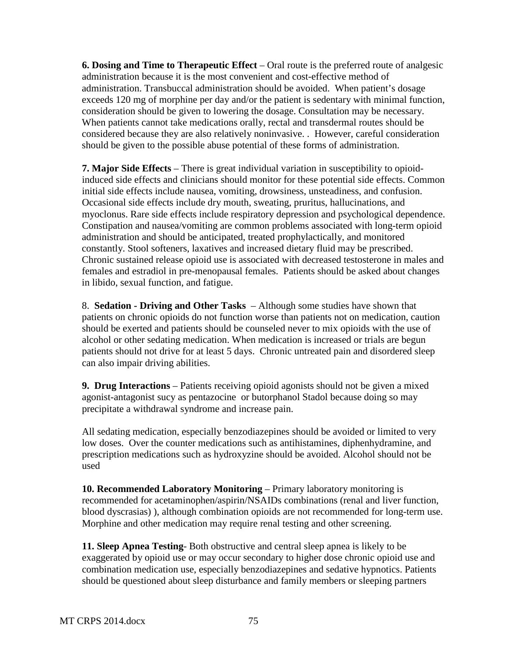**6. Dosing and Time to Therapeutic Effect** – Oral route is the preferred route of analgesic administration because it is the most convenient and cost-effective method of administration. Transbuccal administration should be avoided. When patient's dosage exceeds 120 mg of morphine per day and/or the patient is sedentary with minimal function, consideration should be given to lowering the dosage. Consultation may be necessary. When patients cannot take medications orally, rectal and transdermal routes should be considered because they are also relatively noninvasive. . However, careful consideration should be given to the possible abuse potential of these forms of administration.

**7. Major Side Effects** – There is great individual variation in susceptibility to opioidinduced side effects and clinicians should monitor for these potential side effects. Common initial side effects include nausea, vomiting, drowsiness, unsteadiness, and confusion. Occasional side effects include dry mouth, sweating, pruritus, hallucinations, and myoclonus. Rare side effects include respiratory depression and psychological dependence. Constipation and nausea/vomiting are common problems associated with long-term opioid administration and should be anticipated, treated prophylactically, and monitored constantly. Stool softeners, laxatives and increased dietary fluid may be prescribed. Chronic sustained release opioid use is associated with decreased testosterone in males and females and estradiol in pre-menopausal females. Patients should be asked about changes in libido, sexual function, and fatigue.

8. **Sedation - Driving and Other Tasks** – Although some studies have shown that patients on chronic opioids do not function worse than patients not on medication, caution should be exerted and patients should be counseled never to mix opioids with the use of alcohol or other sedating medication. When medication is increased or trials are begun patients should not drive for at least 5 days. Chronic untreated pain and disordered sleep can also impair driving abilities.

**9. Drug Interactions** – Patients receiving opioid agonists should not be given a mixed agonist-antagonist sucy as pentazocine or butorphanol Stadol because doing so may precipitate a withdrawal syndrome and increase pain.

All sedating medication, especially benzodiazepines should be avoided or limited to very low doses. Over the counter medications such as antihistamines, diphenhydramine, and prescription medications such as hydroxyzine should be avoided. Alcohol should not be used

**10. Recommended Laboratory Monitoring** – Primary laboratory monitoring is recommended for acetaminophen/aspirin/NSAIDs combinations (renal and liver function, blood dyscrasias) ), although combination opioids are not recommended for long-term use. Morphine and other medication may require renal testing and other screening.

**11. Sleep Apnea Testing**- Both obstructive and central sleep apnea is likely to be exaggerated by opioid use or may occur secondary to higher dose chronic opioid use and combination medication use, especially benzodiazepines and sedative hypnotics. Patients should be questioned about sleep disturbance and family members or sleeping partners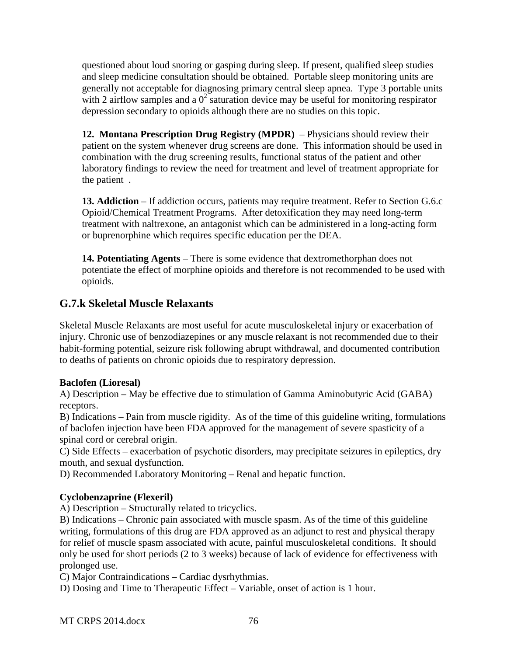questioned about loud snoring or gasping during sleep. If present, qualified sleep studies and sleep medicine consultation should be obtained. Portable sleep monitoring units are generally not acceptable for diagnosing primary central sleep apnea. Type 3 portable units with 2 airflow samples and a  $0^2$  saturation device may be useful for monitoring respirator depression secondary to opioids although there are no studies on this topic.

**12. Montana Prescription Drug Registry (MPDR)** – Physicians should review their patient on the system whenever drug screens are done. This information should be used in combination with the drug screening results, functional status of the patient and other laboratory findings to review the need for treatment and level of treatment appropriate for the patient .

13. Addiction – If addiction occurs, patients may require treatment. Refer to Section G.6.c Opioid/Chemical Treatment Programs. After detoxification they may need long-term treatment with naltrexone, an antagonist which can be administered in a long-acting form or buprenorphine which requires specific education per the DEA.

**14. Potentiating Agents** – There is some evidence that dextromethorphan does not potentiate the effect of morphine opioids and therefore is not recommended to be used with opioids.

## **G.7.k Skeletal Muscle Relaxants**

Skeletal Muscle Relaxants are most useful for acute musculoskeletal injury or exacerbation of injury. Chronic use of benzodiazepines or any muscle relaxant is not recommended due to their habit-forming potential, seizure risk following abrupt withdrawal, and documented contribution to deaths of patients on chronic opioids due to respiratory depression.

#### **Baclofen (Lioresal)**

A) Description – May be effective due to stimulation of Gamma Aminobutyric Acid (GABA) receptors.

B) Indications – Pain from muscle rigidity. As of the time of this guideline writing, formulations of baclofen injection have been FDA approved for the management of severe spasticity of a spinal cord or cerebral origin.

C) Side Effects – exacerbation of psychotic disorders, may precipitate seizures in epileptics, dry mouth, and sexual dysfunction.

D) Recommended Laboratory Monitoring – Renal and hepatic function.

#### **Cyclobenzaprine (Flexeril)**

A) Description – Structurally related to tricyclics.

B) Indications – Chronic pain associated with muscle spasm. As of the time of this guideline writing, formulations of this drug are FDA approved as an adjunct to rest and physical therapy for relief of muscle spasm associated with acute, painful musculoskeletal conditions. It should only be used for short periods (2 to 3 weeks) because of lack of evidence for effectiveness with prolonged use.

C) Major Contraindications – Cardiac dysrhythmias.

D) Dosing and Time to Therapeutic Effect – Variable, onset of action is 1 hour.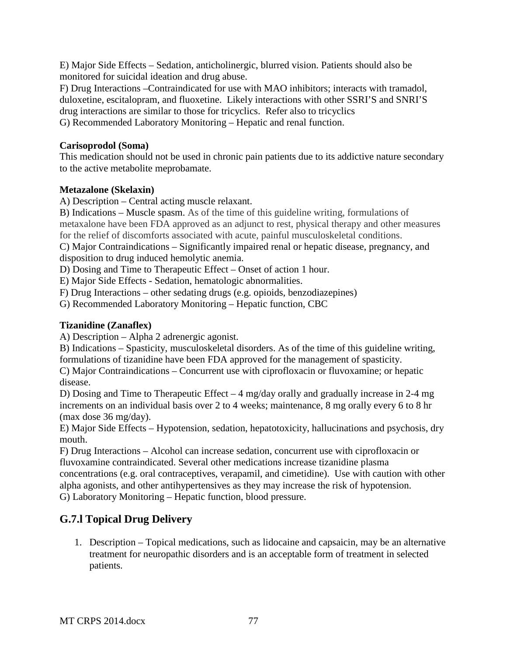E) Major Side Effects – Sedation, anticholinergic, blurred vision. Patients should also be monitored for suicidal ideation and drug abuse.

F) Drug Interactions –Contraindicated for use with MAO inhibitors; interacts with tramadol, duloxetine, escitalopram, and fluoxetine. Likely interactions with other SSRI'S and SNRI'S drug interactions are similar to those for tricyclics. Refer also to tricyclics G) Recommended Laboratory Monitoring – Hepatic and renal function.

#### **Carisoprodol (Soma)**

This medication should not be used in chronic pain patients due to its addictive nature secondary to the active metabolite meprobamate.

#### **Metazalone (Skelaxin)**

A) Description – Central acting muscle relaxant.

B) Indications – Muscle spasm. As of the time of this guideline writing, formulations of metaxalone have been FDA approved as an adjunct to rest, physical therapy and other measures for the relief of discomforts associated with acute, painful musculoskeletal conditions.

C) Major Contraindications – Significantly impaired renal or hepatic disease, pregnancy, and disposition to drug induced hemolytic anemia.

D) Dosing and Time to Therapeutic Effect – Onset of action 1 hour.

E) Major Side Effects - Sedation, hematologic abnormalities.

F) Drug Interactions – other sedating drugs (e.g. opioids, benzodiazepines)

G) Recommended Laboratory Monitoring – Hepatic function, CBC

#### **Tizanidine (Zanaflex)**

A) Description – Alpha 2 adrenergic agonist.

B) Indications – Spasticity, musculoskeletal disorders. As of the time of this guideline writing, formulations of tizanidine have been FDA approved for the management of spasticity.

C) Major Contraindications – Concurrent use with ciprofloxacin or fluvoxamine; or hepatic disease.

D) Dosing and Time to Therapeutic Effect – 4 mg/day orally and gradually increase in 2-4 mg increments on an individual basis over 2 to 4 weeks; maintenance, 8 mg orally every 6 to 8 hr (max dose 36 mg/day).

E) Major Side Effects – Hypotension, sedation, hepatotoxicity, hallucinations and psychosis, dry mouth.

F) Drug Interactions – Alcohol can increase sedation, concurrent use with ciprofloxacin or fluvoxamine contraindicated. Several other medications increase tizanidine plasma concentrations (e.g. oral contraceptives, verapamil, and cimetidine). Use with caution with other alpha agonists, and other antihypertensives as they may increase the risk of hypotension.

G) Laboratory Monitoring – Hepatic function, blood pressure.

# **G.7.l Topical Drug Delivery**

1. Description – Topical medications, such as lidocaine and capsaicin, may be an alternative treatment for neuropathic disorders and is an acceptable form of treatment in selected patients.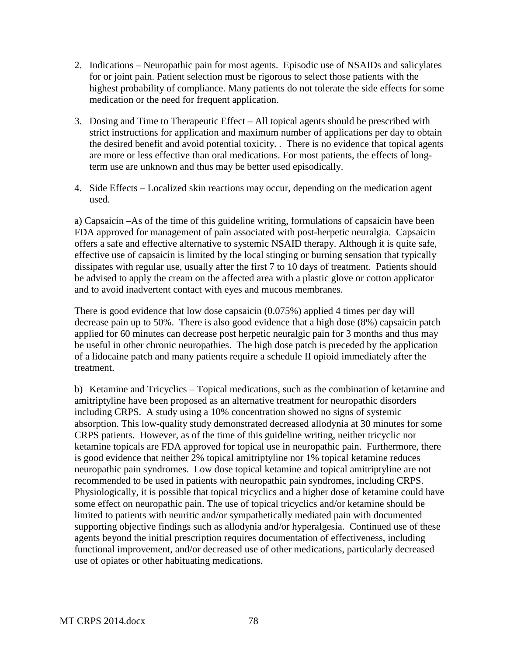- 2. Indications Neuropathic pain for most agents. Episodic use of NSAIDs and salicylates for or joint pain. Patient selection must be rigorous to select those patients with the highest probability of compliance. Many patients do not tolerate the side effects for some medication or the need for frequent application.
- 3. Dosing and Time to Therapeutic Effect All topical agents should be prescribed with strict instructions for application and maximum number of applications per day to obtain the desired benefit and avoid potential toxicity. . There is no evidence that topical agents are more or less effective than oral medications. For most patients, the effects of longterm use are unknown and thus may be better used episodically.
- 4. Side Effects Localized skin reactions may occur, depending on the medication agent used.

a) Capsaicin –As of the time of this guideline writing, formulations of capsaicin have been FDA approved for management of pain associated with post-herpetic neuralgia. Capsaicin offers a safe and effective alternative to systemic NSAID therapy. Although it is quite safe, effective use of capsaicin is limited by the local stinging or burning sensation that typically dissipates with regular use, usually after the first 7 to 10 days of treatment. Patients should be advised to apply the cream on the affected area with a plastic glove or cotton applicator and to avoid inadvertent contact with eyes and mucous membranes.

There is good evidence that low dose capsaicin (0.075%) applied 4 times per day will decrease pain up to 50%. There is also good evidence that a high dose (8%) capsaicin patch applied for 60 minutes can decrease post herpetic neuralgic pain for 3 months and thus may be useful in other chronic neuropathies. The high dose patch is preceded by the application of a lidocaine patch and many patients require a schedule II opioid immediately after the treatment.

b) Ketamine and Tricyclics – Topical medications, such as the combination of ketamine and amitriptyline have been proposed as an alternative treatment for neuropathic disorders including CRPS. A study using a 10% concentration showed no signs of systemic absorption. This low-quality study demonstrated decreased allodynia at 30 minutes for some CRPS patients. However, as of the time of this guideline writing, neither tricyclic nor ketamine topicals are FDA approved for topical use in neuropathic pain. Furthermore, there is good evidence that neither 2% topical amitriptyline nor 1% topical ketamine reduces neuropathic pain syndromes. Low dose topical ketamine and topical amitriptyline are not recommended to be used in patients with neuropathic pain syndromes, including CRPS. Physiologically, it is possible that topical tricyclics and a higher dose of ketamine could have some effect on neuropathic pain. The use of topical tricyclics and/or ketamine should be limited to patients with neuritic and/or sympathetically mediated pain with documented supporting objective findings such as allodynia and/or hyperalgesia. Continued use of these agents beyond the initial prescription requires documentation of effectiveness, including functional improvement, and/or decreased use of other medications, particularly decreased use of opiates or other habituating medications.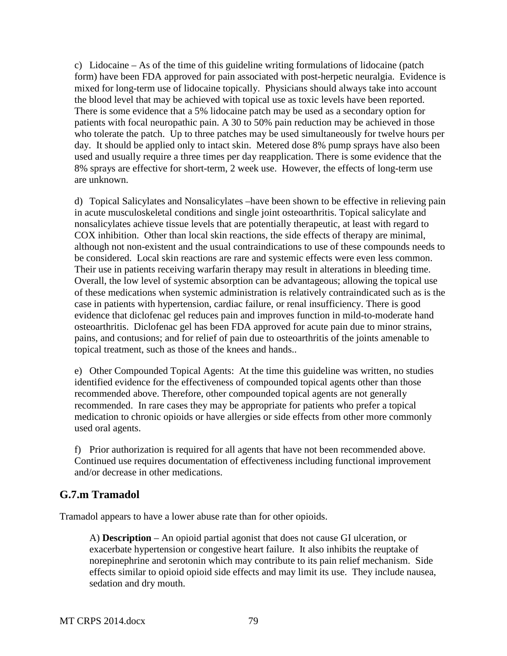c) Lidocaine – As of the time of this guideline writing formulations of lidocaine (patch form) have been FDA approved for pain associated with post-herpetic neuralgia. Evidence is mixed for long-term use of lidocaine topically. Physicians should always take into account the blood level that may be achieved with topical use as toxic levels have been reported. There is some evidence that a 5% lidocaine patch may be used as a secondary option for patients with focal neuropathic pain. A 30 to 50% pain reduction may be achieved in those who tolerate the patch. Up to three patches may be used simultaneously for twelve hours per day. It should be applied only to intact skin. Metered dose 8% pump sprays have also been used and usually require a three times per day reapplication. There is some evidence that the 8% sprays are effective for short-term, 2 week use. However, the effects of long-term use are unknown.

d) Topical Salicylates and Nonsalicylates –have been shown to be effective in relieving pain in acute musculoskeletal conditions and single joint osteoarthritis. Topical salicylate and nonsalicylates achieve tissue levels that are potentially therapeutic, at least with regard to COX inhibition. Other than local skin reactions, the side effects of therapy are minimal, although not non-existent and the usual contraindications to use of these compounds needs to be considered. Local skin reactions are rare and systemic effects were even less common. Their use in patients receiving warfarin therapy may result in alterations in bleeding time. Overall, the low level of systemic absorption can be advantageous; allowing the topical use of these medications when systemic administration is relatively contraindicated such as is the case in patients with hypertension, cardiac failure, or renal insufficiency. There is good evidence that diclofenac gel reduces pain and improves function in mild-to-moderate hand osteoarthritis. Diclofenac gel has been FDA approved for acute pain due to minor strains, pains, and contusions; and for relief of pain due to osteoarthritis of the joints amenable to topical treatment, such as those of the knees and hands..

e) Other Compounded Topical Agents: At the time this guideline was written, no studies identified evidence for the effectiveness of compounded topical agents other than those recommended above. Therefore, other compounded topical agents are not generally recommended. In rare cases they may be appropriate for patients who prefer a topical medication to chronic opioids or have allergies or side effects from other more commonly used oral agents.

f) Prior authorization is required for all agents that have not been recommended above. Continued use requires documentation of effectiveness including functional improvement and/or decrease in other medications.

# **G.7.m Tramadol**

Tramadol appears to have a lower abuse rate than for other opioids.

A) **Description** – An opioid partial agonist that does not cause GI ulceration, or exacerbate hypertension or congestive heart failure. It also inhibits the reuptake of norepinephrine and serotonin which may contribute to its pain relief mechanism. Side effects similar to opioid opioid side effects and may limit its use. They include nausea, sedation and dry mouth.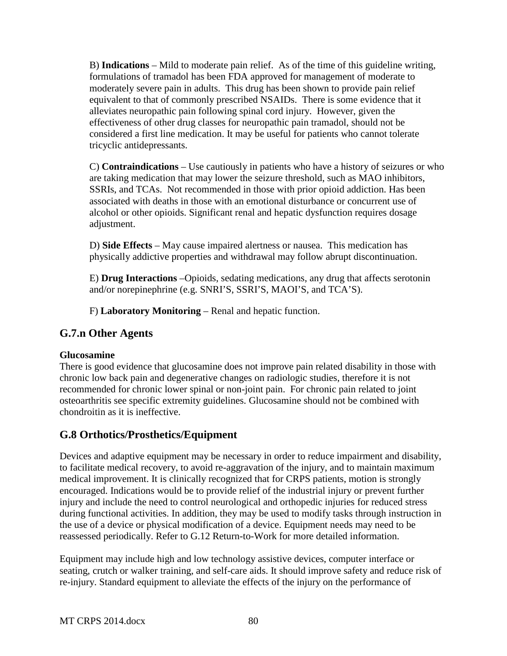B) **Indications** – Mild to moderate pain relief. As of the time of this guideline writing, formulations of tramadol has been FDA approved for management of moderate to moderately severe pain in adults. This drug has been shown to provide pain relief equivalent to that of commonly prescribed NSAIDs. There is some evidence that it alleviates neuropathic pain following spinal cord injury. However, given the effectiveness of other drug classes for neuropathic pain tramadol, should not be considered a first line medication. It may be useful for patients who cannot tolerate tricyclic antidepressants.

C) **Contraindications** – Use cautiously in patients who have a history of seizures or who are taking medication that may lower the seizure threshold, such as MAO inhibitors, SSRIs, and TCAs. Not recommended in those with prior opioid addiction. Has been associated with deaths in those with an emotional disturbance or concurrent use of alcohol or other opioids. Significant renal and hepatic dysfunction requires dosage adjustment.

D) **Side Effects** – May cause impaired alertness or nausea. This medication has physically addictive properties and withdrawal may follow abrupt discontinuation.

E) **Drug Interactions** –Opioids, sedating medications, any drug that affects serotonin and/or norepinephrine (e.g. SNRI'S, SSRI'S, MAOI'S, and TCA'S).

F) **Laboratory Monitoring** – Renal and hepatic function.

## **G.7.n Other Agents**

#### **Glucosamine**

There is good evidence that glucosamine does not improve pain related disability in those with chronic low back pain and degenerative changes on radiologic studies, therefore it is not recommended for chronic lower spinal or non-joint pain. For chronic pain related to joint osteoarthritis see specific extremity guidelines. Glucosamine should not be combined with chondroitin as it is ineffective.

# **G.8 Orthotics/Prosthetics/Equipment**

Devices and adaptive equipment may be necessary in order to reduce impairment and disability, to facilitate medical recovery, to avoid re-aggravation of the injury, and to maintain maximum medical improvement. It is clinically recognized that for CRPS patients, motion is strongly encouraged. Indications would be to provide relief of the industrial injury or prevent further injury and include the need to control neurological and orthopedic injuries for reduced stress during functional activities. In addition, they may be used to modify tasks through instruction in the use of a device or physical modification of a device. Equipment needs may need to be reassessed periodically. Refer to G.12 Return-to-Work for more detailed information.

Equipment may include high and low technology assistive devices, computer interface or seating, crutch or walker training, and self-care aids. It should improve safety and reduce risk of re-injury. Standard equipment to alleviate the effects of the injury on the performance of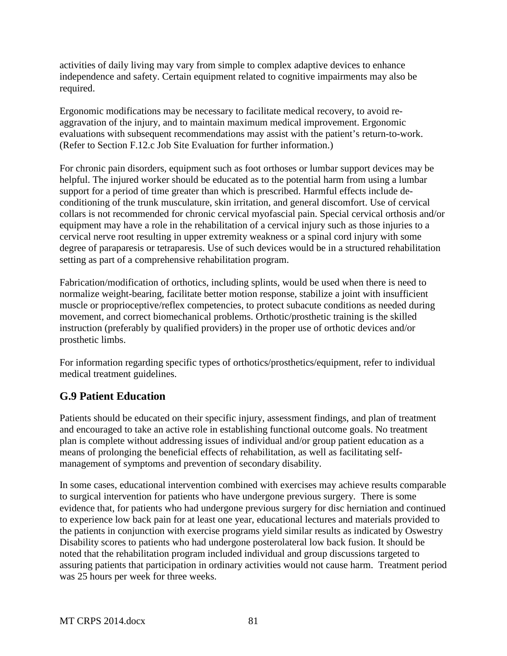activities of daily living may vary from simple to complex adaptive devices to enhance independence and safety. Certain equipment related to cognitive impairments may also be required.

Ergonomic modifications may be necessary to facilitate medical recovery, to avoid reaggravation of the injury, and to maintain maximum medical improvement. Ergonomic evaluations with subsequent recommendations may assist with the patient's return-to-work. (Refer to Section F.12.c Job Site Evaluation for further information.)

For chronic pain disorders, equipment such as foot orthoses or lumbar support devices may be helpful. The injured worker should be educated as to the potential harm from using a lumbar support for a period of time greater than which is prescribed. Harmful effects include deconditioning of the trunk musculature, skin irritation, and general discomfort. Use of cervical collars is not recommended for chronic cervical myofascial pain. Special cervical orthosis and/or equipment may have a role in the rehabilitation of a cervical injury such as those injuries to a cervical nerve root resulting in upper extremity weakness or a spinal cord injury with some degree of paraparesis or tetraparesis. Use of such devices would be in a structured rehabilitation setting as part of a comprehensive rehabilitation program.

Fabrication/modification of orthotics, including splints, would be used when there is need to normalize weight-bearing, facilitate better motion response, stabilize a joint with insufficient muscle or proprioceptive/reflex competencies, to protect subacute conditions as needed during movement, and correct biomechanical problems. Orthotic/prosthetic training is the skilled instruction (preferably by qualified providers) in the proper use of orthotic devices and/or prosthetic limbs.

For information regarding specific types of orthotics/prosthetics/equipment, refer to individual medical treatment guidelines.

# **G.9 Patient Education**

Patients should be educated on their specific injury, assessment findings, and plan of treatment and encouraged to take an active role in establishing functional outcome goals. No treatment plan is complete without addressing issues of individual and/or group patient education as a means of prolonging the beneficial effects of rehabilitation, as well as facilitating selfmanagement of symptoms and prevention of secondary disability.

In some cases, educational intervention combined with exercises may achieve results comparable to surgical intervention for patients who have undergone previous surgery. There is some evidence that, for patients who had undergone previous surgery for disc herniation and continued to experience low back pain for at least one year, educational lectures and materials provided to the patients in conjunction with exercise programs yield similar results as indicated by Oswestry Disability scores to patients who had undergone posterolateral low back fusion. It should be noted that the rehabilitation program included individual and group discussions targeted to assuring patients that participation in ordinary activities would not cause harm. Treatment period was 25 hours per week for three weeks.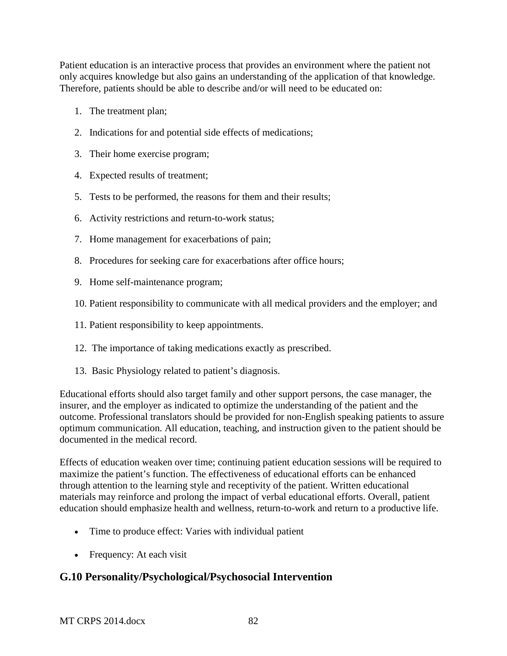Patient education is an interactive process that provides an environment where the patient not only acquires knowledge but also gains an understanding of the application of that knowledge. Therefore, patients should be able to describe and/or will need to be educated on:

- 1. The treatment plan;
- 2. Indications for and potential side effects of medications;
- 3. Their home exercise program;
- 4. Expected results of treatment;
- 5. Tests to be performed, the reasons for them and their results;
- 6. Activity restrictions and return-to-work status;
- 7. Home management for exacerbations of pain;
- 8. Procedures for seeking care for exacerbations after office hours;
- 9. Home self-maintenance program;
- 10. Patient responsibility to communicate with all medical providers and the employer; and
- 11. Patient responsibility to keep appointments.
- 12. The importance of taking medications exactly as prescribed.
- 13. Basic Physiology related to patient's diagnosis.

Educational efforts should also target family and other support persons, the case manager, the insurer, and the employer as indicated to optimize the understanding of the patient and the outcome. Professional translators should be provided for non-English speaking patients to assure optimum communication. All education, teaching, and instruction given to the patient should be documented in the medical record.

Effects of education weaken over time; continuing patient education sessions will be required to maximize the patient's function. The effectiveness of educational efforts can be enhanced through attention to the learning style and receptivity of the patient. Written educational materials may reinforce and prolong the impact of verbal educational efforts. Overall, patient education should emphasize health and wellness, return-to-work and return to a productive life.

- Time to produce effect: Varies with individual patient
- Frequency: At each visit

# **G.10 Personality/Psychological/Psychosocial Intervention**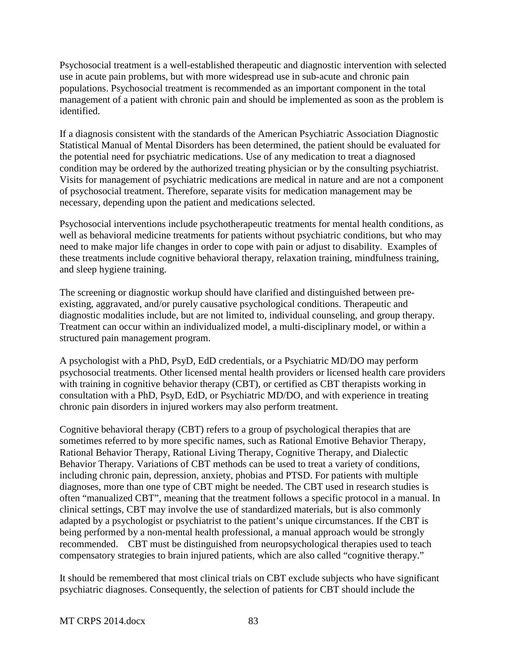Psychosocial treatment is a well-established therapeutic and diagnostic intervention with selected use in acute pain problems, but with more widespread use in sub-acute and chronic pain populations. Psychosocial treatment is recommended as an important component in the total management of a patient with chronic pain and should be implemented as soon as the problem is identified.

If a diagnosis consistent with the standards of the American Psychiatric Association Diagnostic Statistical Manual of Mental Disorders has been determined, the patient should be evaluated for the potential need for psychiatric medications. Use of any medication to treat a diagnosed condition may be ordered by the authorized treating physician or by the consulting psychiatrist. Visits for management of psychiatric medications are medical in nature and are not a component of psychosocial treatment. Therefore, separate visits for medication management may be necessary, depending upon the patient and medications selected.

Psychosocial interventions include psychotherapeutic treatments for mental health conditions, as well as behavioral medicine treatments for patients without psychiatric conditions, but who may need to make major life changes in order to cope with pain or adjust to disability. Examples of these treatments include cognitive behavioral therapy, relaxation training, mindfulness training, and sleep hygiene training.

The screening or diagnostic workup should have clarified and distinguished between preexisting, aggravated, and/or purely causative psychological conditions. Therapeutic and diagnostic modalities include, but are not limited to, individual counseling, and group therapy. Treatment can occur within an individualized model, a multi-disciplinary model, or within a structured pain management program.

A psychologist with a PhD, PsyD, EdD credentials, or a Psychiatric MD/DO may perform psychosocial treatments. Other licensed mental health providers or licensed health care providers with training in cognitive behavior therapy (CBT), or certified as CBT therapists working in consultation with a PhD, PsyD, EdD, or Psychiatric MD/DO, and with experience in treating chronic pain disorders in injured workers may also perform treatment.

Cognitive behavioral therapy (CBT) refers to a group of psychological therapies that are sometimes referred to by more specific names, such as Rational Emotive Behavior Therapy, Rational Behavior Therapy, Rational Living Therapy, Cognitive Therapy, and Dialectic Behavior Therapy. Variations of CBT methods can be used to treat a variety of conditions, including chronic pain, depression, anxiety, phobias and PTSD. For patients with multiple diagnoses, more than one type of CBT might be needed. The CBT used in research studies is often "manualized CBT", meaning that the treatment follows a specific protocol in a manual. In clinical settings, CBT may involve the use of standardized materials, but is also commonly adapted by a psychologist or psychiatrist to the patient's unique circumstances. If the CBT is being performed by a non-mental health professional, a manual approach would be strongly recommended. CBT must be distinguished from neuropsychological therapies used to teach compensatory strategies to brain injured patients, which are also called "cognitive therapy."

It should be remembered that most clinical trials on CBT exclude subjects who have significant psychiatric diagnoses. Consequently, the selection of patients for CBT should include the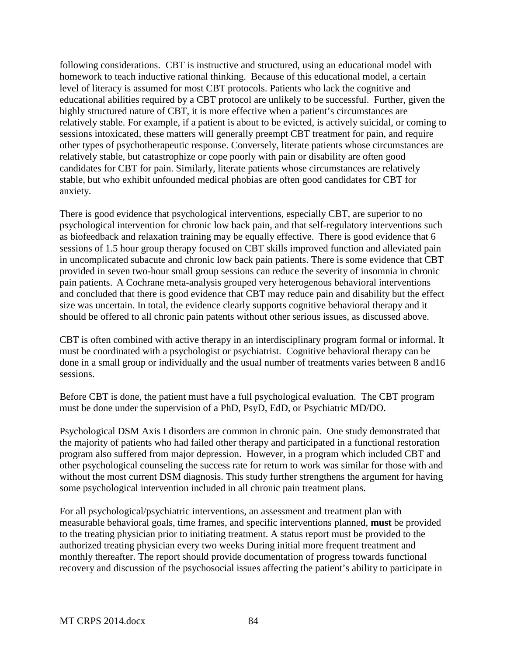following considerations. CBT is instructive and structured, using an educational model with homework to teach inductive rational thinking. Because of this educational model, a certain level of literacy is assumed for most CBT protocols. Patients who lack the cognitive and educational abilities required by a CBT protocol are unlikely to be successful. Further, given the highly structured nature of CBT, it is more effective when a patient's circumstances are relatively stable. For example, if a patient is about to be evicted, is actively suicidal, or coming to sessions intoxicated, these matters will generally preempt CBT treatment for pain, and require other types of psychotherapeutic response. Conversely, literate patients whose circumstances are relatively stable, but catastrophize or cope poorly with pain or disability are often good candidates for CBT for pain. Similarly, literate patients whose circumstances are relatively stable, but who exhibit unfounded medical phobias are often good candidates for CBT for anxiety.

There is good evidence that psychological interventions, especially CBT, are superior to no psychological intervention for chronic low back pain, and that self-regulatory interventions such as biofeedback and relaxation training may be equally effective. There is good evidence that 6 sessions of 1.5 hour group therapy focused on CBT skills improved function and alleviated pain in uncomplicated subacute and chronic low back pain patients. There is some evidence that CBT provided in seven two-hour small group sessions can reduce the severity of insomnia in chronic pain patients.A Cochrane meta-analysis grouped very heterogenous behavioral interventions and concluded that there is good evidence that CBT may reduce pain and disability but the effect size was uncertain. In total, the evidence clearly supports cognitive behavioral therapy and it should be offered to all chronic pain patents without other serious issues, as discussed above.

CBT is often combined with active therapy in an interdisciplinary program formal or informal. It must be coordinated with a psychologist or psychiatrist. Cognitive behavioral therapy can be done in a small group or individually and the usual number of treatments varies between 8 and16 sessions.

Before CBT is done, the patient must have a full psychological evaluation. The CBT program must be done under the supervision of a PhD, PsyD, EdD, or Psychiatric MD/DO.

Psychological DSM Axis I disorders are common in chronic pain. One study demonstrated that the majority of patients who had failed other therapy and participated in a functional restoration program also suffered from major depression. However, in a program which included CBT and other psychological counseling the success rate for return to work was similar for those with and without the most current DSM diagnosis. This study further strengthens the argument for having some psychological intervention included in all chronic pain treatment plans.

For all psychological/psychiatric interventions, an assessment and treatment plan with measurable behavioral goals, time frames, and specific interventions planned, **must** be provided to the treating physician prior to initiating treatment. A status report must be provided to the authorized treating physician every two weeks During initial more frequent treatment and monthly thereafter. The report should provide documentation of progress towards functional recovery and discussion of the psychosocial issues affecting the patient's ability to participate in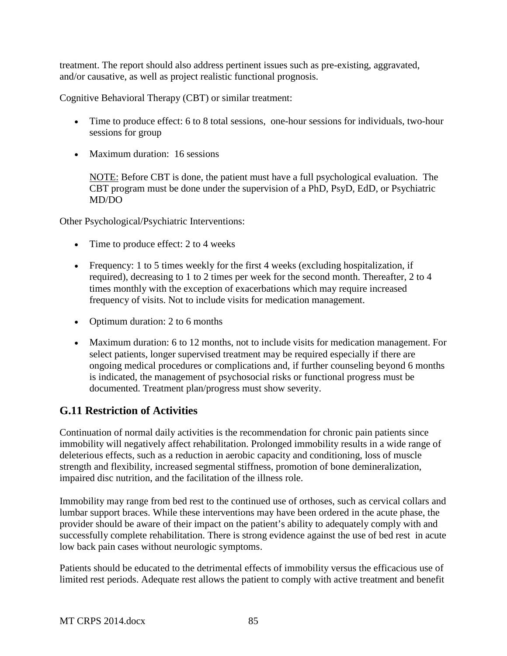treatment. The report should also address pertinent issues such as pre-existing, aggravated, and/or causative, as well as project realistic functional prognosis.

Cognitive Behavioral Therapy (CBT) or similar treatment:

- Time to produce effect: 6 to 8 total sessions, one-hour sessions for individuals, two-hour sessions for group
- Maximum duration: 16 sessions

NOTE: Before CBT is done, the patient must have a full psychological evaluation. The CBT program must be done under the supervision of a PhD, PsyD, EdD, or Psychiatric MD/DO

Other Psychological/Psychiatric Interventions:

- Time to produce effect: 2 to 4 weeks
- Frequency: 1 to 5 times weekly for the first 4 weeks (excluding hospitalization, if required), decreasing to 1 to 2 times per week for the second month. Thereafter, 2 to 4 times monthly with the exception of exacerbations which may require increased frequency of visits. Not to include visits for medication management.
- Optimum duration: 2 to 6 months
- Maximum duration: 6 to 12 months, not to include visits for medication management. For select patients, longer supervised treatment may be required especially if there are ongoing medical procedures or complications and, if further counseling beyond 6 months is indicated, the management of psychosocial risks or functional progress must be documented. Treatment plan/progress must show severity.

# **G.11 Restriction of Activities**

Continuation of normal daily activities is the recommendation for chronic pain patients since immobility will negatively affect rehabilitation. Prolonged immobility results in a wide range of deleterious effects, such as a reduction in aerobic capacity and conditioning, loss of muscle strength and flexibility, increased segmental stiffness, promotion of bone demineralization, impaired disc nutrition, and the facilitation of the illness role.

Immobility may range from bed rest to the continued use of orthoses, such as cervical collars and lumbar support braces. While these interventions may have been ordered in the acute phase, the provider should be aware of their impact on the patient's ability to adequately comply with and successfully complete rehabilitation. There is strong evidence against the use of bed rest in acute low back pain cases without neurologic symptoms.

Patients should be educated to the detrimental effects of immobility versus the efficacious use of limited rest periods. Adequate rest allows the patient to comply with active treatment and benefit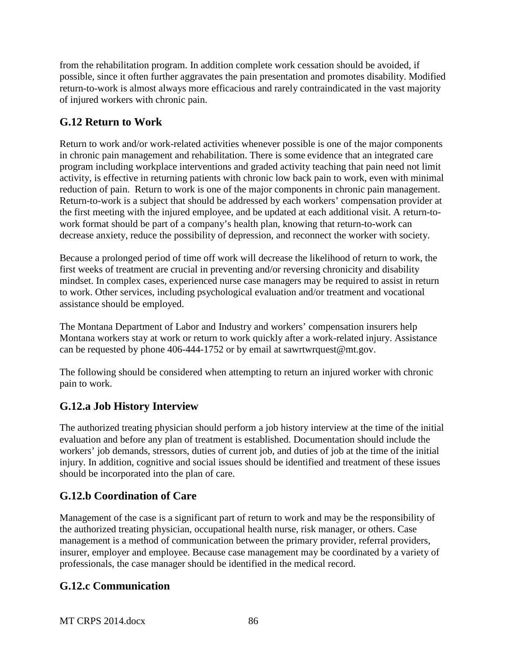from the rehabilitation program. In addition complete work cessation should be avoided, if possible, since it often further aggravates the pain presentation and promotes disability. Modified return-to-work is almost always more efficacious and rarely contraindicated in the vast majority of injured workers with chronic pain.

# **G.12 Return to Work**

Return to work and/or work-related activities whenever possible is one of the major components in chronic pain management and rehabilitation. There is some evidence that an integrated care program including workplace interventions and graded activity teaching that pain need not limit activity, is effective in returning patients with chronic low back pain to work, even with minimal reduction of pain. Return to work is one of the major components in chronic pain management. Return-to-work is a subject that should be addressed by each workers' compensation provider at the first meeting with the injured employee, and be updated at each additional visit. A return-towork format should be part of a company's health plan, knowing that return-to-work can decrease anxiety, reduce the possibility of depression, and reconnect the worker with society.

Because a prolonged period of time off work will decrease the likelihood of return to work, the first weeks of treatment are crucial in preventing and/or reversing chronicity and disability mindset. In complex cases, experienced nurse case managers may be required to assist in return to work. Other services, including psychological evaluation and/or treatment and vocational assistance should be employed.

The Montana Department of Labor and Industry and workers' compensation insurers help Montana workers stay at work or return to work quickly after a work-related injury. Assistance can be requested by phone 406-444-1752 or by email at sawrtwrquest@mt.gov.

The following should be considered when attempting to return an injured worker with chronic pain to work.

# **G.12.a Job History Interview**

The authorized treating physician should perform a job history interview at the time of the initial evaluation and before any plan of treatment is established. Documentation should include the workers' job demands, stressors, duties of current job, and duties of job at the time of the initial injury. In addition, cognitive and social issues should be identified and treatment of these issues should be incorporated into the plan of care.

# **G.12.b Coordination of Care**

Management of the case is a significant part of return to work and may be the responsibility of the authorized treating physician, occupational health nurse, risk manager, or others. Case management is a method of communication between the primary provider, referral providers, insurer, employer and employee. Because case management may be coordinated by a variety of professionals, the case manager should be identified in the medical record.

# **G.12.c Communication**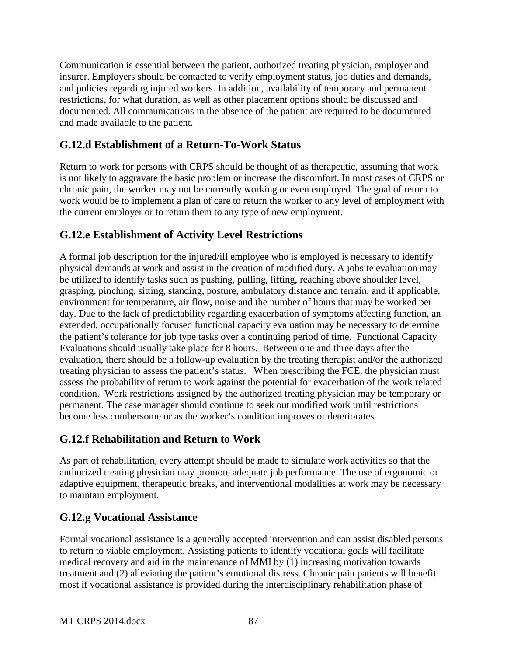Communication is essential between the patient, authorized treating physician, employer and insurer. Employers should be contacted to verify employment status, job duties and demands, and policies regarding injured workers. In addition, availability of temporary and permanent restrictions, for what duration, as well as other placement options should be discussed and documented. All communications in the absence of the patient are required to be documented and made available to the patient.

# **G.12.d Establishment of a Return-To-Work Status**

Return to work for persons with CRPS should be thought of as therapeutic, assuming that work is not likely to aggravate the basic problem or increase the discomfort. In most cases of CRPS or chronic pain, the worker may not be currently working or even employed. The goal of return to work would be to implement a plan of care to return the worker to any level of employment with the current employer or to return them to any type of new employment.

# **G.12.e Establishment of Activity Level Restrictions**

A formal job description for the injured/ill employee who is employed is necessary to identify physical demands at work and assist in the creation of modified duty. A jobsite evaluation may be utilized to identify tasks such as pushing, pulling, lifting, reaching above shoulder level, grasping, pinching, sitting, standing, posture, ambulatory distance and terrain, and if applicable, environment for temperature, air flow, noise and the number of hours that may be worked per day. Due to the lack of predictability regarding exacerbation of symptoms affecting function, an extended, occupationally focused functional capacity evaluation may be necessary to determine the patient's tolerance for job type tasks over a continuing period of time. Functional Capacity Evaluations should usually take place for 8 hours. Between one and three days after the evaluation, there should be a follow-up evaluation by the treating therapist and/or the authorized treating physician to assess the patient's status. When prescribing the FCE, the physician must assess the probability of return to work against the potential for exacerbation of the work related condition. Work restrictions assigned by the authorized treating physician may be temporary or permanent. The case manager should continue to seek out modified work until restrictions become less cumbersome or as the worker's condition improves or deteriorates.

# **G.12.f Rehabilitation and Return to Work**

As part of rehabilitation, every attempt should be made to simulate work activities so that the authorized treating physician may promote adequate job performance. The use of ergonomic or adaptive equipment, therapeutic breaks, and interventional modalities at work may be necessary to maintain employment.

# **G.12.g Vocational Assistance**

Formal vocational assistance is a generally accepted intervention and can assist disabled persons to return to viable employment. Assisting patients to identify vocational goals will facilitate medical recovery and aid in the maintenance of MMI by (1) increasing motivation towards treatment and (2) alleviating the patient's emotional distress. Chronic pain patients will benefit most if vocational assistance is provided during the interdisciplinary rehabilitation phase of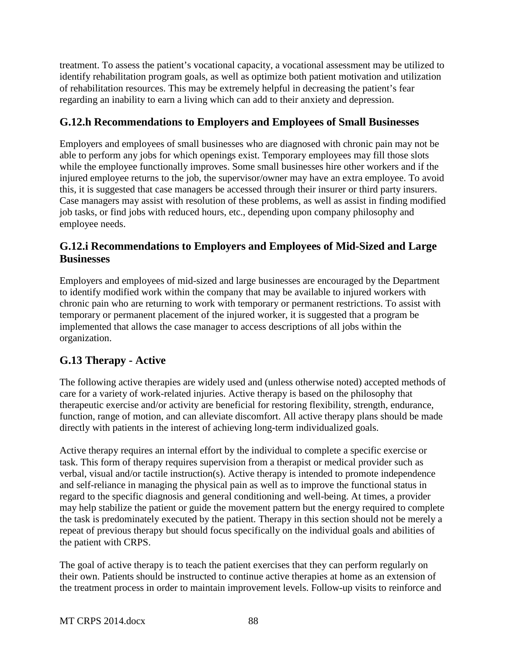treatment. To assess the patient's vocational capacity, a vocational assessment may be utilized to identify rehabilitation program goals, as well as optimize both patient motivation and utilization of rehabilitation resources. This may be extremely helpful in decreasing the patient's fear regarding an inability to earn a living which can add to their anxiety and depression.

# **G.12.h Recommendations to Employers and Employees of Small Businesses**

Employers and employees of small businesses who are diagnosed with chronic pain may not be able to perform any jobs for which openings exist. Temporary employees may fill those slots while the employee functionally improves. Some small businesses hire other workers and if the injured employee returns to the job, the supervisor/owner may have an extra employee. To avoid this, it is suggested that case managers be accessed through their insurer or third party insurers. Case managers may assist with resolution of these problems, as well as assist in finding modified job tasks, or find jobs with reduced hours, etc., depending upon company philosophy and employee needs.

# **G.12.i Recommendations to Employers and Employees of Mid-Sized and Large Businesses**

Employers and employees of mid-sized and large businesses are encouraged by the Department to identify modified work within the company that may be available to injured workers with chronic pain who are returning to work with temporary or permanent restrictions. To assist with temporary or permanent placement of the injured worker, it is suggested that a program be implemented that allows the case manager to access descriptions of all jobs within the organization.

# **G.13 Therapy - Active**

The following active therapies are widely used and (unless otherwise noted) accepted methods of care for a variety of work-related injuries. Active therapy is based on the philosophy that therapeutic exercise and/or activity are beneficial for restoring flexibility, strength, endurance, function, range of motion, and can alleviate discomfort. All active therapy plans should be made directly with patients in the interest of achieving long-term individualized goals.

Active therapy requires an internal effort by the individual to complete a specific exercise or task. This form of therapy requires supervision from a therapist or medical provider such as verbal, visual and/or tactile instruction(s). Active therapy is intended to promote independence and self-reliance in managing the physical pain as well as to improve the functional status in regard to the specific diagnosis and general conditioning and well-being. At times, a provider may help stabilize the patient or guide the movement pattern but the energy required to complete the task is predominately executed by the patient. Therapy in this section should not be merely a repeat of previous therapy but should focus specifically on the individual goals and abilities of the patient with CRPS.

The goal of active therapy is to teach the patient exercises that they can perform regularly on their own. Patients should be instructed to continue active therapies at home as an extension of the treatment process in order to maintain improvement levels. Follow-up visits to reinforce and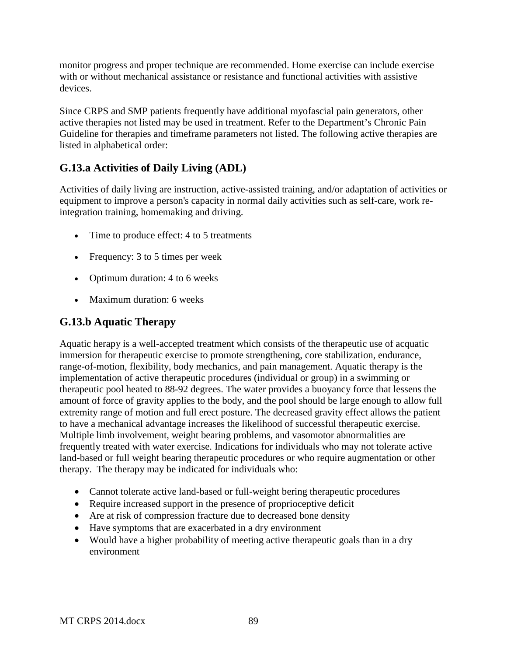monitor progress and proper technique are recommended. Home exercise can include exercise with or without mechanical assistance or resistance and functional activities with assistive devices.

Since CRPS and SMP patients frequently have additional myofascial pain generators, other active therapies not listed may be used in treatment. Refer to the Department's Chronic Pain Guideline for therapies and timeframe parameters not listed. The following active therapies are listed in alphabetical order:

# **G.13.a Activities of Daily Living (ADL)**

Activities of daily living are instruction, active-assisted training, and/or adaptation of activities or equipment to improve a person's capacity in normal daily activities such as self-care, work reintegration training, homemaking and driving.

- Time to produce effect: 4 to 5 treatments
- Frequency: 3 to 5 times per week
- Optimum duration: 4 to 6 weeks
- Maximum duration: 6 weeks

## **G.13.b Aquatic Therapy**

Aquatic herapy is a well-accepted treatment which consists of the therapeutic use of acquatic immersion for therapeutic exercise to promote strengthening, core stabilization, endurance, range-of-motion, flexibility, body mechanics, and pain management. Aquatic therapy is the implementation of active therapeutic procedures (individual or group) in a swimming or therapeutic pool heated to 88-92 degrees. The water provides a buoyancy force that lessens the amount of force of gravity applies to the body, and the pool should be large enough to allow full extremity range of motion and full erect posture. The decreased gravity effect allows the patient to have a mechanical advantage increases the likelihood of successful therapeutic exercise. Multiple limb involvement, weight bearing problems, and vasomotor abnormalities are frequently treated with water exercise. Indications for individuals who may not tolerate active land-based or full weight bearing therapeutic procedures or who require augmentation or other therapy. The therapy may be indicated for individuals who:

- Cannot tolerate active land-based or full-weight bering therapeutic procedures
- Require increased support in the presence of proprioceptive deficit
- Are at risk of compression fracture due to decreased bone density
- Have symptoms that are exacerbated in a dry environment
- Would have a higher probability of meeting active therapeutic goals than in a dry environment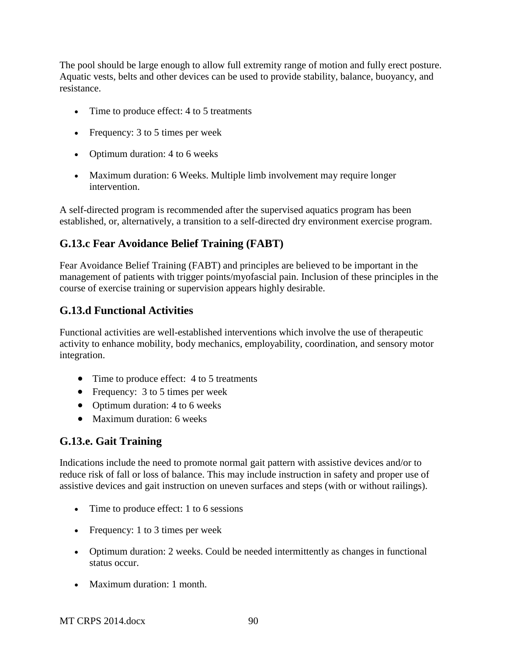The pool should be large enough to allow full extremity range of motion and fully erect posture. Aquatic vests, belts and other devices can be used to provide stability, balance, buoyancy, and resistance.

- Time to produce effect: 4 to 5 treatments
- Frequency: 3 to 5 times per week
- Optimum duration: 4 to 6 weeks
- Maximum duration: 6 Weeks. Multiple limb involvement may require longer intervention.

A self-directed program is recommended after the supervised aquatics program has been established, or, alternatively, a transition to a self-directed dry environment exercise program.

# **G.13.c Fear Avoidance Belief Training (FABT)**

Fear Avoidance Belief Training (FABT) and principles are believed to be important in the management of patients with trigger points/myofascial pain. Inclusion of these principles in the course of exercise training or supervision appears highly desirable.

# **G.13.d Functional Activities**

Functional activities are well-established interventions which involve the use of therapeutic activity to enhance mobility, body mechanics, employability, coordination, and sensory motor integration.

- Time to produce effect: 4 to 5 treatments
- Frequency: 3 to 5 times per week
- Optimum duration: 4 to 6 weeks
- Maximum duration: 6 weeks

# **G.13.e. Gait Training**

Indications include the need to promote normal gait pattern with assistive devices and/or to reduce risk of fall or loss of balance. This may include instruction in safety and proper use of assistive devices and gait instruction on uneven surfaces and steps (with or without railings).

- Time to produce effect: 1 to 6 sessions
- Frequency: 1 to 3 times per week
- Optimum duration: 2 weeks. Could be needed intermittently as changes in functional status occur.
- Maximum duration: 1 month.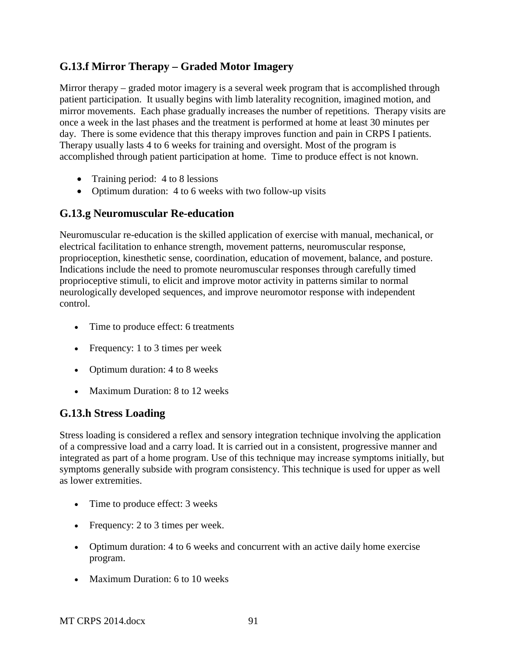# **G.13.f Mirror Therapy – Graded Motor Imagery**

Mirror therapy – graded motor imagery is a several week program that is accomplished through patient participation. It usually begins with limb laterality recognition, imagined motion, and mirror movements. Each phase gradually increases the number of repetitions. Therapy visits are once a week in the last phases and the treatment is performed at home at least 30 minutes per day. There is some evidence that this therapy improves function and pain in CRPS I patients. Therapy usually lasts 4 to 6 weeks for training and oversight. Most of the program is accomplished through patient participation at home. Time to produce effect is not known.

- Training period: 4 to 8 lessions
- Optimum duration: 4 to 6 weeks with two follow-up visits

# **G.13.g Neuromuscular Re-education**

Neuromuscular re-education is the skilled application of exercise with manual, mechanical, or electrical facilitation to enhance strength, movement patterns, neuromuscular response, proprioception, kinesthetic sense, coordination, education of movement, balance, and posture. Indications include the need to promote neuromuscular responses through carefully timed proprioceptive stimuli, to elicit and improve motor activity in patterns similar to normal neurologically developed sequences, and improve neuromotor response with independent control.

- Time to produce effect: 6 treatments
- Frequency: 1 to 3 times per week
- Optimum duration: 4 to 8 weeks
- Maximum Duration: 8 to 12 weeks

#### **G.13.h Stress Loading**

Stress loading is considered a reflex and sensory integration technique involving the application of a compressive load and a carry load. It is carried out in a consistent, progressive manner and integrated as part of a home program. Use of this technique may increase symptoms initially, but symptoms generally subside with program consistency. This technique is used for upper as well as lower extremities.

- Time to produce effect: 3 weeks
- Frequency: 2 to 3 times per week.
- Optimum duration: 4 to 6 weeks and concurrent with an active daily home exercise program.
- Maximum Duration: 6 to 10 weeks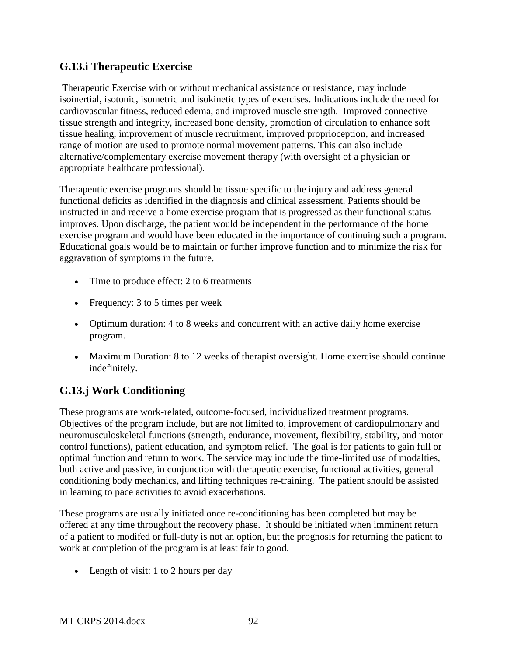## **G.13.i Therapeutic Exercise**

Therapeutic Exercise with or without mechanical assistance or resistance, may include isoinertial, isotonic, isometric and isokinetic types of exercises. Indications include the need for cardiovascular fitness, reduced edema, and improved muscle strength. Improved connective tissue strength and integrity, increased bone density, promotion of circulation to enhance soft tissue healing, improvement of muscle recruitment, improved proprioception, and increased range of motion are used to promote normal movement patterns. This can also include alternative/complementary exercise movement therapy (with oversight of a physician or appropriate healthcare professional).

Therapeutic exercise programs should be tissue specific to the injury and address general functional deficits as identified in the diagnosis and clinical assessment. Patients should be instructed in and receive a home exercise program that is progressed as their functional status improves. Upon discharge, the patient would be independent in the performance of the home exercise program and would have been educated in the importance of continuing such a program. Educational goals would be to maintain or further improve function and to minimize the risk for aggravation of symptoms in the future.

- Time to produce effect: 2 to 6 treatments
- Frequency: 3 to 5 times per week
- Optimum duration: 4 to 8 weeks and concurrent with an active daily home exercise program.
- Maximum Duration: 8 to 12 weeks of therapist oversight. Home exercise should continue indefinitely.

# **G.13.j Work Conditioning**

These programs are work-related, outcome-focused, individualized treatment programs. Objectives of the program include, but are not limited to, improvement of cardiopulmonary and neuromusculoskeletal functions (strength, endurance, movement, flexibility, stability, and motor control functions), patient education, and symptom relief. The goal is for patients to gain full or optimal function and return to work. The service may include the time-limited use of modalties, both active and passive, in conjunction with therapeutic exercise, functional activities, general conditioning body mechanics, and lifting techniques re-training. The patient should be assisted in learning to pace activities to avoid exacerbations.

These programs are usually initiated once re-conditioning has been completed but may be offered at any time throughout the recovery phase. It should be initiated when imminent return of a patient to modifed or full-duty is not an option, but the prognosis for returning the patient to work at completion of the program is at least fair to good.

• Length of visit: 1 to 2 hours per day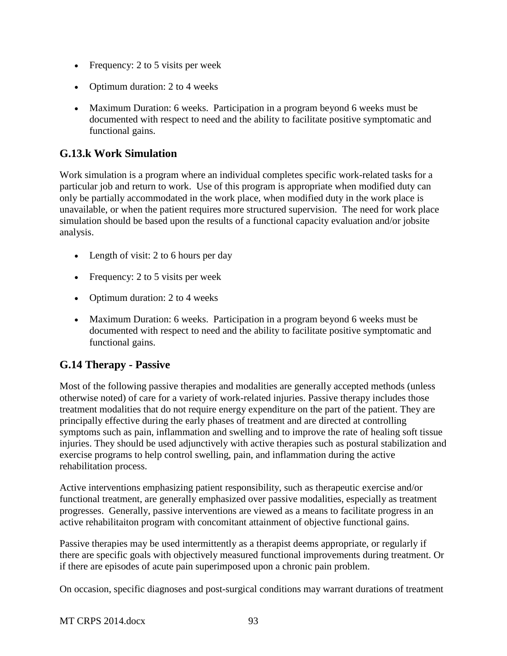- Frequency: 2 to 5 visits per week
- Optimum duration: 2 to 4 weeks
- Maximum Duration: 6 weeks. Participation in a program beyond 6 weeks must be documented with respect to need and the ability to facilitate positive symptomatic and functional gains.

# **G.13.k Work Simulation**

Work simulation is a program where an individual completes specific work-related tasks for a particular job and return to work. Use of this program is appropriate when modified duty can only be partially accommodated in the work place, when modified duty in the work place is unavailable, or when the patient requires more structured supervision. The need for work place simulation should be based upon the results of a functional capacity evaluation and/or jobsite analysis.

- Length of visit: 2 to 6 hours per day
- Frequency: 2 to 5 visits per week
- Optimum duration: 2 to 4 weeks
- Maximum Duration: 6 weeks. Participation in a program beyond 6 weeks must be documented with respect to need and the ability to facilitate positive symptomatic and functional gains.

# **G.14 Therapy - Passive**

Most of the following passive therapies and modalities are generally accepted methods (unless otherwise noted) of care for a variety of work-related injuries. Passive therapy includes those treatment modalities that do not require energy expenditure on the part of the patient. They are principally effective during the early phases of treatment and are directed at controlling symptoms such as pain, inflammation and swelling and to improve the rate of healing soft tissue injuries. They should be used adjunctively with active therapies such as postural stabilization and exercise programs to help control swelling, pain, and inflammation during the active rehabilitation process.

Active interventions emphasizing patient responsibility, such as therapeutic exercise and/or functional treatment, are generally emphasized over passive modalities, especially as treatment progresses. Generally, passive interventions are viewed as a means to facilitate progress in an active rehabilitaiton program with concomitant attainment of objective functional gains.

Passive therapies may be used intermittently as a therapist deems appropriate, or regularly if there are specific goals with objectively measured functional improvements during treatment. Or if there are episodes of acute pain superimposed upon a chronic pain problem.

On occasion, specific diagnoses and post-surgical conditions may warrant durations of treatment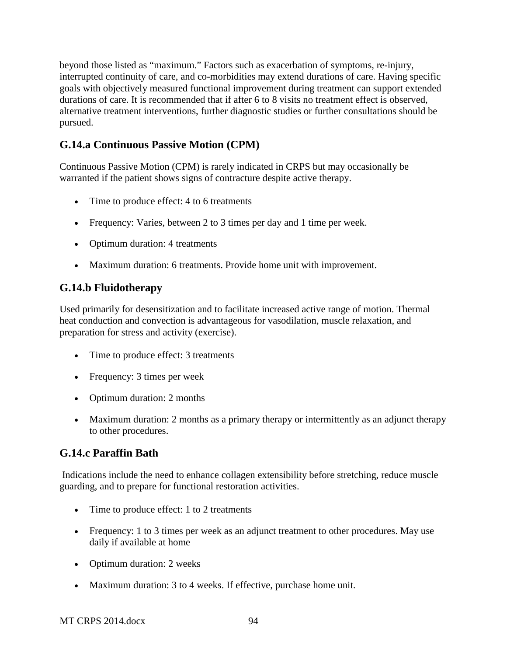beyond those listed as "maximum." Factors such as exacerbation of symptoms, re-injury, interrupted continuity of care, and co-morbidities may extend durations of care. Having specific goals with objectively measured functional improvement during treatment can support extended durations of care. It is recommended that if after 6 to 8 visits no treatment effect is observed, alternative treatment interventions, further diagnostic studies or further consultations should be pursued.

# **G.14.a Continuous Passive Motion (CPM)**

Continuous Passive Motion (CPM) is rarely indicated in CRPS but may occasionally be warranted if the patient shows signs of contracture despite active therapy.

- Time to produce effect: 4 to 6 treatments
- Frequency: Varies, between 2 to 3 times per day and 1 time per week.
- Optimum duration: 4 treatments
- Maximum duration: 6 treatments. Provide home unit with improvement.

# **G.14.b Fluidotherapy**

Used primarily for desensitization and to facilitate increased active range of motion. Thermal heat conduction and convection is advantageous for vasodilation, muscle relaxation, and preparation for stress and activity (exercise).

- Time to produce effect: 3 treatments
- Frequency: 3 times per week
- Optimum duration: 2 months
- Maximum duration: 2 months as a primary therapy or intermittently as an adjunct therapy to other procedures.

# **G.14.c Paraffin Bath**

Indications include the need to enhance collagen extensibility before stretching, reduce muscle guarding, and to prepare for functional restoration activities.

- Time to produce effect: 1 to 2 treatments
- Frequency: 1 to 3 times per week as an adjunct treatment to other procedures. May use daily if available at home
- Optimum duration: 2 weeks
- Maximum duration: 3 to 4 weeks. If effective, purchase home unit.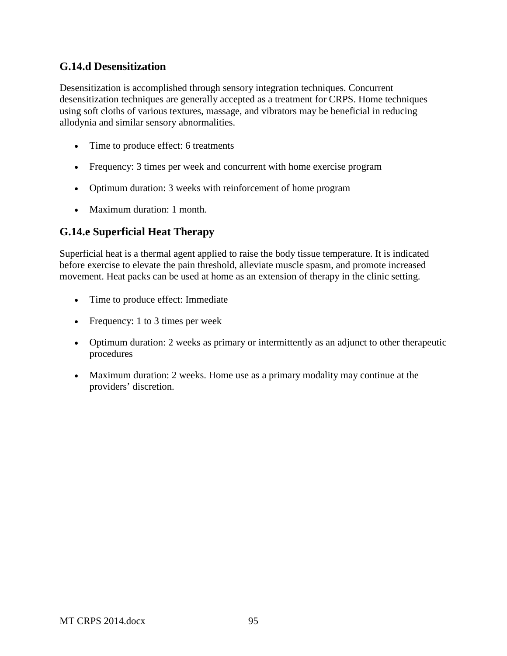## **G.14.d Desensitization**

Desensitization is accomplished through sensory integration techniques. Concurrent desensitization techniques are generally accepted as a treatment for CRPS. Home techniques using soft cloths of various textures, massage, and vibrators may be beneficial in reducing allodynia and similar sensory abnormalities.

- Time to produce effect: 6 treatments
- Frequency: 3 times per week and concurrent with home exercise program
- Optimum duration: 3 weeks with reinforcement of home program
- Maximum duration: 1 month.

## **G.14.e Superficial Heat Therapy**

Superficial heat is a thermal agent applied to raise the body tissue temperature. It is indicated before exercise to elevate the pain threshold, alleviate muscle spasm, and promote increased movement. Heat packs can be used at home as an extension of therapy in the clinic setting.

- Time to produce effect: Immediate
- Frequency: 1 to 3 times per week
- Optimum duration: 2 weeks as primary or intermittently as an adjunct to other therapeutic procedures
- Maximum duration: 2 weeks. Home use as a primary modality may continue at the providers' discretion.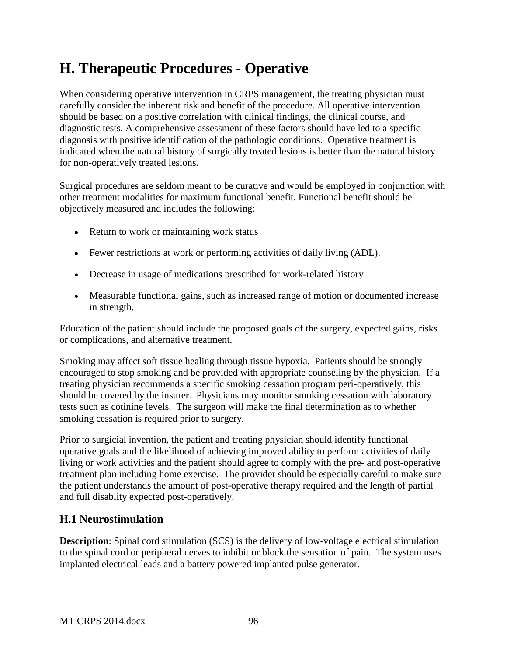# **H. Therapeutic Procedures - Operative**

When considering operative intervention in CRPS management, the treating physician must carefully consider the inherent risk and benefit of the procedure. All operative intervention should be based on a positive correlation with clinical findings, the clinical course, and diagnostic tests. A comprehensive assessment of these factors should have led to a specific diagnosis with positive identification of the pathologic conditions. Operative treatment is indicated when the natural history of surgically treated lesions is better than the natural history for non-operatively treated lesions.

Surgical procedures are seldom meant to be curative and would be employed in conjunction with other treatment modalities for maximum functional benefit. Functional benefit should be objectively measured and includes the following:

- Return to work or maintaining work status
- Fewer restrictions at work or performing activities of daily living (ADL).
- Decrease in usage of medications prescribed for work-related history
- Measurable functional gains, such as increased range of motion or documented increase in strength.

Education of the patient should include the proposed goals of the surgery, expected gains, risks or complications, and alternative treatment.

Smoking may affect soft tissue healing through tissue hypoxia. Patients should be strongly encouraged to stop smoking and be provided with appropriate counseling by the physician. If a treating physician recommends a specific smoking cessation program peri-operatively, this should be covered by the insurer. Physicians may monitor smoking cessation with laboratory tests such as cotinine levels. The surgeon will make the final determination as to whether smoking cessation is required prior to surgery.

Prior to surgicial invention, the patient and treating physician should identify functional operative goals and the likelihood of achieving improved ability to perform activities of daily living or work activities and the patient should agree to comply with the pre- and post-operative treatment plan including home exercise. The provider should be especially careful to make sure the patient understands the amount of post-operative therapy required and the length of partial and full disablity expected post-operatively.

# **H.1 Neurostimulation**

**Description**: Spinal cord stimulation (SCS) is the delivery of low-voltage electrical stimulation to the spinal cord or peripheral nerves to inhibit or block the sensation of pain. The system uses implanted electrical leads and a battery powered implanted pulse generator.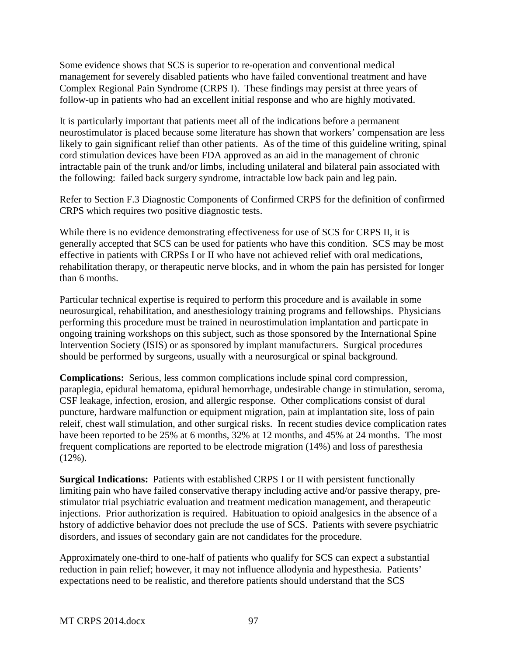Some evidence shows that SCS is superior to re-operation and conventional medical management for severely disabled patients who have failed conventional treatment and have Complex Regional Pain Syndrome (CRPS I). These findings may persist at three years of follow-up in patients who had an excellent initial response and who are highly motivated.

It is particularly important that patients meet all of the indications before a permanent neurostimulator is placed because some literature has shown that workers' compensation are less likely to gain significant relief than other patients. As of the time of this guideline writing, spinal cord stimulation devices have been FDA approved as an aid in the management of chronic intractable pain of the trunk and/or limbs, including unilateral and bilateral pain associated with the following: failed back surgery syndrome, intractable low back pain and leg pain.

Refer to Section F.3 Diagnostic Components of Confirmed CRPS for the definition of confirmed CRPS which requires two positive diagnostic tests.

While there is no evidence demonstrating effectiveness for use of SCS for CRPS II, it is generally accepted that SCS can be used for patients who have this condition. SCS may be most effective in patients with CRPSs I or II who have not achieved relief with oral medications, rehabilitation therapy, or therapeutic nerve blocks, and in whom the pain has persisted for longer than 6 months.

Particular technical expertise is required to perform this procedure and is available in some neurosurgical, rehabilitation, and anesthesiology training programs and fellowships. Physicians performing this procedure must be trained in neurostimulation implantation and particpate in ongoing training workshops on this subject, such as those sponsored by the International Spine Intervention Society (ISIS) or as sponsored by implant manufacturers. Surgical procedures should be performed by surgeons, usually with a neurosurgical or spinal background.

**Complications:** Serious, less common complications include spinal cord compression, paraplegia, epidural hematoma, epidural hemorrhage, undesirable change in stimulation, seroma, CSF leakage, infection, erosion, and allergic response. Other complications consist of dural puncture, hardware malfunction or equipment migration, pain at implantation site, loss of pain releif, chest wall stimulation, and other surgical risks. In recent studies device complication rates have been reported to be 25% at 6 months, 32% at 12 months, and 45% at 24 months. The most frequent complications are reported to be electrode migration (14%) and loss of paresthesia  $(12\%)$ .

**Surgical Indications:** Patients with established CRPS I or II with persistent functionally limiting pain who have failed conservative therapy including active and/or passive therapy, prestimulator trial psychiatric evaluation and treatment medication management, and therapeutic injections. Prior authorization is required. Habituation to opioid analgesics in the absence of a hstory of addictive behavior does not preclude the use of SCS. Patients with severe psychiatric disorders, and issues of secondary gain are not candidates for the procedure.

Approximately one-third to one-half of patients who qualify for SCS can expect a substantial reduction in pain relief; however, it may not influence allodynia and hypesthesia. Patients' expectations need to be realistic, and therefore patients should understand that the SCS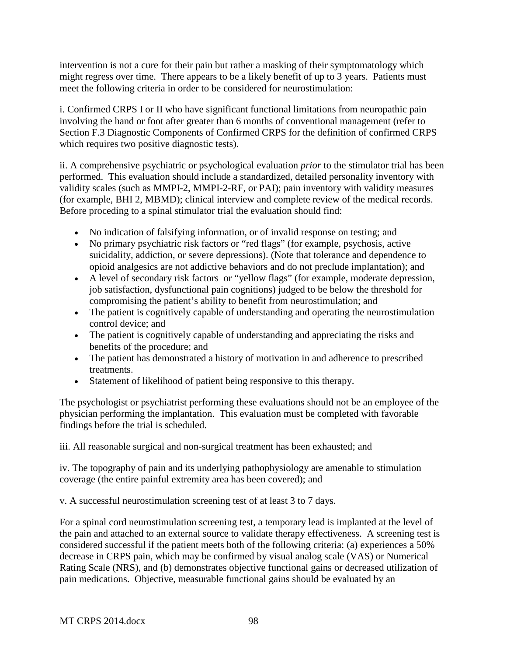intervention is not a cure for their pain but rather a masking of their symptomatology which might regress over time. There appears to be a likely benefit of up to 3 years. Patients must meet the following criteria in order to be considered for neurostimulation:

i. Confirmed CRPS I or II who have significant functional limitations from neuropathic pain involving the hand or foot after greater than 6 months of conventional management (refer to Section F.3 Diagnostic Components of Confirmed CRPS for the definition of confirmed CRPS which requires two positive diagnostic tests).

ii. A comprehensive psychiatric or psychological evaluation *prior* to the stimulator trial has been performed. This evaluation should include a standardized, detailed personality inventory with validity scales (such as MMPI-2, MMPI-2-RF, or PAI); pain inventory with validity measures (for example, BHI 2, MBMD); clinical interview and complete review of the medical records. Before proceding to a spinal stimulator trial the evaluation should find:

- No indication of falsifying information, or of invalid response on testing; and
- No primary psychiatric risk factors or "red flags" (for example, psychosis, active suicidality, addiction, or severe depressions). (Note that tolerance and dependence to opioid analgesics are not addictive behaviors and do not preclude implantation); and
- A level of secondary risk factors or "yellow flags" (for example, moderate depression, job satisfaction, dysfunctional pain cognitions) judged to be below the threshold for compromising the patient's ability to benefit from neurostimulation; and
- The patient is cognitively capable of understanding and operating the neurostimulation control device; and
- The patient is cognitively capable of understanding and appreciating the risks and benefits of the procedure; and
- The patient has demonstrated a history of motivation in and adherence to prescribed treatments.
- Statement of likelihood of patient being responsive to this therapy.

The psychologist or psychiatrist performing these evaluations should not be an employee of the physician performing the implantation. This evaluation must be completed with favorable findings before the trial is scheduled.

iii. All reasonable surgical and non-surgical treatment has been exhausted; and

iv. The topography of pain and its underlying pathophysiology are amenable to stimulation coverage (the entire painful extremity area has been covered); and

v. A successful neurostimulation screening test of at least 3 to 7 days.

For a spinal cord neurostimulation screening test, a temporary lead is implanted at the level of the pain and attached to an external source to validate therapy effectiveness. A screening test is considered successful if the patient meets both of the following criteria: (a) experiences a 50% decrease in CRPS pain, which may be confirmed by visual analog scale (VAS) or Numerical Rating Scale (NRS), and (b) demonstrates objective functional gains or decreased utilization of pain medications. Objective, measurable functional gains should be evaluated by an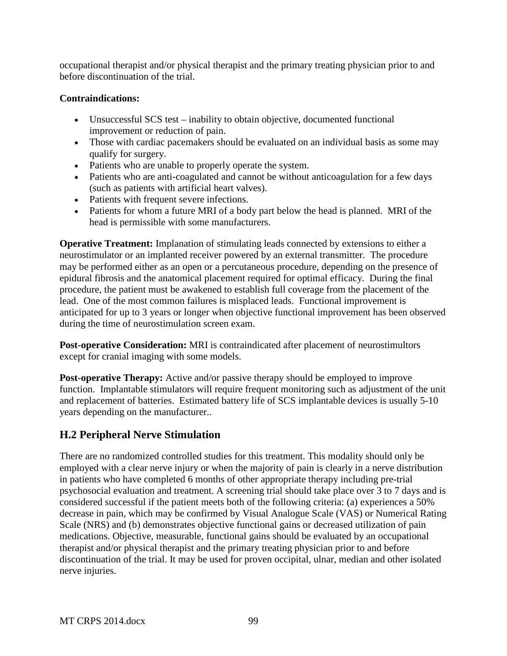occupational therapist and/or physical therapist and the primary treating physician prior to and before discontinuation of the trial.

#### **Contraindications:**

- Unsuccessful SCS test inability to obtain objective, documented functional improvement or reduction of pain.
- Those with cardiac pacemakers should be evaluated on an individual basis as some may qualify for surgery.
- Patients who are unable to properly operate the system.
- Patients who are anti-coagulated and cannot be without anticoagulation for a few days (such as patients with artificial heart valves).
- Patients with frequent severe infections.
- Patients for whom a future MRI of a body part below the head is planned. MRI of the head is permissible with some manufacturers.

**Operative Treatment:** Implanation of stimulating leads connected by extensions to either a neurostimulator or an implanted receiver powered by an external transmitter. The procedure may be performed either as an open or a percutaneous procedure, depending on the presence of epidural fibrosis and the anatomical placement required for optimal efficacy. During the final procedure, the patient must be awakened to establish full coverage from the placement of the lead. One of the most common failures is misplaced leads. Functional improvement is anticipated for up to 3 years or longer when objective functional improvement has been observed during the time of neurostimulation screen exam.

**Post-operative Consideration:** MRI is contraindicated after placement of neurostimultors except for cranial imaging with some models.

**Post-operative Therapy:** Active and/or passive therapy should be employed to improve function. Implantable stimulators will require frequent monitoring such as adjustment of the unit and replacement of batteries. Estimated battery life of SCS implantable devices is usually 5-10 years depending on the manufacturer..

# **H.2 Peripheral Nerve Stimulation**

There are no randomized controlled studies for this treatment. This modality should only be employed with a clear nerve injury or when the majority of pain is clearly in a nerve distribution in patients who have completed 6 months of other appropriate therapy including pre-trial psychosocial evaluation and treatment. A screening trial should take place over 3 to 7 days and is considered successful if the patient meets both of the following criteria: (a) experiences a 50% decrease in pain, which may be confirmed by Visual Analogue Scale (VAS) or Numerical Rating Scale (NRS) and (b) demonstrates objective functional gains or decreased utilization of pain medications. Objective, measurable, functional gains should be evaluated by an occupational therapist and/or physical therapist and the primary treating physician prior to and before discontinuation of the trial. It may be used for proven occipital, ulnar, median and other isolated nerve injuries.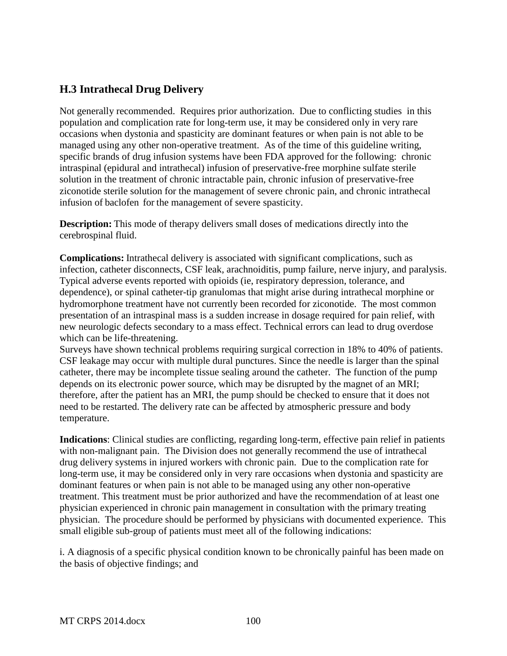# **H.3 Intrathecal Drug Delivery**

Not generally recommended. Requires prior authorization. Due to conflicting studies in this population and complication rate for long-term use, it may be considered only in very rare occasions when dystonia and spasticity are dominant features or when pain is not able to be managed using any other non-operative treatment. As of the time of this guideline writing, specific brands of drug infusion systems have been FDA approved for the following: chronic intraspinal (epidural and intrathecal) infusion of preservative-free morphine sulfate sterile solution in the treatment of chronic intractable pain, chronic infusion of preservative-free ziconotide sterile solution for the management of severe chronic pain, and chronic intrathecal infusion of baclofen for the management of severe spasticity.

**Description:** This mode of therapy delivers small doses of medications directly into the cerebrospinal fluid.

**Complications:** Intrathecal delivery is associated with significant complications, such as infection, catheter disconnects, CSF leak, arachnoiditis, pump failure, nerve injury, and paralysis. Typical adverse events reported with opioids (ie, respiratory depression, tolerance, and dependence), or spinal catheter-tip granulomas that might arise during intrathecal morphine or hydromorphone treatment have not currently been recorded for ziconotide. The most common presentation of an intraspinal mass is a sudden increase in dosage required for pain relief, with new neurologic defects secondary to a mass effect. Technical errors can lead to drug overdose which can be life-threatening.

Surveys have shown technical problems requiring surgical correction in 18% to 40% of patients. CSF leakage may occur with multiple dural punctures. Since the needle is larger than the spinal catheter, there may be incomplete tissue sealing around the catheter. The function of the pump depends on its electronic power source, which may be disrupted by the magnet of an MRI; therefore, after the patient has an MRI, the pump should be checked to ensure that it does not need to be restarted. The delivery rate can be affected by atmospheric pressure and body temperature.

**Indications**: Clinical studies are conflicting, regarding long-term, effective pain relief in patients with non-malignant pain. The Division does not generally recommend the use of intrathecal drug delivery systems in injured workers with chronic pain. Due to the complication rate for long-term use, it may be considered only in very rare occasions when dystonia and spasticity are dominant features or when pain is not able to be managed using any other non-operative treatment. This treatment must be prior authorized and have the recommendation of at least one physician experienced in chronic pain management in consultation with the primary treating physician. The procedure should be performed by physicians with documented experience. This small eligible sub-group of patients must meet all of the following indications:

i. A diagnosis of a specific physical condition known to be chronically painful has been made on the basis of objective findings; and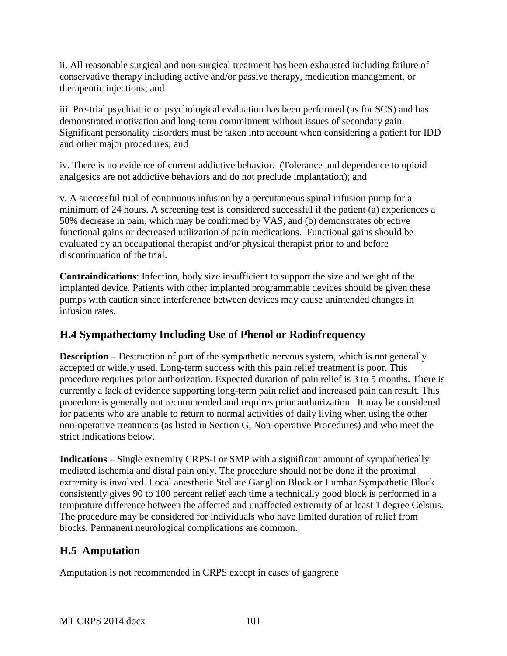ii. All reasonable surgical and non-surgical treatment has been exhausted including failure of conservative therapy including active and/or passive therapy, medication management, or therapeutic injections; and

iii. Pre-trial psychiatric or psychological evaluation has been performed (as for SCS) and has demonstrated motivation and long-term commitment without issues of secondary gain. Significant personality disorders must be taken into account when considering a patient for IDD and other major procedures; and

iv. There is no evidence of current addictive behavior. (Tolerance and dependence to opioid analgesics are not addictive behaviors and do not preclude implantation); and

v. A successful trial of continuous infusion by a percutaneous spinal infusion pump for a minimum of 24 hours. A screening test is considered successful if the patient (a) experiences a 50% decrease in pain, which may be confirmed by VAS, and (b) demonstrates objective functional gains or decreased utilization of pain medications. Functional gains should be evaluated by an occupational therapist and/or physical therapist prior to and before discontinuation of the trial.

**Contraindications**: Infection, body size insufficient to support the size and weight of the implanted device. Patients with other implanted programmable devices should be given these pumps with caution since interference between devices may cause unintended changes in infusion rates.

# **H.4 Sympathectomy Including Use of Phenol or Radiofrequency**

**Description** – Destruction of part of the sympathetic nervous system, which is not generally accepted or widely used. Long-term success with this pain relief treatment is poor. This procedure requires prior authorization. Expected duration of pain relief is 3 to 5 months. There is currently a lack of evidence supporting long-term pain relief and increased pain can result. This procedure is generally not recommended and requires prior authorization. It may be considered for patients who are unable to return to normal activities of daily living when using the other non-operative treatments (as listed in Section G, Non-operative Procedures) and who meet the strict indications below.

**Indications** – Single extremity CRPS-I or SMP with a significant amount of sympathetically mediated ischemia and distal pain only. The procedure should not be done if the proximal extremity is involved. Local anesthetic Stellate Ganglion Block or Lumbar Sympathetic Block consistently gives 90 to 100 percent relief each time a technically good block is performed in a temprature difference between the affected and unaffected extremity of at least 1 degree Celsius. The procedure may be considered for individuals who have limited duration of relief from blocks. Permanent neurological complications are common.

# **H.5 Amputation**

Amputation is not recommended in CRPS except in cases of gangrene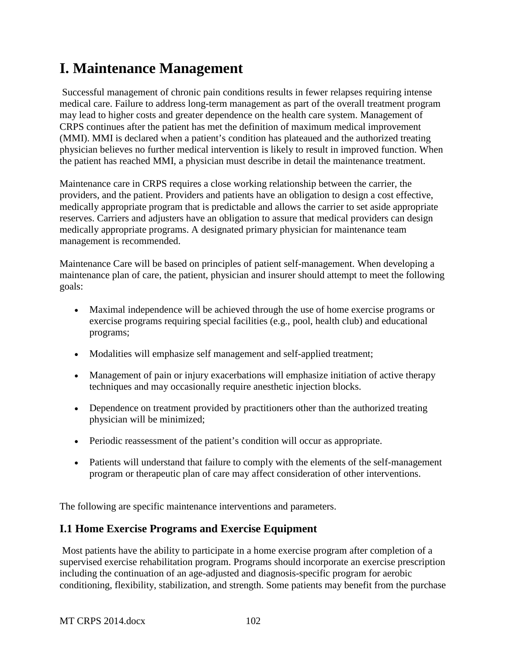# **I. Maintenance Management**

Successful management of chronic pain conditions results in fewer relapses requiring intense medical care. Failure to address long-term management as part of the overall treatment program may lead to higher costs and greater dependence on the health care system. Management of CRPS continues after the patient has met the definition of maximum medical improvement (MMI). MMI is declared when a patient's condition has plateaued and the authorized treating physician believes no further medical intervention is likely to result in improved function. When the patient has reached MMI, a physician must describe in detail the maintenance treatment.

Maintenance care in CRPS requires a close working relationship between the carrier, the providers, and the patient. Providers and patients have an obligation to design a cost effective, medically appropriate program that is predictable and allows the carrier to set aside appropriate reserves. Carriers and adjusters have an obligation to assure that medical providers can design medically appropriate programs. A designated primary physician for maintenance team management is recommended.

Maintenance Care will be based on principles of patient self-management. When developing a maintenance plan of care, the patient, physician and insurer should attempt to meet the following goals:

- Maximal independence will be achieved through the use of home exercise programs or exercise programs requiring special facilities (e.g., pool, health club) and educational programs;
- Modalities will emphasize self management and self-applied treatment;
- Management of pain or injury exacerbations will emphasize initiation of active therapy techniques and may occasionally require anesthetic injection blocks.
- Dependence on treatment provided by practitioners other than the authorized treating physician will be minimized;
- Periodic reassessment of the patient's condition will occur as appropriate.
- Patients will understand that failure to comply with the elements of the self-management program or therapeutic plan of care may affect consideration of other interventions.

The following are specific maintenance interventions and parameters.

# **I.1 Home Exercise Programs and Exercise Equipment**

Most patients have the ability to participate in a home exercise program after completion of a supervised exercise rehabilitation program. Programs should incorporate an exercise prescription including the continuation of an age-adjusted and diagnosis-specific program for aerobic conditioning, flexibility, stabilization, and strength. Some patients may benefit from the purchase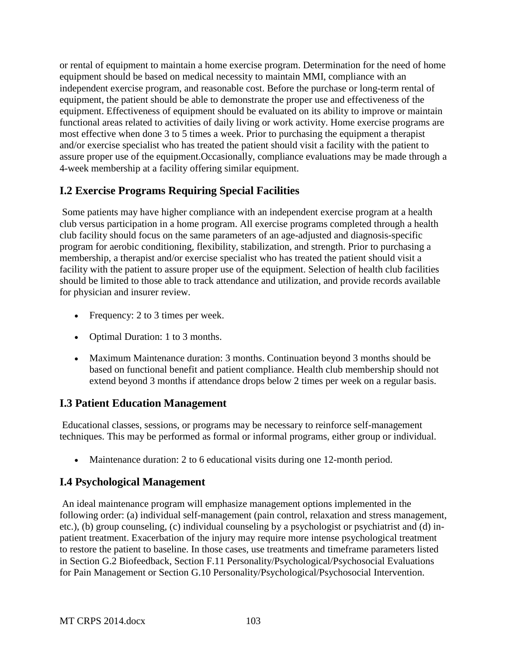or rental of equipment to maintain a home exercise program. Determination for the need of home equipment should be based on medical necessity to maintain MMI, compliance with an independent exercise program, and reasonable cost. Before the purchase or long-term rental of equipment, the patient should be able to demonstrate the proper use and effectiveness of the equipment. Effectiveness of equipment should be evaluated on its ability to improve or maintain functional areas related to activities of daily living or work activity. Home exercise programs are most effective when done 3 to 5 times a week. Prior to purchasing the equipment a therapist and/or exercise specialist who has treated the patient should visit a facility with the patient to assure proper use of the equipment.Occasionally, compliance evaluations may be made through a 4-week membership at a facility offering similar equipment.

# **I.2 Exercise Programs Requiring Special Facilities**

Some patients may have higher compliance with an independent exercise program at a health club versus participation in a home program. All exercise programs completed through a health club facility should focus on the same parameters of an age-adjusted and diagnosis-specific program for aerobic conditioning, flexibility, stabilization, and strength. Prior to purchasing a membership, a therapist and/or exercise specialist who has treated the patient should visit a facility with the patient to assure proper use of the equipment. Selection of health club facilities should be limited to those able to track attendance and utilization, and provide records available for physician and insurer review.

- Frequency: 2 to 3 times per week.
- Optimal Duration: 1 to 3 months.
- Maximum Maintenance duration: 3 months. Continuation beyond 3 months should be based on functional benefit and patient compliance. Health club membership should not extend beyond 3 months if attendance drops below 2 times per week on a regular basis.

# **I.3 Patient Education Management**

Educational classes, sessions, or programs may be necessary to reinforce self-management techniques. This may be performed as formal or informal programs, either group or individual.

• Maintenance duration: 2 to 6 educational visits during one 12-month period.

# **I.4 Psychological Management**

An ideal maintenance program will emphasize management options implemented in the following order: (a) individual self-management (pain control, relaxation and stress management, etc.), (b) group counseling, (c) individual counseling by a psychologist or psychiatrist and (d) inpatient treatment. Exacerbation of the injury may require more intense psychological treatment to restore the patient to baseline. In those cases, use treatments and timeframe parameters listed in Section G.2 Biofeedback, Section F.11 Personality/Psychological/Psychosocial Evaluations for Pain Management or Section G.10 Personality/Psychological/Psychosocial Intervention.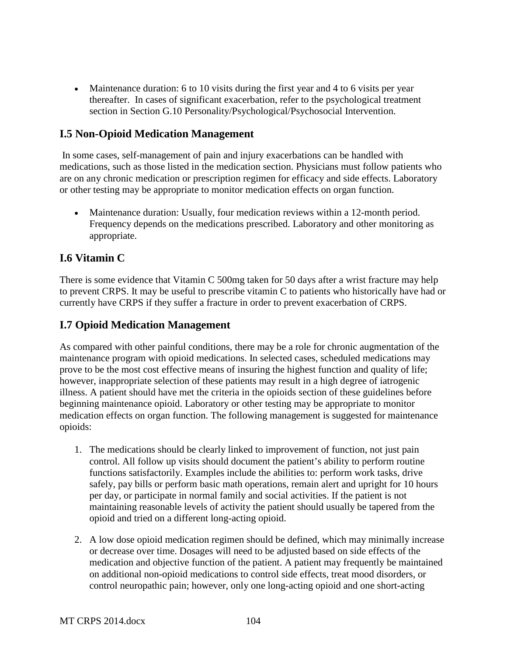• Maintenance duration: 6 to 10 visits during the first year and 4 to 6 visits per year thereafter. In cases of significant exacerbation, refer to the psychological treatment section in Section G.10 Personality/Psychological/Psychosocial Intervention.

## **I.5 Non-Opioid Medication Management**

In some cases, self-management of pain and injury exacerbations can be handled with medications, such as those listed in the medication section. Physicians must follow patients who are on any chronic medication or prescription regimen for efficacy and side effects. Laboratory or other testing may be appropriate to monitor medication effects on organ function.

• Maintenance duration: Usually, four medication reviews within a 12-month period. Frequency depends on the medications prescribed. Laboratory and other monitoring as appropriate.

#### **I.6 Vitamin C**

There is some evidence that Vitamin C 500mg taken for 50 days after a wrist fracture may help to prevent CRPS. It may be useful to prescribe vitamin C to patients who historically have had or currently have CRPS if they suffer a fracture in order to prevent exacerbation of CRPS.

## **I.7 Opioid Medication Management**

As compared with other painful conditions, there may be a role for chronic augmentation of the maintenance program with opioid medications. In selected cases, scheduled medications may prove to be the most cost effective means of insuring the highest function and quality of life; however, inappropriate selection of these patients may result in a high degree of iatrogenic illness. A patient should have met the criteria in the opioids section of these guidelines before beginning maintenance opioid. Laboratory or other testing may be appropriate to monitor medication effects on organ function. The following management is suggested for maintenance opioids:

- 1. The medications should be clearly linked to improvement of function, not just pain control. All follow up visits should document the patient's ability to perform routine functions satisfactorily. Examples include the abilities to: perform work tasks, drive safely, pay bills or perform basic math operations, remain alert and upright for 10 hours per day, or participate in normal family and social activities. If the patient is not maintaining reasonable levels of activity the patient should usually be tapered from the opioid and tried on a different long-acting opioid.
- 2. A low dose opioid medication regimen should be defined, which may minimally increase or decrease over time. Dosages will need to be adjusted based on side effects of the medication and objective function of the patient. A patient may frequently be maintained on additional non-opioid medications to control side effects, treat mood disorders, or control neuropathic pain; however, only one long-acting opioid and one short-acting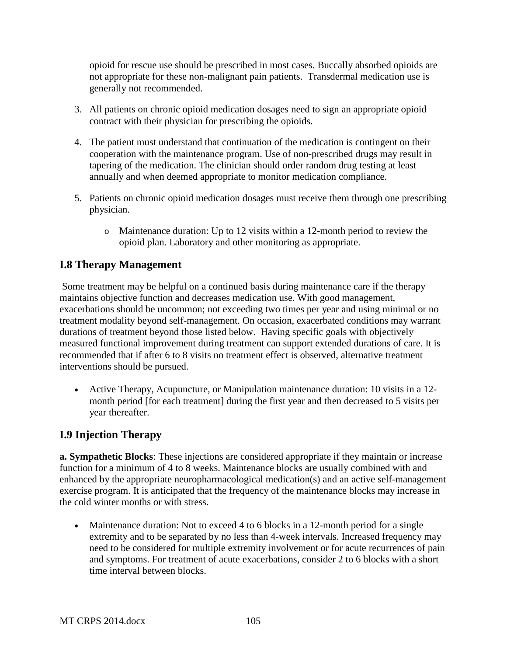opioid for rescue use should be prescribed in most cases. Buccally absorbed opioids are not appropriate for these non-malignant pain patients. Transdermal medication use is generally not recommended.

- 3. All patients on chronic opioid medication dosages need to sign an appropriate opioid contract with their physician for prescribing the opioids.
- 4. The patient must understand that continuation of the medication is contingent on their cooperation with the maintenance program. Use of non-prescribed drugs may result in tapering of the medication. The clinician should order random drug testing at least annually and when deemed appropriate to monitor medication compliance.
- 5. Patients on chronic opioid medication dosages must receive them through one prescribing physician.
	- o Maintenance duration: Up to 12 visits within a 12-month period to review the opioid plan. Laboratory and other monitoring as appropriate.

# **I.8 Therapy Management**

Some treatment may be helpful on a continued basis during maintenance care if the therapy maintains objective function and decreases medication use. With good management, exacerbations should be uncommon; not exceeding two times per year and using minimal or no treatment modality beyond self-management. On occasion, exacerbated conditions may warrant durations of treatment beyond those listed below. Having specific goals with objectively measured functional improvement during treatment can support extended durations of care. It is recommended that if after 6 to 8 visits no treatment effect is observed, alternative treatment interventions should be pursued.

• Active Therapy, Acupuncture, or Manipulation maintenance duration: 10 visits in a 12 month period [for each treatment] during the first year and then decreased to 5 visits per year thereafter.

# **I.9 Injection Therapy**

**a. Sympathetic Blocks**: These injections are considered appropriate if they maintain or increase function for a minimum of 4 to 8 weeks. Maintenance blocks are usually combined with and enhanced by the appropriate neuropharmacological medication(s) and an active self-management exercise program. It is anticipated that the frequency of the maintenance blocks may increase in the cold winter months or with stress.

• Maintenance duration: Not to exceed 4 to 6 blocks in a 12-month period for a single extremity and to be separated by no less than 4-week intervals. Increased frequency may need to be considered for multiple extremity involvement or for acute recurrences of pain and symptoms. For treatment of acute exacerbations, consider 2 to 6 blocks with a short time interval between blocks.